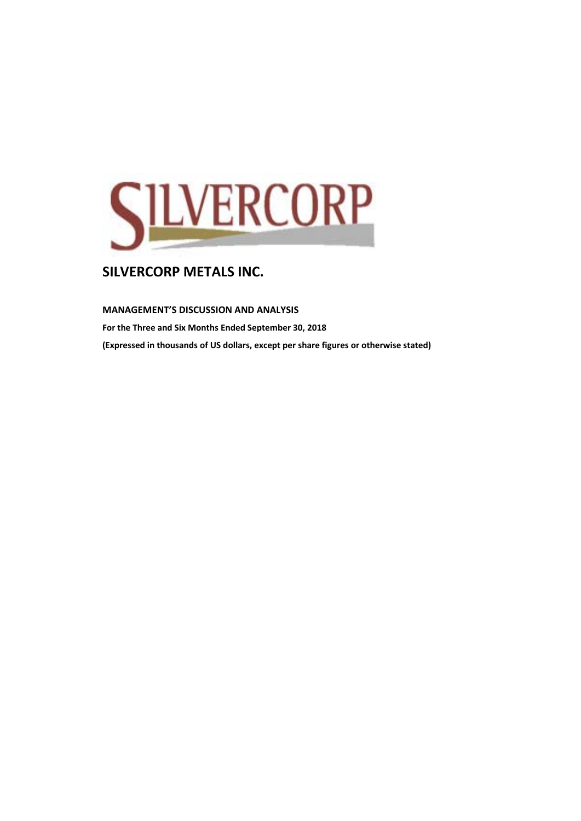

## **MANAGEMENT'S DISCUSSION AND ANALYSIS**

**For the Three and Six Months Ended September 30, 2018 (Expressed in thousands of US dollars, except per share figures or otherwise stated)**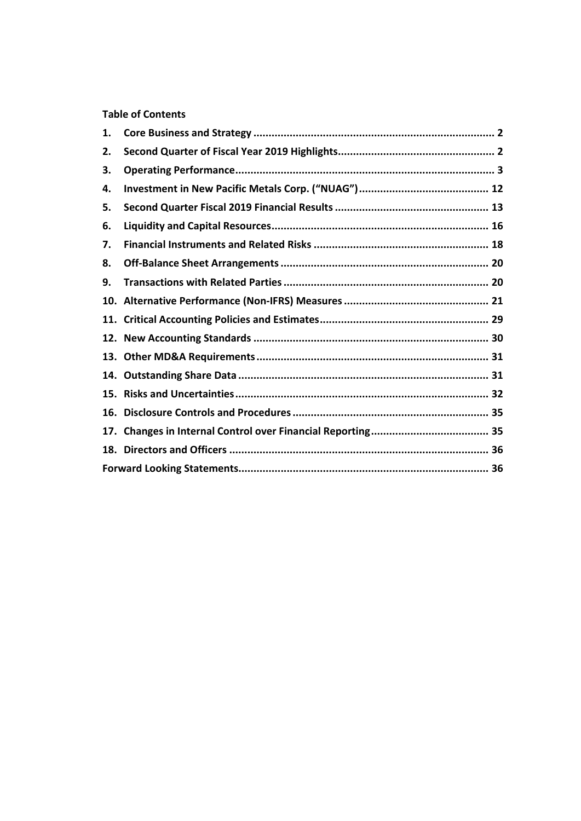## **Table of Contents**

| 1.  |  |
|-----|--|
| 2.  |  |
| З.  |  |
| 4.  |  |
| 5.  |  |
| 6.  |  |
| 7.  |  |
| 8.  |  |
| 9.  |  |
|     |  |
| 11. |  |
|     |  |
|     |  |
| 14. |  |
| 15. |  |
| 16. |  |
| 17. |  |
|     |  |
|     |  |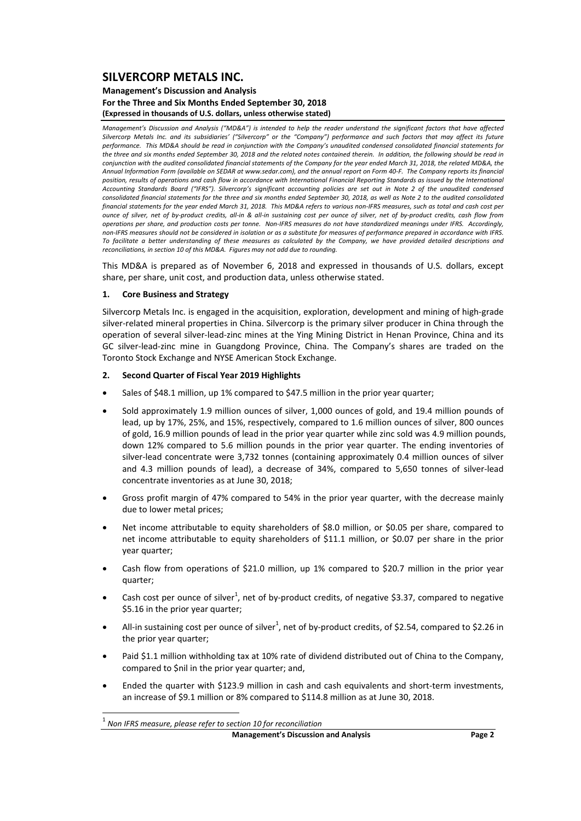#### **Management's Discussion and Analysis For the Three and Six Months Ended September 30, 2018 (Expressed in thousands of U.S. dollars, unless otherwise stated)**

Management's Discussion and Analysis ("MD&A") is intended to help the reader understand the significant factors that have affected Silvercorp Metals Inc. and its subsidiaries' ("Silvercorp" or the "Company") performance and such factors that may affect its future performance. This MD&A should be read in conjunction with the Company's unaudited condensed consolidated financial statements for the three and six months ended Sentember 30, 2018 and the related notes contained therein. In addition, the following should be read in conjunction with the audited consolidated financial statements of the Company for the year ended March 31, 2018, the related MD&A, the Annual Information Form (available on SEDAR at www.sedar.com), and the annual report on Form 40-F. The Company reports its financial position, results of operations and cash flow in accordance with International Financial Reporting Standards as issued by the International Accounting Standards Board ("IFRS"). Silvercorp's significant accounting policies are set out in Note 2 of the unaudited condensed consolidated financial statements for the three and six months ended September 30, 2018, as well as Note 2 to the audited consolidated financial statements for the year ended March 31, 2018. This MD&A refers to various non-IFRS measures, such as total and cash cost per ounce of silver, net of by-product credits, all-in & all-in sustaining cost per ounce of silver, net of by-product credits, cash flow from operations per share, and production costs per tonne. Non-IFRS measures do not have standardized meanings under IFRS. Accordingly, non-IFRS measures should not be considered in isolation or as a substitute for measures of performance prepared in accordance with IFRS. To facilitate a better understanding of these measures as calculated by the Company, we have provided detailed descriptions and *reconciliations, in section 10 of this MD&A. Figures may not add due to rounding.*

This MD&A is prepared as of November 6, 2018 and expressed in thousands of U.S. dollars, except share, per share, unit cost, and production data, unless otherwise stated.

#### **1. Core Business and Strategy**

Silvercorp Metals Inc. is engaged in the acquisition, exploration, development and mining of high‐grade silver-related mineral properties in China. Silvercorp is the primary silver producer in China through the operation of several silver‐lead‐zinc mines at the Ying Mining District in Henan Province, China and its GC silver-lead-zinc mine in Guangdong Province, China. The Company's shares are traded on the Toronto Stock Exchange and NYSE American Stock Exchange.

#### **2. Second Quarter of Fiscal Year 2019 Highlights**

- Sales of \$48.1 million, up 1% compared to \$47.5 million in the prior year quarter;
- Sold approximately 1.9 million ounces of silver, 1,000 ounces of gold, and 19.4 million pounds of lead, up by 17%, 25%, and 15%, respectively, compared to 1.6 million ounces of silver, 800 ounces of gold, 16.9 million pounds of lead in the prior year quarter while zinc sold was 4.9 million pounds, down 12% compared to 5.6 million pounds in the prior year quarter. The ending inventories of silver-lead concentrate were 3,732 tonnes (containing approximately 0.4 million ounces of silver and 4.3 million pounds of lead), a decrease of 34%, compared to 5,650 tonnes of silver-lead concentrate inventories as at June 30, 2018;
- Gross profit margin of 47% compared to 54% in the prior year quarter, with the decrease mainly due to lower metal prices;
- Net income attributable to equity shareholders of \$8.0 million, or \$0.05 per share, compared to net income attributable to equity shareholders of \$11.1 million, or \$0.07 per share in the prior year quarter;
- Cash flow from operations of \$21.0 million, up 1% compared to \$20.7 million in the prior year quarter;
- Cash cost per ounce of silver<sup>1</sup>, net of by-product credits, of negative \$3.37, compared to negative \$5.16 in the prior year quarter;
- All-in sustaining cost per ounce of silver<sup>1</sup>, net of by-product credits, of \$2.54, compared to \$2.26 in the prior year quarter;
- Paid \$1.1 million withholding tax at 10% rate of dividend distributed out of China to the Company, compared to \$nil in the prior year quarter; and,
- Ended the quarter with \$123.9 million in cash and cash equivalents and short-term investments, an increase of \$9.1 million or 8% compared to \$114.8 million as at June 30, 2018.

<sup>1</sup> *Non IFRS measure, please refer to section <sup>10</sup> for reconciliation*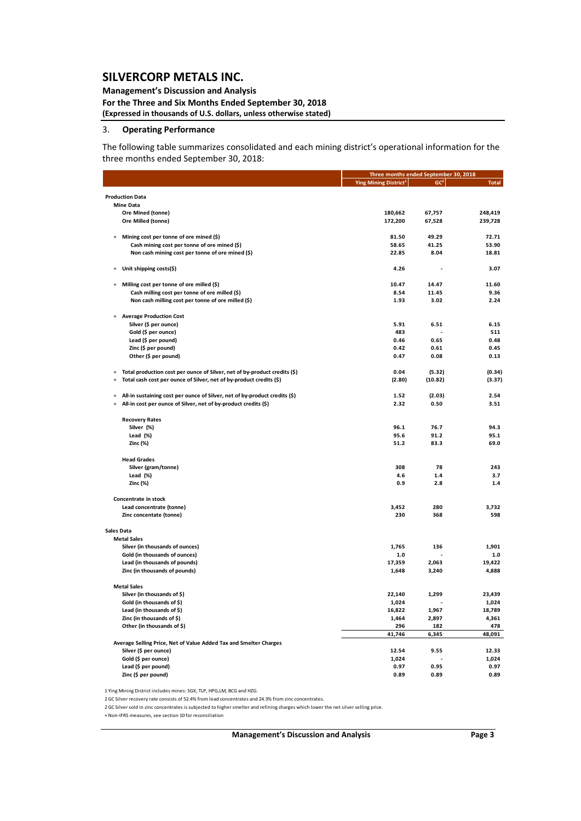## **Management's Discussion and Analysis**

**For the Three and Six Months Ended September 30, 2018 (Expressed in thousands of U.S. dollars, unless otherwise stated)**

#### 3. **Operating Performance**

The following table summarizes consolidated and each mining district's operational information for the three months ended September 30, 2018:

|                                                                                             |                                                                            |                                         | Three months ended September 30, 2018 |              |  |  |
|---------------------------------------------------------------------------------------------|----------------------------------------------------------------------------|-----------------------------------------|---------------------------------------|--------------|--|--|
|                                                                                             |                                                                            | <b>Ying Mining District<sup>1</sup></b> | GC <sup>2</sup>                       | <b>Total</b> |  |  |
| <b>Production Data</b>                                                                      |                                                                            |                                         |                                       |              |  |  |
| <b>Mine Data</b>                                                                            |                                                                            |                                         |                                       |              |  |  |
| Ore Mined (tonne)                                                                           |                                                                            | 180,662                                 | 67,757                                | 248,419      |  |  |
| Ore Milled (tonne)                                                                          |                                                                            | 172,200                                 | 67,528                                | 239,728      |  |  |
|                                                                                             |                                                                            |                                         |                                       |              |  |  |
| Mining cost per tonne of ore mined (\$)                                                     |                                                                            | 81.50                                   | 49.29                                 | 72.71        |  |  |
| Cash mining cost per tonne of ore mined (\$)                                                |                                                                            | 58.65                                   | 41.25                                 | 53.90        |  |  |
| Non cash mining cost per tonne of ore mined (\$)                                            |                                                                            | 22.85                                   | 8.04                                  | 18.81        |  |  |
|                                                                                             |                                                                            |                                         |                                       |              |  |  |
| Unit shipping costs(\$)                                                                     |                                                                            | 4.26                                    |                                       | 3.07         |  |  |
| Milling cost per tonne of ore milled (\$)                                                   |                                                                            | 10.47                                   | 14.47                                 | 11.60        |  |  |
| Cash milling cost per tonne of ore milled (\$)                                              |                                                                            | 8.54                                    | 11.45                                 | 9.36         |  |  |
| Non cash milling cost per tonne of ore milled (\$)                                          |                                                                            | 1.93                                    | 3.02                                  | 2.24         |  |  |
| <b>Average Production Cost</b>                                                              |                                                                            |                                         |                                       |              |  |  |
| Silver (\$ per ounce)                                                                       |                                                                            | 5.91                                    | 6.51                                  | 6.15         |  |  |
| Gold (\$ per ounce)                                                                         |                                                                            | 483                                     |                                       | 511          |  |  |
| Lead (\$ per pound)                                                                         |                                                                            | 0.46                                    | 0.65                                  | 0.48         |  |  |
| Zinc (\$ per pound)                                                                         |                                                                            | 0.42                                    | 0.61                                  | 0.45         |  |  |
|                                                                                             |                                                                            |                                         |                                       |              |  |  |
| Other (\$ per pound)                                                                        |                                                                            | 0.47                                    | 0.08                                  | 0.13         |  |  |
| $\overline{+}$                                                                              | Total production cost per ounce of Silver, net of by-product credits (\$)  | 0.04                                    | (5.32)                                | (0.34)       |  |  |
| Total cash cost per ounce of Silver, net of by-product credits (\$)<br>$\ddot{\phantom{1}}$ |                                                                            | (2.80)                                  | (10.82)                               | (3.37)       |  |  |
|                                                                                             |                                                                            |                                         |                                       |              |  |  |
| $\ddot{+}$                                                                                  | All-in sustaining cost per ounce of Silver, net of by-product credits (\$) | 1.52                                    | (2.03)                                | 2.54         |  |  |
| All-in cost per ounce of Silver, net of by-product credits (\$)<br>$\ddot{+}$               |                                                                            | 2.32                                    | 0.50                                  | 3.51         |  |  |
| <b>Recovery Rates</b>                                                                       |                                                                            |                                         |                                       |              |  |  |
| Silver (%)                                                                                  |                                                                            | 96.1                                    | 76.7                                  | 94.3         |  |  |
| Lead (%)                                                                                    |                                                                            | 95.6                                    | 91.2                                  | 95.1         |  |  |
| Zinc (%)                                                                                    |                                                                            | 51.2                                    | 83.3                                  | 69.0         |  |  |
|                                                                                             |                                                                            |                                         |                                       |              |  |  |
| <b>Head Grades</b>                                                                          |                                                                            |                                         |                                       |              |  |  |
| Silver (gram/tonne)                                                                         |                                                                            | 308                                     | 78                                    | 243          |  |  |
| Lead $(%)$                                                                                  |                                                                            | 4.6                                     | 1.4                                   | 3.7          |  |  |
| Zinc (%)                                                                                    |                                                                            | 0.9                                     | 2.8                                   | 1.4          |  |  |
| <b>Concentrate in stock</b>                                                                 |                                                                            |                                         |                                       |              |  |  |
| Lead concentrate (tonne)                                                                    |                                                                            | 3,452                                   | 280                                   | 3,732        |  |  |
| Zinc concentate (tonne)                                                                     |                                                                            | 230                                     | 368                                   | 598          |  |  |
|                                                                                             |                                                                            |                                         |                                       |              |  |  |
| <b>Sales Data</b><br><b>Metal Sales</b>                                                     |                                                                            |                                         |                                       |              |  |  |
| Silver (in thousands of ounces)                                                             |                                                                            | 1,765                                   | 136                                   | 1,901        |  |  |
| Gold (in thousands of ounces)                                                               |                                                                            | $1.0\,$                                 |                                       | $1.0$        |  |  |
| Lead (in thousands of pounds)                                                               |                                                                            | 17,359                                  | 2,063                                 | 19,422       |  |  |
| Zinc (in thousands of pounds)                                                               |                                                                            | 1,648                                   | 3,240                                 | 4,888        |  |  |
|                                                                                             |                                                                            |                                         |                                       |              |  |  |
| <b>Metal Sales</b>                                                                          |                                                                            |                                         |                                       |              |  |  |
| Silver (in thousands of \$)                                                                 |                                                                            | 22,140                                  | 1,299                                 | 23,439       |  |  |
| Gold (in thousands of \$)                                                                   |                                                                            | 1,024                                   |                                       | 1,024        |  |  |
| Lead (in thousands of \$)                                                                   |                                                                            | 16,822                                  | 1,967                                 | 18,789       |  |  |
| Zinc (in thousands of \$)                                                                   |                                                                            | 1,464                                   | 2,897                                 | 4,361        |  |  |
| Other (in thousands of \$)                                                                  |                                                                            | 296                                     | 182                                   | 478          |  |  |
|                                                                                             |                                                                            | 41,746                                  | 6,345                                 | 48,091       |  |  |
| Average Selling Price, Net of Value Added Tax and Smelter Charges                           |                                                                            |                                         |                                       |              |  |  |
| Silver (\$ per ounce)                                                                       |                                                                            | 12.54                                   | 9.55                                  | 12.33        |  |  |
| Gold (\$ per ounce)                                                                         |                                                                            | 1,024                                   |                                       | 1,024        |  |  |
| Lead (\$ per pound)                                                                         |                                                                            | 0.97                                    | 0.95                                  | 0.97         |  |  |
| Zinc (\$ per pound)                                                                         |                                                                            | 0.89                                    | 0.89                                  | 0.89         |  |  |

1 Ying Mining District includes mines: SGX, TLP, HPG,LM, BCG and HZG.

2 GC Silver recovery rate consists of 52.4% from lead concentrates and 24.3% from zinc concentrates.

2 GC Silversold in zinc concentrates is subjected to highersmelter and refining charges which lower the net silverselling price.

+ Non‐IFRS measures, see section 10 for reconciliation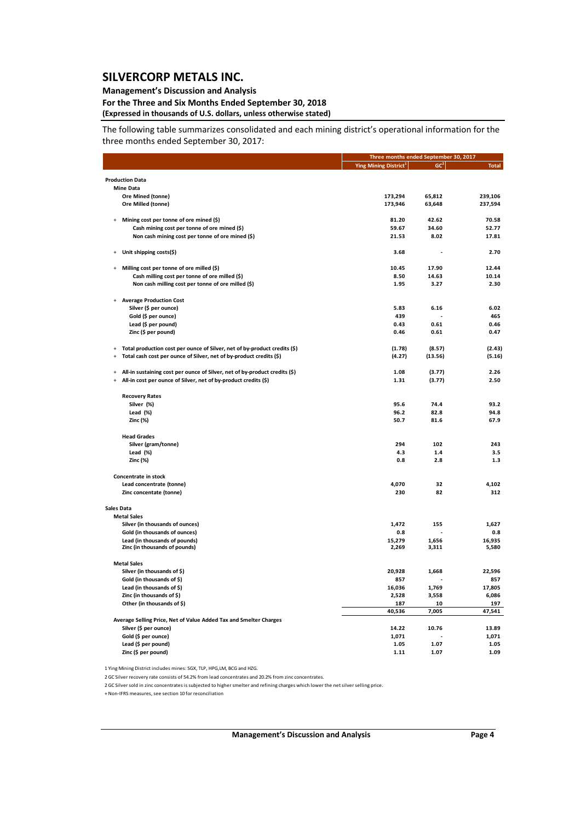## **Management's Discussion and Analysis**

#### **For the Three and Six Months Ended September 30, 2018 (Expressed in thousands of U.S. dollars, unless otherwise stated)**

The following table summarizes consolidated and each mining district's operational information for the three months ended September 30, 2017:

|                                                                                                    |                                   | Three months ended September 30, 2017 |                 |  |  |
|----------------------------------------------------------------------------------------------------|-----------------------------------|---------------------------------------|-----------------|--|--|
|                                                                                                    | Ying Mining District <sup>1</sup> | GC <sup>2</sup>                       | <b>Total</b>    |  |  |
| <b>Production Data</b>                                                                             |                                   |                                       |                 |  |  |
| <b>Mine Data</b>                                                                                   |                                   |                                       |                 |  |  |
| Ore Mined (tonne)                                                                                  | 173,294                           | 65,812                                | 239,106         |  |  |
| Ore Milled (tonne)                                                                                 | 173,946                           | 63,648                                | 237,594         |  |  |
|                                                                                                    |                                   |                                       |                 |  |  |
| Mining cost per tonne of ore mined (\$)<br>$\overline{+}$                                          | 81.20                             | 42.62                                 | 70.58           |  |  |
| Cash mining cost per tonne of ore mined (\$)                                                       | 59.67                             | 34.60                                 | 52.77           |  |  |
| Non cash mining cost per tonne of ore mined (\$)                                                   | 21.53                             | 8.02                                  | 17.81           |  |  |
|                                                                                                    |                                   |                                       |                 |  |  |
| Unit shipping costs(\$)<br>$\overline{+}$                                                          | 3.68                              |                                       | 2.70            |  |  |
| Milling cost per tonne of ore milled (\$)<br>$\overline{+}$                                        | 10.45                             | 17.90                                 | 12.44           |  |  |
| Cash milling cost per tonne of ore milled (\$)                                                     | 8.50                              | 14.63                                 | 10.14           |  |  |
| Non cash milling cost per tonne of ore milled (\$)                                                 | 1.95                              | 3.27                                  | 2.30            |  |  |
|                                                                                                    |                                   |                                       |                 |  |  |
| <b>Average Production Cost</b><br>$\overline{+}$                                                   |                                   |                                       |                 |  |  |
| Silver (\$ per ounce)                                                                              | 5.83                              | 6.16                                  | 6.02            |  |  |
| Gold (\$ per ounce)                                                                                | 439                               |                                       | 465             |  |  |
| Lead (\$ per pound)                                                                                | 0.43                              | 0.61                                  | 0.46            |  |  |
| Zinc (\$ per pound)                                                                                | 0.46                              | 0.61                                  | 0.47            |  |  |
|                                                                                                    |                                   |                                       |                 |  |  |
| Total production cost per ounce of Silver, net of by-product credits (\$)                          | (1.78)                            | (8.57)                                | (2.43)          |  |  |
| Total cash cost per ounce of Silver, net of by-product credits (\$)<br>$\ddot{\phantom{1}}$        | (4.27)                            | (13.56)                               | (5.16)          |  |  |
| All-in sustaining cost per ounce of Silver, net of by-product credits (\$)<br>$\ddot{\phantom{1}}$ | 1.08                              | (3.77)                                | 2.26            |  |  |
| All-in cost per ounce of Silver, net of by-product credits (\$)<br>$\ddot{+}$                      | 1.31                              | (3.77)                                | 2.50            |  |  |
|                                                                                                    |                                   |                                       |                 |  |  |
| <b>Recovery Rates</b>                                                                              |                                   |                                       |                 |  |  |
| Silver (%)                                                                                         | 95.6                              | 74.4                                  | 93.2            |  |  |
| Lead (%)                                                                                           | 96.2                              | 82.8                                  | 94.8            |  |  |
| Zinc (%)                                                                                           | 50.7                              | 81.6                                  | 67.9            |  |  |
| <b>Head Grades</b>                                                                                 |                                   |                                       |                 |  |  |
| Silver (gram/tonne)                                                                                | 294                               | 102                                   | 243             |  |  |
| Lead (%)                                                                                           | 4.3                               | 1.4                                   | 3.5             |  |  |
| Zinc (%)                                                                                           | 0.8                               | 2.8                                   | 1.3             |  |  |
| <b>Concentrate in stock</b>                                                                        |                                   |                                       |                 |  |  |
| Lead concentrate (tonne)                                                                           | 4,070                             | 32                                    | 4,102           |  |  |
| Zinc concentate (tonne)                                                                            | 230                               | 82                                    | 312             |  |  |
|                                                                                                    |                                   |                                       |                 |  |  |
| Sales Data                                                                                         |                                   |                                       |                 |  |  |
| <b>Metal Sales</b>                                                                                 |                                   |                                       |                 |  |  |
| Silver (in thousands of ounces)                                                                    | 1,472                             | 155                                   | 1,627           |  |  |
| Gold (in thousands of ounces)                                                                      | 0.8                               |                                       | 0.8             |  |  |
| Lead (in thousands of pounds)<br>Zinc (in thousands of pounds)                                     | 15,279<br>2,269                   | 1,656<br>3,311                        | 16,935<br>5,580 |  |  |
|                                                                                                    |                                   |                                       |                 |  |  |
| <b>Metal Sales</b>                                                                                 |                                   |                                       |                 |  |  |
| Silver (in thousands of \$)                                                                        | 20,928                            | 1,668                                 | 22,596          |  |  |
| Gold (in thousands of \$)                                                                          | 857                               |                                       | 857             |  |  |
| Lead (in thousands of \$)                                                                          | 16,036                            | 1,769                                 | 17,805          |  |  |
| Zinc (in thousands of \$)                                                                          | 2,528                             | 3,558                                 | 6,086           |  |  |
| Other (in thousands of \$)                                                                         | 187                               | 10                                    | 197             |  |  |
|                                                                                                    | 40,536                            | 7,005                                 | 47,541          |  |  |
| Average Selling Price, Net of Value Added Tax and Smelter Charges                                  |                                   |                                       |                 |  |  |
| Silver (\$ per ounce)                                                                              | 14.22                             | 10.76                                 | 13.89           |  |  |
| Gold (\$ per ounce)                                                                                | 1,071                             |                                       | 1,071           |  |  |
| Lead (\$ per pound)                                                                                | 1.05                              | 1.07                                  | 1.05            |  |  |
| Zinc (\$ per pound)                                                                                | 1.11                              | 1.07                                  | 1.09            |  |  |

1 Ying Mining District includes mines: SGX, TLP, HPG,LM, BCG and HZG.

2 GC Silver recovery rate consists of 54.2% from lead concentrates and 20.2% from zinc concentrates.

2 GC Silversold in zinc concentrates is subjected to highersmelter and refining charges which lower the net silverselling price.

+ Non‐IFRS measures, see section 10 for reconciliation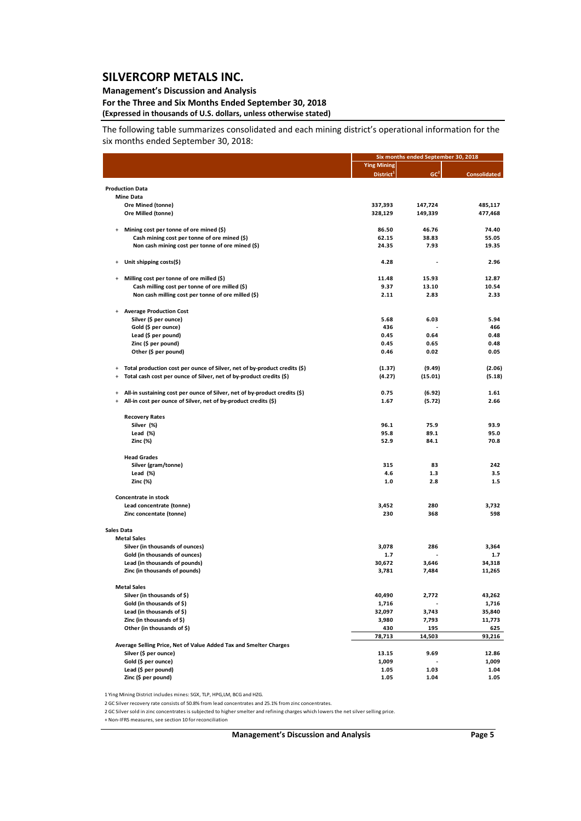## **Management's Discussion and Analysis**

#### **For the Three and Six Months Ended September 30, 2018 (Expressed in thousands of U.S. dollars, unless otherwise stated)**

The following table summarizes consolidated and each mining district's operational information for the six months ended September 30, 2018:

|                                  |                                                                            |                       | Six months ended September 30, 2018 |                     |  |  |
|----------------------------------|----------------------------------------------------------------------------|-----------------------|-------------------------------------|---------------------|--|--|
|                                  |                                                                            | <b>Ying Mining</b>    |                                     |                     |  |  |
|                                  |                                                                            | District <sup>1</sup> | GC <sup>2</sup>                     | <b>Consolidated</b> |  |  |
| <b>Production Data</b>           |                                                                            |                       |                                     |                     |  |  |
| <b>Mine Data</b>                 |                                                                            |                       |                                     |                     |  |  |
|                                  | Ore Mined (tonne)                                                          | 337,393               | 147,724                             | 485,117             |  |  |
|                                  | Ore Milled (tonne)                                                         | 328,129               | 149,339                             | 477,468             |  |  |
| $+$                              | Mining cost per tonne of ore mined (\$)                                    | 86.50                 | 46.76                               | 74.40               |  |  |
|                                  | Cash mining cost per tonne of ore mined (\$)                               | 62.15                 | 38.83                               | 55.05               |  |  |
|                                  | Non cash mining cost per tonne of ore mined (\$)                           | 24.35                 | 7.93                                | 19.35               |  |  |
| $^{+}$                           | Unit shipping costs(\$)                                                    | 4.28                  | ٠                                   | 2.96                |  |  |
| $\ddot{}$                        | Milling cost per tonne of ore milled (\$)                                  | 11.48                 | 15.93                               | 12.87               |  |  |
|                                  | Cash milling cost per tonne of ore milled (\$)                             | 9.37                  | 13.10                               | 10.54               |  |  |
|                                  | Non cash milling cost per tonne of ore milled (\$)                         | 2.11                  | 2.83                                | 2.33                |  |  |
|                                  | <b>Average Production Cost</b>                                             |                       |                                     |                     |  |  |
|                                  | Silver (\$ per ounce)                                                      | 5.68                  | 6.03                                | 5.94                |  |  |
|                                  | Gold (\$ per ounce)                                                        | 436                   |                                     | 466                 |  |  |
|                                  | Lead (\$ per pound)                                                        | 0.45                  | 0.64                                | 0.48                |  |  |
|                                  | Zinc (\$ per pound)                                                        | 0.45                  | 0.65                                | 0.48                |  |  |
|                                  | Other (\$ per pound)                                                       | 0.46                  | 0.02                                | 0.05                |  |  |
| $\ddot{}$                        | Total production cost per ounce of Silver, net of by-product credits (\$)  | (1.37)                | (9.49)                              | (2.06)              |  |  |
| $\ddot{}$                        | Total cash cost per ounce of Silver, net of by-product credits (\$)        | (4.27)                | (15.01)                             | (5.18)              |  |  |
| $\ddot{}$                        | All-in sustaining cost per ounce of Silver, net of by-product credits (\$) | 0.75                  | (6.92)                              | 1.61                |  |  |
| $\begin{array}{c} + \end{array}$ | All-in cost per ounce of Silver, net of by-product credits (\$)            | 1.67                  | (5.72)                              | 2.66                |  |  |
|                                  | <b>Recovery Rates</b>                                                      |                       |                                     |                     |  |  |
|                                  | Silver (%)                                                                 | 96.1                  | 75.9                                | 93.9                |  |  |
|                                  | Lead (%)                                                                   | 95.8                  | 89.1                                | 95.0                |  |  |
|                                  | Zinc (%)                                                                   | 52.9                  | 84.1                                | 70.8                |  |  |
|                                  | <b>Head Grades</b>                                                         |                       |                                     |                     |  |  |
|                                  | Silver (gram/tonne)                                                        | 315                   | 83                                  | 242                 |  |  |
|                                  | Lead (%)                                                                   | 4.6                   | 1.3                                 | 3.5                 |  |  |
|                                  | Zinc (%)                                                                   | 1.0                   | 2.8                                 | 1.5                 |  |  |
|                                  | Concentrate in stock                                                       |                       |                                     |                     |  |  |
|                                  | Lead concentrate (tonne)                                                   | 3,452                 | 280                                 | 3,732               |  |  |
|                                  | Zinc concentate (tonne)                                                    | 230                   | 368                                 | 598                 |  |  |
| Sales Data                       |                                                                            |                       |                                     |                     |  |  |
| <b>Metal Sales</b>               |                                                                            |                       |                                     |                     |  |  |
|                                  | Silver (in thousands of ounces)                                            | 3,078                 | 286                                 | 3,364               |  |  |
|                                  | Gold (in thousands of ounces)                                              | 1.7                   |                                     | 1.7                 |  |  |
|                                  | Lead (in thousands of pounds)                                              | 30,672                | 3,646                               | 34,318              |  |  |
|                                  | Zinc (in thousands of pounds)                                              | 3,781                 | 7,484                               | 11,265              |  |  |
| <b>Metal Sales</b>               |                                                                            |                       |                                     |                     |  |  |
|                                  | Silver (in thousands of \$)                                                | 40,490                | 2,772                               | 43,262              |  |  |
|                                  | Gold (in thousands of \$)                                                  | 1,716                 |                                     | 1,716               |  |  |
|                                  | Lead (in thousands of \$)                                                  | 32,097                | 3,743                               | 35,840              |  |  |
|                                  | Zinc (in thousands of \$)                                                  | 3,980                 | 7,793                               | 11,773              |  |  |
|                                  | Other (in thousands of \$)                                                 | 430                   | 195                                 | 625                 |  |  |
|                                  | Average Selling Price, Net of Value Added Tax and Smelter Charges          | 78,713                | 14,503                              | 93,216              |  |  |
|                                  | Silver (\$ per ounce)                                                      | 13.15                 | 9.69                                | 12.86               |  |  |
|                                  | Gold (\$ per ounce)                                                        | 1,009                 |                                     | 1,009               |  |  |
|                                  | Lead (\$ per pound)                                                        | 1.05                  | 1.03                                | 1.04                |  |  |
|                                  | Zinc (\$ per pound)                                                        | 1.05                  | 1.04                                | 1.05                |  |  |
|                                  |                                                                            |                       |                                     |                     |  |  |

1 Ying Mining District includes mines: SGX, TLP, HPG,LM, BCG and HZG.

2 GC Silver recovery rate consists of 50.8% from lead concentrates and 25.1% from zinc concentrates.

2 GC Silversold in zinc concentrates is subjected to highersmelter and refining charges which lowers the net silverselling price.

+ Non‐IFRS measures, see section 10 for reconciliation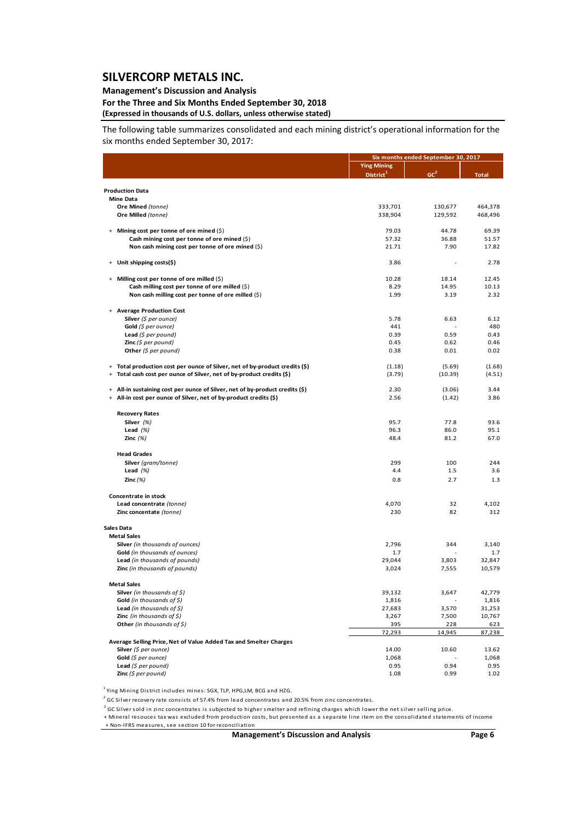### **Management's Discussion and Analysis**

#### **For the Three and Six Months Ended September 30, 2018 (Expressed in thousands of U.S. dollars, unless otherwise stated)**

The following table summarizes consolidated and each mining district's operational information for the six months ended September 30, 2017:

|                                                                              |                       | Six months ended September 30, 2017 |               |  |  |
|------------------------------------------------------------------------------|-----------------------|-------------------------------------|---------------|--|--|
|                                                                              | <b>Ying Mining</b>    |                                     |               |  |  |
|                                                                              | District <sup>1</sup> | GC <sup>2</sup>                     | <b>Total</b>  |  |  |
|                                                                              |                       |                                     |               |  |  |
| <b>Production Data</b><br><b>Mine Data</b>                                   |                       |                                     |               |  |  |
| Ore Mined (tonne)                                                            | 333,701               | 130,677                             | 464,378       |  |  |
| Ore Milled (tonne)                                                           | 338,904               | 129,592                             | 468,496       |  |  |
|                                                                              |                       |                                     |               |  |  |
| + Mining cost per tonne of ore mined (\$)                                    | 79.03                 | 44.78                               | 69.39         |  |  |
| Cash mining cost per tonne of ore mined $(\xi)$                              | 57.32                 | 36.88                               | 51.57         |  |  |
| Non cash mining cost per tonne of ore mined (\$)                             | 21.71                 | 7.90                                | 17.82         |  |  |
|                                                                              |                       |                                     |               |  |  |
| + Unit shipping costs(\$)                                                    | 3.86                  |                                     | 2.78          |  |  |
| + Milling cost per tonne of ore milled (\$)                                  | 10.28                 | 18.14                               | 12.45         |  |  |
| Cash milling cost per tonne of ore milled (\$)                               | 8.29                  | 14.95                               | 10.13         |  |  |
| Non cash milling cost per tonne of ore milled $(\xi)$                        | 1.99                  | 3.19                                | 2.32          |  |  |
|                                                                              |                       |                                     |               |  |  |
| + Average Production Cost                                                    |                       |                                     |               |  |  |
| Silver (\$ per ounce)                                                        | 5.78                  | 6.63                                | 6.12          |  |  |
| Gold (\$ per ounce)                                                          | 441                   |                                     | 480           |  |  |
| Lead $(\xi$ per pound)                                                       | 0.39                  | 0.59                                | 0.43          |  |  |
| <b>Zinc</b> $(5$ per pound)                                                  | 0.45                  | 0.62                                | 0.46          |  |  |
| Other $(\xi$ per pound)                                                      | 0.38                  | 0.01                                | 0.02          |  |  |
| + Total production cost per ounce of Silver, net of by-product credits (\$)  | (1.18)                | (5.69)                              | (1.68)        |  |  |
| + Total cash cost per ounce of Silver, net of by-product credits (\$)        | (3.79)                | (10.39)                             | (4.51)        |  |  |
|                                                                              |                       |                                     |               |  |  |
| + All-in sustaining cost per ounce of Silver, net of by-product credits (\$) | 2.30                  | (3.06)                              | 3.44          |  |  |
| + All-in cost per ounce of Silver, net of by-product credits (\$)            | 2.56                  | (1.42)                              | 3.86          |  |  |
|                                                                              |                       |                                     |               |  |  |
| <b>Recovery Rates</b>                                                        |                       |                                     |               |  |  |
| Silver (%)<br>Lead $(%)$                                                     | 95.7<br>96.3          | 77.8<br>86.0                        | 93.6<br>95.1  |  |  |
| Zinc $(%)$                                                                   | 48.4                  | 81.2                                | 67.0          |  |  |
|                                                                              |                       |                                     |               |  |  |
| <b>Head Grades</b>                                                           |                       |                                     |               |  |  |
| Silver (gram/tonne)                                                          | 299                   | 100                                 | 244           |  |  |
| Lead $(%)$                                                                   | 4.4                   | 1.5                                 | 3.6           |  |  |
| Zinc $(\%)$                                                                  | 0.8                   | 2.7                                 | 1.3           |  |  |
| Concentrate in stock                                                         |                       |                                     |               |  |  |
| Lead concentrate (tonne)                                                     | 4,070                 | 32                                  | 4,102         |  |  |
| Zinc concentate (tonne)                                                      | 230                   | 82                                  | 312           |  |  |
|                                                                              |                       |                                     |               |  |  |
| <b>Sales Data</b>                                                            |                       |                                     |               |  |  |
| <b>Metal Sales</b>                                                           |                       |                                     |               |  |  |
| Silver (in thousands of ounces)                                              | 2,796                 | 344                                 | 3,140         |  |  |
| Gold (in thousands of ounces)                                                | 1.7                   |                                     | 1.7           |  |  |
| Lead (in thousands of pounds)                                                | 29,044                | 3,803                               | 32,847        |  |  |
| Zinc (in thousands of pounds)                                                | 3,024                 | 7,555                               | 10,579        |  |  |
| <b>Metal Sales</b>                                                           |                       |                                     |               |  |  |
| Silver (in thousands of $\zeta$ )                                            | 39,132                | 3,647                               | 42,779        |  |  |
| Gold (in thousands of $\zeta$ )                                              | 1,816                 |                                     | 1,816         |  |  |
| Lead (in thousands of $\zeta$ )                                              | 27,683                | 3,570                               | 31,253        |  |  |
| <b>Zinc</b> (in thousands of $\zeta$ )                                       | 3,267                 | 7,500                               | 10,767        |  |  |
| Other (in thousands of $$$ )                                                 | 395                   | 228                                 | 623           |  |  |
|                                                                              | 72,293                | 14,945                              | 87,238        |  |  |
| Average Selling Price, Net of Value Added Tax and Smelter Charges            |                       |                                     |               |  |  |
| Silver (\$ per ounce)                                                        | 14.00                 | 10.60                               | 13.62         |  |  |
| Gold (\$ per ounce)<br>Lead (\$ per pound)                                   | 1,068<br>0.95         | 0.94                                | 1,068<br>0.95 |  |  |
| Zinc $(5 per pound)$                                                         | 1.08                  | 0.99                                | 1.02          |  |  |
|                                                                              |                       |                                     |               |  |  |

<sup>1</sup> Ying Mining District includes mines: SGX, TLP, HPG,LM, BCG and HZG.

<sup>2</sup> GC Silver recovery rate consists of 57.4% from lead concentrates and 20.5% from zinc concentrates.

 $^2$  GC Silver sold in zinc concentrates is subjected to higher smelter and refining charges which lower the net silver selling price.

+ Mineral resouces ta x was excluded from production cos ts, but presented a s a sepa ra te line i tem on the cons olida ted s ta tements of income + Non‐IFRS mea sures, see section 10 for reconcilia tion

**Management's Discussion and Analysis Page 6**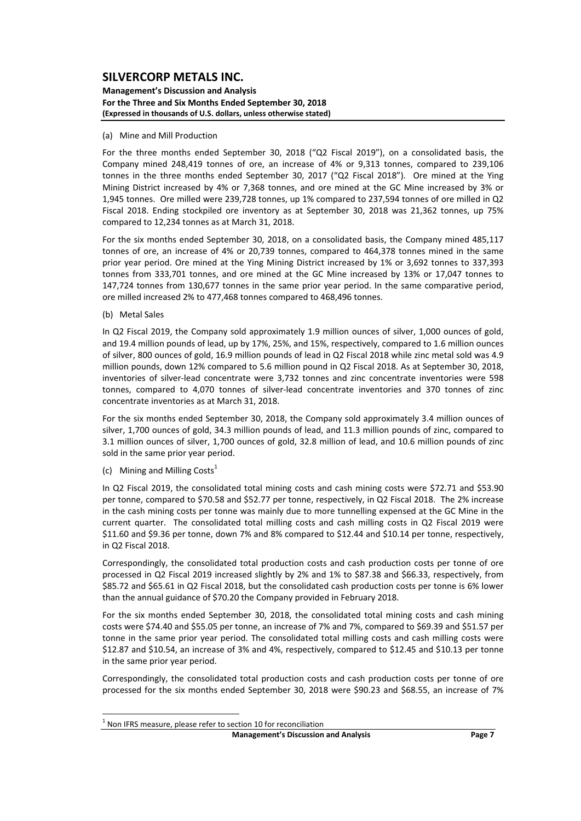#### **Management's Discussion and Analysis For the Three and Six Months Ended September 30, 2018 (Expressed in thousands of U.S. dollars, unless otherwise stated)**

#### (a) Mine and Mill Production

For the three months ended September 30, 2018 ("Q2 Fiscal 2019"), on a consolidated basis, the Company mined 248,419 tonnes of ore, an increase of 4% or 9,313 tonnes, compared to 239,106 tonnes in the three months ended September 30, 2017 ("Q2 Fiscal 2018"). Ore mined at the Ying Mining District increased by 4% or 7,368 tonnes, and ore mined at the GC Mine increased by 3% or 1,945 tonnes. Ore milled were 239,728 tonnes, up 1% compared to 237,594 tonnes of ore milled in Q2 Fiscal 2018. Ending stockpiled ore inventory as at September 30, 2018 was 21,362 tonnes, up 75% compared to 12,234 tonnes as at March 31, 2018.

For the six months ended September 30, 2018, on a consolidated basis, the Company mined 485,117 tonnes of ore, an increase of 4% or 20,739 tonnes, compared to 464,378 tonnes mined in the same prior year period. Ore mined at the Ying Mining District increased by 1% or 3,692 tonnes to 337,393 tonnes from 333,701 tonnes, and ore mined at the GC Mine increased by 13% or 17,047 tonnes to 147,724 tonnes from 130,677 tonnes in the same prior year period. In the same comparative period, ore milled increased 2% to 477,468 tonnes compared to 468,496 tonnes.

(b) Metal Sales

In Q2 Fiscal 2019, the Company sold approximately 1.9 million ounces of silver, 1,000 ounces of gold, and 19.4 million pounds of lead, up by 17%, 25%, and 15%, respectively, compared to 1.6 million ounces of silver, 800 ounces of gold, 16.9 million pounds of lead in Q2 Fiscal 2018 while zinc metal sold was 4.9 million pounds, down 12% compared to 5.6 million pound in Q2 Fiscal 2018. As at September 30, 2018, inventories of silver‐lead concentrate were 3,732 tonnes and zinc concentrate inventories were 598 tonnes, compared to 4,070 tonnes of silver-lead concentrate inventories and 370 tonnes of zinc concentrate inventories as at March 31, 2018.

For the six months ended September 30, 2018, the Company sold approximately 3.4 million ounces of silver, 1,700 ounces of gold, 34.3 million pounds of lead, and 11.3 million pounds of zinc, compared to 3.1 million ounces of silver, 1,700 ounces of gold, 32.8 million of lead, and 10.6 million pounds of zinc sold in the same prior year period.

(c) Mining and Milling Costs $<sup>1</sup>$ </sup>

In Q2 Fiscal 2019, the consolidated total mining costs and cash mining costs were \$72.71 and \$53.90 per tonne, compared to \$70.58 and \$52.77 per tonne, respectively, in Q2 Fiscal 2018. The 2% increase in the cash mining costs per tonne was mainly due to more tunnelling expensed at the GC Mine in the current quarter. The consolidated total milling costs and cash milling costs in Q2 Fiscal 2019 were \$11.60 and \$9.36 per tonne, down 7% and 8% compared to \$12.44 and \$10.14 per tonne, respectively, in Q2 Fiscal 2018.

Correspondingly, the consolidated total production costs and cash production costs per tonne of ore processed in Q2 Fiscal 2019 increased slightly by 2% and 1% to \$87.38 and \$66.33, respectively, from \$85.72 and \$65.61 in Q2 Fiscal 2018, but the consolidated cash production costs per tonne is 6% lower than the annual guidance of \$70.20 the Company provided in February 2018.

For the six months ended September 30, 2018, the consolidated total mining costs and cash mining costs were \$74.40 and \$55.05 per tonne, an increase of 7% and 7%, compared to \$69.39 and \$51.57 per tonne in the same prior year period. The consolidated total milling costs and cash milling costs were \$12.87 and \$10.54, an increase of 3% and 4%, respectively, compared to \$12.45 and \$10.13 per tonne in the same prior year period.

Correspondingly, the consolidated total production costs and cash production costs per tonne of ore processed for the six months ended September 30, 2018 were \$90.23 and \$68.55, an increase of 7%

 $1$  Non IFRS measure, please refer to section 10 for reconciliation

**Management's Discussion and Analysis Page 7**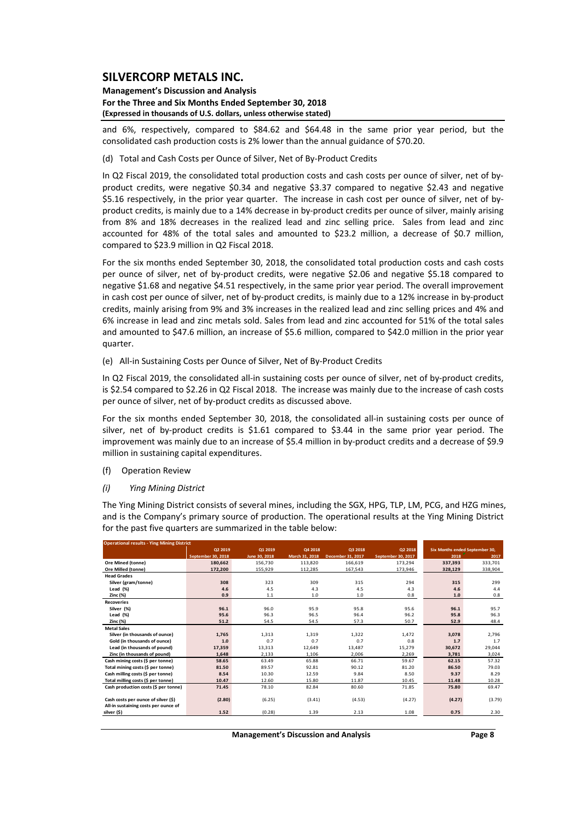#### **Management's Discussion and Analysis For the Three and Six Months Ended September 30, 2018 (Expressed in thousands of U.S. dollars, unless otherwise stated)**

and 6%, respectively, compared to \$84.62 and \$64.48 in the same prior year period, but the consolidated cash production costs is 2% lower than the annual guidance of \$70.20.

#### (d) Total and Cash Costs per Ounce of Silver, Net of By‐Product Credits

In Q2 Fiscal 2019, the consolidated total production costs and cash costs per ounce of silver, net of byproduct credits, were negative \$0.34 and negative \$3.37 compared to negative \$2.43 and negative \$5.16 respectively, in the prior year quarter. The increase in cash cost per ounce of silver, net of byproduct credits, is mainly due to a 14% decrease in by-product credits per ounce of silver, mainly arising from 8% and 18% decreases in the realized lead and zinc selling price. Sales from lead and zinc accounted for 48% of the total sales and amounted to \$23.2 million, a decrease of \$0.7 million, compared to \$23.9 million in Q2 Fiscal 2018.

For the six months ended September 30, 2018, the consolidated total production costs and cash costs per ounce of silver, net of by-product credits, were negative \$2.06 and negative \$5.18 compared to negative \$1.68 and negative \$4.51 respectively, in the same prior year period. The overall improvement in cash cost per ounce of silver, net of by-product credits, is mainly due to a 12% increase in by-product credits, mainly arising from 9% and 3% increases in the realized lead and zinc selling prices and 4% and 6% increase in lead and zinc metals sold. Sales from lead and zinc accounted for 51% of the total sales and amounted to \$47.6 million, an increase of \$5.6 million, compared to \$42.0 million in the prior year quarter.

#### (e) All‐in Sustaining Costs per Ounce of Silver, Net of By‐Product Credits

In Q2 Fiscal 2019, the consolidated all-in sustaining costs per ounce of silver, net of by-product credits, is \$2.54 compared to \$2.26 in Q2 Fiscal 2018. The increase was mainly due to the increase of cash costs per ounce of silver, net of by‐product credits as discussed above.

For the six months ended September 30, 2018, the consolidated all-in sustaining costs per ounce of silver, net of by-product credits is \$1.61 compared to \$3.44 in the same prior year period. The improvement was mainly due to an increase of \$5.4 million in by-product credits and a decrease of \$9.9 million in sustaining capital expenditures.

(f) Operation Review

#### *(i) Ying Mining District*

The Ying Mining District consists of several mines, including the SGX, HPG, TLP, LM, PCG, and HZG mines, and is the Company's primary source of production. The operational results at the Ying Mining District for the past five quarters are summarized in the table below:

| <b>Operational results - Ying Mining District</b> |                    |               |                |                          |                    |                                |         |  |  |  |  |
|---------------------------------------------------|--------------------|---------------|----------------|--------------------------|--------------------|--------------------------------|---------|--|--|--|--|
|                                                   | Q2 2019            | 01 2019       | Q4 2018        | Q3 2018                  | Q2 2018            | Six Months ended September 30, |         |  |  |  |  |
|                                                   | September 30, 2018 | June 30, 2018 | March 31, 2018 | <b>December 31, 2017</b> | September 30, 2017 | 2018                           | 2017    |  |  |  |  |
| <b>Ore Mined (tonne)</b>                          | 180.662            | 156.730       | 113,820        | 166.619                  | 173.294            | 337.393                        | 333,701 |  |  |  |  |
| <b>Ore Milled (tonne)</b>                         | 172.200            | 155.929       | 112.285        | 167.543                  | 173,946            | 328,129                        | 338,904 |  |  |  |  |
| <b>Head Grades</b>                                |                    |               |                |                          |                    |                                |         |  |  |  |  |
| Silver (gram/tonne)                               | 308                | 323           | 309            | 315                      | 294                | 315                            | 299     |  |  |  |  |
| Lead (%)                                          | 4.6                | 4.5           | 4.3            | 4.5                      | 4.3                | 4.6                            | 4.4     |  |  |  |  |
| Zinc (%)                                          | 0.9                | 1.1           | 1.0            | 1.0                      | 0.8                | 1.0                            | 0.8     |  |  |  |  |
| <b>Recoveries</b>                                 |                    |               |                |                          |                    |                                |         |  |  |  |  |
| Silver (%)                                        | 96.1               | 96.0          | 95.9           | 95.8                     | 95.6               | 96.1                           | 95.7    |  |  |  |  |
| Lead (%)                                          | 95.6               | 96.3          | 96.5           | 96.4                     | 96.2               | 95.8                           | 96.3    |  |  |  |  |
| Zinc (%)                                          | 51.2               | 54.5          | 54.5           | 57.3                     | 50.7               | 52.9                           | 48.4    |  |  |  |  |
| <b>Metal Sales</b>                                |                    |               |                |                          |                    |                                |         |  |  |  |  |
| Silver (in thousands of ounce)                    | 1,765              | 1,313         | 1,319          | 1,322                    | 1,472              | 3,078                          | 2,796   |  |  |  |  |
| Gold (in thousands of ounce)                      | 1.0                | 0.7           | 0.7            | 0.7                      | 0.8                | 1.7                            | 1.7     |  |  |  |  |
| Lead (in thousands of pound)                      | 17,359             | 13,313        | 12.649         | 13.487                   | 15.279             | 30.672                         | 29,044  |  |  |  |  |
| Zinc (in thousands of pound)                      | 1.648              | 2.133         | 1,106          | 2.006                    | 2,269              | 3.781                          | 3,024   |  |  |  |  |
| Cash mining costs (\$ per tonne)                  | 58.65              | 63.49         | 65.88          | 66.71                    | 59.67              | 62.15                          | 57.32   |  |  |  |  |
| Total mining costs (\$ per tonne)                 | 81.50              | 89.57         | 92.81          | 90.12                    | 81.20              | 86.50                          | 79.03   |  |  |  |  |
| Cash milling costs (\$ per tonne)                 | 8.54               | 10.30         | 12.59          | 9.84                     | 8.50               | 9.37                           | 8.29    |  |  |  |  |
| Total milling costs (\$ per tonne)                | 10.47              | 12.60         | 15.80          | 11.87                    | 10.45              | 11.48                          | 10.28   |  |  |  |  |
| Cash production costs (\$ per tonne)              | 71.45              | 78.10         | 82.84          | 80.60                    | 71.85              | 75.80                          | 69.47   |  |  |  |  |
|                                                   |                    |               |                |                          |                    |                                |         |  |  |  |  |
| Cash costs per ounce of silver (\$)               | (2.80)             | (6.25)        | (3.41)         | (4.53)                   | (4.27)             | (4.27)                         | (3.79)  |  |  |  |  |
| All-in sustaining costs per ounce of              |                    |               |                |                          |                    |                                |         |  |  |  |  |
| silver (\$)                                       | 1.52               | (0.28)        | 1.39           | 2.13                     | 1.08               | 0.75                           | 2.30    |  |  |  |  |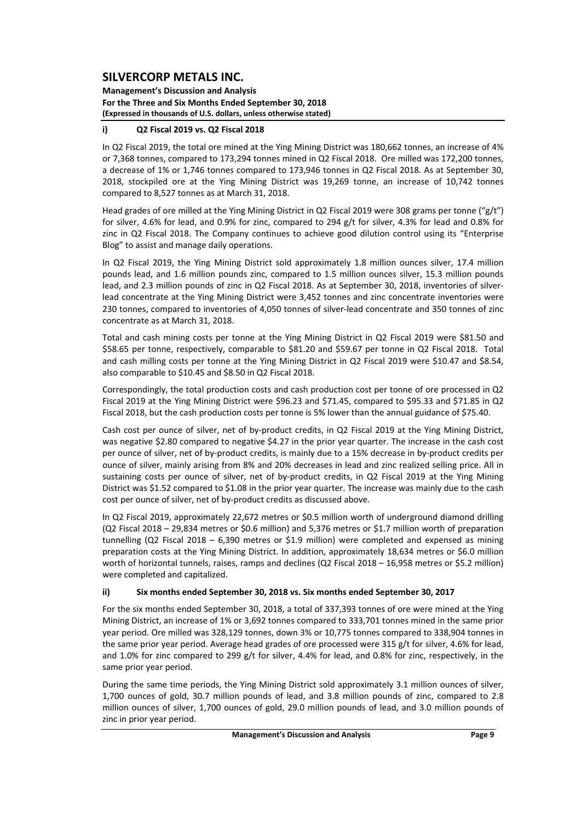**Management's Discussion and Analysis For the Three and Six Months Ended September 30, 2018 (Expressed in thousands of U.S. dollars, unless otherwise stated)**

## **i) Q2 Fiscal 2019 vs. Q2 Fiscal 2018**

In Q2 Fiscal 2019, the total ore mined at the Ying Mining District was 180,662 tonnes, an increase of 4% or 7,368 tonnes, compared to 173,294 tonnes mined in Q2 Fiscal 2018. Ore milled was 172,200 tonnes, a decrease of 1% or 1,746 tonnes compared to 173,946 tonnes in Q2 Fiscal 2018. As at September 30, 2018, stockpiled ore at the Ying Mining District was 19,269 tonne, an increase of 10,742 tonnes compared to 8,527 tonnes as at March 31, 2018.

Head grades of ore milled at the Ying Mining District in Q2 Fiscal 2019 were 308 grams per tonne ("g/t") for silver, 4.6% for lead, and 0.9% for zinc, compared to 294 g/t for silver, 4.3% for lead and 0.8% for zinc in Q2 Fiscal 2018. The Company continues to achieve good dilution control using its "Enterprise Blog" to assist and manage daily operations.

In Q2 Fiscal 2019, the Ying Mining District sold approximately 1.8 million ounces silver, 17.4 million pounds lead, and 1.6 million pounds zinc, compared to 1.5 million ounces silver, 15.3 million pounds lead, and 2.3 million pounds of zinc in Q2 Fiscal 2018. As at September 30, 2018, inventories of silverlead concentrate at the Ying Mining District were 3,452 tonnes and zinc concentrate inventories were 230 tonnes, compared to inventories of 4,050 tonnes of silver‐lead concentrate and 350 tonnes of zinc concentrate as at March 31, 2018.

Total and cash mining costs per tonne at the Ying Mining District in Q2 Fiscal 2019 were \$81.50 and \$58.65 per tonne, respectively, comparable to \$81.20 and \$59.67 per tonne in Q2 Fiscal 2018. Total and cash milling costs per tonne at the Ying Mining District in Q2 Fiscal 2019 were \$10.47 and \$8.54, also comparable to \$10.45 and \$8.50 in Q2 Fiscal 2018.

Correspondingly, the total production costs and cash production cost per tonne of ore processed in Q2 Fiscal 2019 at the Ying Mining District were \$96.23 and \$71.45, compared to \$95.33 and \$71.85 in Q2 Fiscal 2018, but the cash production costs per tonne is 5% lower than the annual guidance of \$75.40.

Cash cost per ounce of silver, net of by‐product credits, in Q2 Fiscal 2019 at the Ying Mining District, was negative \$2.80 compared to negative \$4.27 in the prior year quarter. The increase in the cash cost per ounce of silver, net of by‐product credits, is mainly due to a 15% decrease in by‐product credits per ounce of silver, mainly arising from 8% and 20% decreases in lead and zinc realized selling price. All in sustaining costs per ounce of silver, net of by-product credits, in Q2 Fiscal 2019 at the Ying Mining District was \$1.52 compared to \$1.08 in the prior year quarter. The increase was mainly due to the cash cost per ounce of silver, net of by‐product credits as discussed above.

In Q2 Fiscal 2019, approximately 22,672 metres or \$0.5 million worth of underground diamond drilling (Q2 Fiscal 2018 – 29,834 metres or \$0.6 million) and 5,376 metres or \$1.7 million worth of preparation tunnelling (Q2 Fiscal 2018 – 6,390 metres or \$1.9 million) were completed and expensed as mining preparation costs at the Ying Mining District. In addition, approximately 18,634 metres or \$6.0 million worth of horizontal tunnels, raises, ramps and declines (Q2 Fiscal 2018 - 16,958 metres or \$5.2 million) were completed and capitalized.

#### **ii) Six months ended September 30, 2018 vs. Six months ended September 30, 2017**

For the six months ended September 30, 2018, a total of 337,393 tonnes of ore were mined at the Ying Mining District, an increase of 1% or 3,692 tonnes compared to 333,701 tonnes mined in the same prior year period. Ore milled was 328,129 tonnes, down 3% or 10,775 tonnes compared to 338,904 tonnes in the same prior year period. Average head grades of ore processed were 315 g/t for silver, 4.6% for lead, and 1.0% for zinc compared to 299 g/t for silver, 4.4% for lead, and 0.8% for zinc, respectively, in the same prior year period.

During the same time periods, the Ying Mining District sold approximately 3.1 million ounces of silver, 1,700 ounces of gold, 30.7 million pounds of lead, and 3.8 million pounds of zinc, compared to 2.8 million ounces of silver, 1,700 ounces of gold, 29.0 million pounds of lead, and 3.0 million pounds of zinc in prior year period.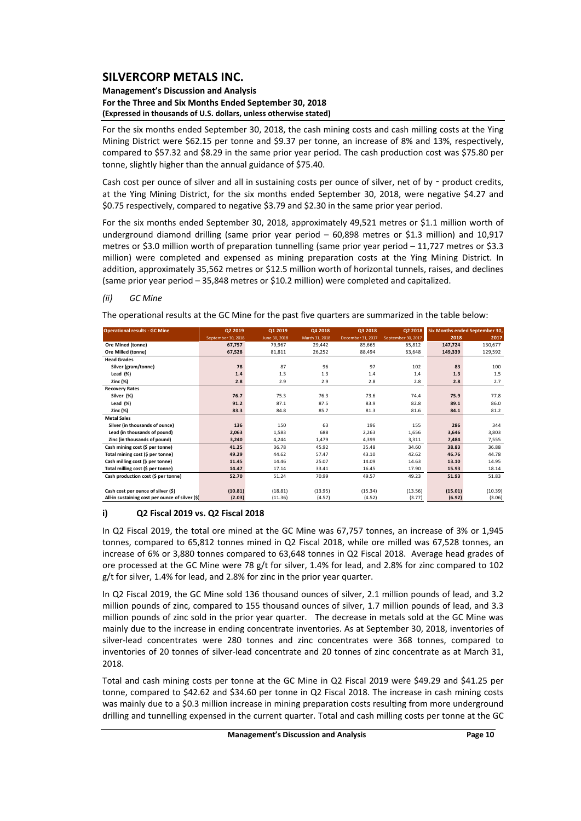#### **Management's Discussion and Analysis For the Three and Six Months Ended September 30, 2018 (Expressed in thousands of U.S. dollars, unless otherwise stated)**

For the six months ended September 30, 2018, the cash mining costs and cash milling costs at the Ying Mining District were \$62.15 per tonne and \$9.37 per tonne, an increase of 8% and 13%, respectively, compared to \$57.32 and \$8.29 in the same prior year period. The cash production cost was \$75.80 per tonne, slightly higher than the annual guidance of \$75.40.

Cash cost per ounce of silver and all in sustaining costs per ounce of silver, net of by - product credits, at the Ying Mining District, for the six months ended September 30, 2018, were negative \$4.27 and \$0.75 respectively, compared to negative \$3.79 and \$2.30 in the same prior year period.

For the six months ended September 30, 2018, approximately 49,521 metres or \$1.1 million worth of underground diamond drilling (same prior year period – 60,898 metres or \$1.3 million) and 10,917 metres or \$3.0 million worth of preparation tunnelling (same prior year period – 11,727 metres or \$3.3 million) were completed and expensed as mining preparation costs at the Ying Mining District. In addition, approximately 35,562 metres or \$12.5 million worth of horizontal tunnels, raises, and declines (same prior year period – 35,848 metres or \$10.2 million) were completed and capitalized.

## *(ii) GC Mine*

The operational results at the GC Mine for the past five quarters are summarized in the table below:

| <b>Operational results - GC Mine</b>            | Q2 2019            | 01 2019       | Q4 2018        | Q3 2018           | 02 2018            |         | <b>Six Months ended September 30,</b> |
|-------------------------------------------------|--------------------|---------------|----------------|-------------------|--------------------|---------|---------------------------------------|
|                                                 | September 30, 2018 | June 30, 2018 | March 31, 2018 | December 31, 2017 | September 30, 2017 | 2018    | 2017                                  |
| Ore Mined (tonne)                               | 67,757             | 79,967        | 29,442         | 85,665            | 65,812             | 147,724 | 130,677                               |
| Ore Milled (tonne)                              | 67,528             | 81,811        | 26,252         | 88,494            | 63,648             | 149,339 | 129,592                               |
| <b>Head Grades</b>                              |                    |               |                |                   |                    |         |                                       |
| Silver (gram/tonne)                             | 78                 | 87            | 96             | 97                | 102                | 83      | 100                                   |
| Lead $(\%)$                                     | 1.4                | 1.3           | 1.3            | 1.4               | 1.4                | 1.3     | 1.5                                   |
| <b>Zinc (%)</b>                                 | 2.8                | 2.9           | 2.9            | 2.8               | 2.8                | 2.8     | 2.7                                   |
| <b>Recovery Rates</b>                           |                    |               |                |                   |                    |         |                                       |
| Silver (%)                                      | 76.7               | 75.3          | 76.3           | 73.6              | 74.4               | 75.9    | 77.8                                  |
| Lead $(%)$                                      | 91.2               | 87.1          | 87.5           | 83.9              | 82.8               | 89.1    | 86.0                                  |
| <b>Zinc (%)</b>                                 | 83.3               | 84.8          | 85.7           | 81.3              | 81.6               | 84.1    | 81.2                                  |
| <b>Metal Sales</b>                              |                    |               |                |                   |                    |         |                                       |
| Silver (in thousands of ounce)                  | 136                | 150           | 63             | 196               | 155                | 286     | 344                                   |
| Lead (in thousands of pound)                    | 2,063              | 1,583         | 688            | 2,263             | 1,656              | 3,646   | 3,803                                 |
| Zinc (in thousands of pound)                    | 3,240              | 4,244         | 1,479          | 4,399             | 3,311              | 7,484   | 7,555                                 |
| Cash mining cost (\$ per tonne)                 | 41.25              | 36.78         | 45.92          | 35.48             | 34.60              | 38.83   | 36.88                                 |
| Total mining cost (\$ per tonne)                | 49.29              | 44.62         | 57.47          | 43.10             | 42.62              | 46.76   | 44.78                                 |
| Cash milling cost (\$ per tonne)                | 11.45              | 14.46         | 25.07          | 14.09             | 14.63              | 13.10   | 14.95                                 |
| Total milling cost (\$ per tonne)               | 14.47              | 17.14         | 33.41          | 16.45             | 17.90              | 15.93   | 18.14                                 |
| Cash production cost (\$ per tonne)             | 52.70              | 51.24         | 70.99          | 49.57             | 49.23              | 51.93   | 51.83                                 |
|                                                 |                    |               |                |                   |                    |         |                                       |
| Cash cost per ounce of silver (\$)              | (10.81)            | (18.81)       | (13.95)        | (15.34)           | (13.56)            | (15.01) | (10.39)                               |
| All-in sustaining cost per ounce of silver (\$) | (2.03)             | (11.36)       | (4.57)         | (4.52)            | (3.77)             | (6.92)  | (3.06)                                |

#### **i) Q2 Fiscal 2019 vs. Q2 Fiscal 2018**

In Q2 Fiscal 2019, the total ore mined at the GC Mine was 67,757 tonnes, an increase of 3% or 1,945 tonnes, compared to 65,812 tonnes mined in Q2 Fiscal 2018, while ore milled was 67,528 tonnes, an increase of 6% or 3,880 tonnes compared to 63,648 tonnes in Q2 Fiscal 2018. Average head grades of ore processed at the GC Mine were 78 g/t for silver, 1.4% for lead, and 2.8% for zinc compared to 102 g/t for silver, 1.4% for lead, and 2.8% for zinc in the prior year quarter.

In Q2 Fiscal 2019, the GC Mine sold 136 thousand ounces of silver, 2.1 million pounds of lead, and 3.2 million pounds of zinc, compared to 155 thousand ounces of silver, 1.7 million pounds of lead, and 3.3 million pounds of zinc sold in the prior year quarter. The decrease in metals sold at the GC Mine was mainly due to the increase in ending concentrate inventories. As at September 30, 2018, inventories of silver-lead concentrates were 280 tonnes and zinc concentrates were 368 tonnes, compared to inventories of 20 tonnes of silver-lead concentrate and 20 tonnes of zinc concentrate as at March 31, 2018.

Total and cash mining costs per tonne at the GC Mine in Q2 Fiscal 2019 were \$49.29 and \$41.25 per tonne, compared to \$42.62 and \$34.60 per tonne in Q2 Fiscal 2018. The increase in cash mining costs was mainly due to a \$0.3 million increase in mining preparation costs resulting from more underground drilling and tunnelling expensed in the current quarter. Total and cash milling costs per tonne at the GC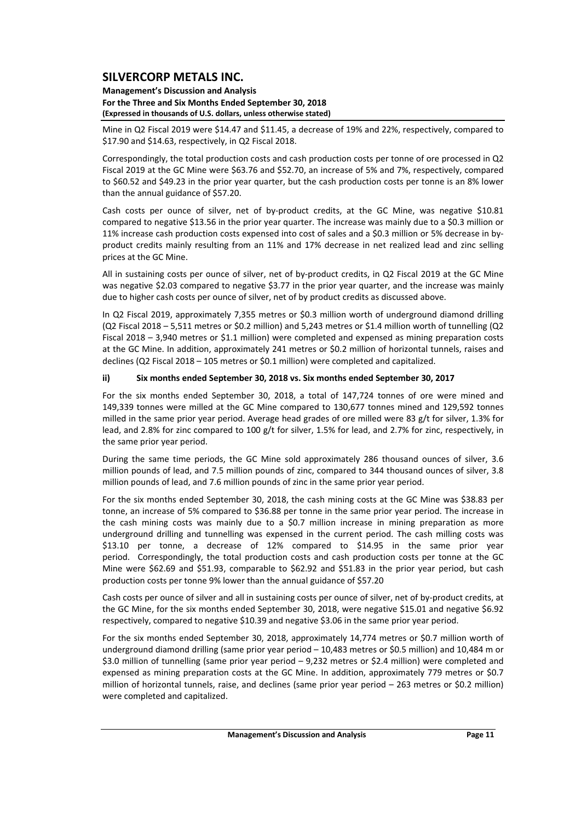#### **Management's Discussion and Analysis For the Three and Six Months Ended September 30, 2018 (Expressed in thousands of U.S. dollars, unless otherwise stated)**

Mine in Q2 Fiscal 2019 were \$14.47 and \$11.45, a decrease of 19% and 22%, respectively, compared to \$17.90 and \$14.63, respectively, in Q2 Fiscal 2018.

Correspondingly, the total production costs and cash production costs per tonne of ore processed in Q2 Fiscal 2019 at the GC Mine were \$63.76 and \$52.70, an increase of 5% and 7%, respectively, compared to \$60.52 and \$49.23 in the prior year quarter, but the cash production costs per tonne is an 8% lower than the annual guidance of \$57.20.

Cash costs per ounce of silver, net of by-product credits, at the GC Mine, was negative \$10.81 compared to negative \$13.56 in the prior year quarter. The increase was mainly due to a \$0.3 million or 11% increase cash production costs expensed into cost of sales and a \$0.3 million or 5% decrease in by‐ product credits mainly resulting from an 11% and 17% decrease in net realized lead and zinc selling prices at the GC Mine.

All in sustaining costs per ounce of silver, net of by‐product credits, in Q2 Fiscal 2019 at the GC Mine was negative \$2.03 compared to negative \$3.77 in the prior year quarter, and the increase was mainly due to higher cash costs per ounce of silver, net of by product credits as discussed above.

In Q2 Fiscal 2019, approximately 7,355 metres or \$0.3 million worth of underground diamond drilling (Q2 Fiscal 2018 – 5,511 metres or \$0.2 million) and 5,243 metres or \$1.4 million worth of tunnelling (Q2 Fiscal 2018 – 3,940 metres or \$1.1 million) were completed and expensed as mining preparation costs at the GC Mine. In addition, approximately 241 metres or \$0.2 million of horizontal tunnels, raises and declines (Q2 Fiscal 2018 – 105 metres or \$0.1 million) were completed and capitalized.

## **ii) Six months ended September 30, 2018 vs. Six months ended September 30, 2017**

For the six months ended September 30, 2018, a total of 147,724 tonnes of ore were mined and 149,339 tonnes were milled at the GC Mine compared to 130,677 tonnes mined and 129,592 tonnes milled in the same prior year period. Average head grades of ore milled were 83 g/t for silver, 1.3% for lead, and 2.8% for zinc compared to 100 g/t for silver, 1.5% for lead, and 2.7% for zinc, respectively, in the same prior year period.

During the same time periods, the GC Mine sold approximately 286 thousand ounces of silver, 3.6 million pounds of lead, and 7.5 million pounds of zinc, compared to 344 thousand ounces of silver, 3.8 million pounds of lead, and 7.6 million pounds of zinc in the same prior year period.

For the six months ended September 30, 2018, the cash mining costs at the GC Mine was \$38.83 per tonne, an increase of 5% compared to \$36.88 per tonne in the same prior year period. The increase in the cash mining costs was mainly due to a \$0.7 million increase in mining preparation as more underground drilling and tunnelling was expensed in the current period. The cash milling costs was \$13.10 per tonne, a decrease of 12% compared to \$14.95 in the same prior year period. Correspondingly, the total production costs and cash production costs per tonne at the GC Mine were \$62.69 and \$51.93, comparable to \$62.92 and \$51.83 in the prior year period, but cash production costs per tonne 9% lower than the annual guidance of \$57.20

Cash costs per ounce of silver and all in sustaining costs per ounce of silver, net of by‐product credits, at the GC Mine, for the six months ended September 30, 2018, were negative \$15.01 and negative \$6.92 respectively, compared to negative \$10.39 and negative \$3.06 in the same prior year period.

For the six months ended September 30, 2018, approximately 14,774 metres or \$0.7 million worth of underground diamond drilling (same prior year period – 10,483 metres or \$0.5 million) and 10,484 m or \$3.0 million of tunnelling (same prior year period – 9,232 metres or \$2.4 million) were completed and expensed as mining preparation costs at the GC Mine. In addition, approximately 779 metres or \$0.7 million of horizontal tunnels, raise, and declines (same prior year period – 263 metres or \$0.2 million) were completed and capitalized.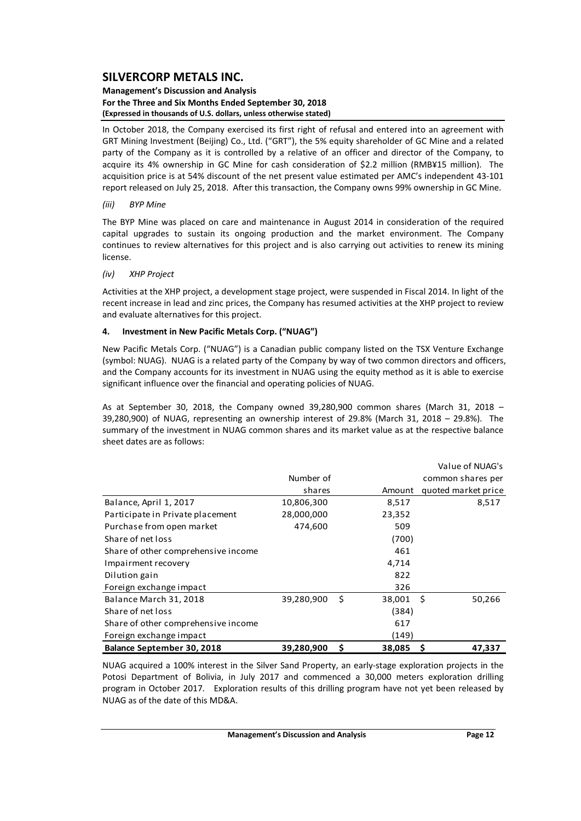#### **Management's Discussion and Analysis For the Three and Six Months Ended September 30, 2018 (Expressed in thousands of U.S. dollars, unless otherwise stated)**

In October 2018, the Company exercised its first right of refusal and entered into an agreement with GRT Mining Investment (Beijing) Co., Ltd. ("GRT"), the 5% equity shareholder of GC Mine and a related party of the Company as it is controlled by a relative of an officer and director of the Company, to acquire its 4% ownership in GC Mine for cash consideration of \$2.2 million (RMB¥15 million). The acquisition price is at 54% discount of the net present value estimated per AMC's independent 43‐101 report released on July 25, 2018. After this transaction, the Company owns 99% ownership in GC Mine.

## *(iii) BYP Mine*

The BYP Mine was placed on care and maintenance in August 2014 in consideration of the required capital upgrades to sustain its ongoing production and the market environment. The Company continues to review alternatives for this project and is also carrying out activities to renew its mining license.

## *(iv) XHP Project*

Activities at the XHP project, a development stage project, were suspended in Fiscal 2014. In light of the recent increase in lead and zinc prices, the Company has resumed activities at the XHP project to review and evaluate alternatives for this project.

## **4. Investment in New Pacific Metals Corp. ("NUAG")**

New Pacific Metals Corp. ("NUAG") is a Canadian public company listed on the TSX Venture Exchange (symbol: NUAG). NUAG is a related party of the Company by way of two common directors and officers, and the Company accounts for its investment in NUAG using the equity method as it is able to exercise significant influence over the financial and operating policies of NUAG.

As at September 30, 2018, the Company owned 39,280,900 common shares (March 31, 2018 –  $39,280,900$ ) of NUAG, representing an ownership interest of  $29.8%$  (March 31, 2018 – 29.8%). The summary of the investment in NUAG common shares and its market value as at the respective balance sheet dates are as follows:

|                                     |            |      |        | Value of NUAG's     |
|-------------------------------------|------------|------|--------|---------------------|
|                                     | Number of  |      |        | common shares per   |
|                                     | shares     |      | Amount | quoted market price |
| Balance, April 1, 2017              | 10,806,300 |      | 8,517  | 8,517               |
| Participate in Private placement    | 28,000,000 |      | 23,352 |                     |
| Purchase from open market           | 474,600    |      | 509    |                     |
| Share of net loss                   |            |      | (700)  |                     |
| Share of other comprehensive income |            |      | 461    |                     |
| Impairment recovery                 |            |      | 4,714  |                     |
| Dilution gain                       |            |      | 822    |                     |
| Foreign exchange impact             |            |      | 326    |                     |
| Balance March 31, 2018              | 39,280,900 | - \$ | 38,001 | - \$<br>50,266      |
| Share of net loss                   |            |      | (384)  |                     |
| Share of other comprehensive income |            |      | 617    |                     |
| Foreign exchange impact             |            |      | (149)  |                     |
| Balance September 30, 2018          | 39,280,900 | \$   | 38,085 | S<br>47,337         |

NUAG acquired a 100% interest in the Silver Sand Property, an early‐stage exploration projects in the Potosi Department of Bolivia, in July 2017 and commenced a 30,000 meters exploration drilling program in October 2017. Exploration results of this drilling program have not yet been released by NUAG as of the date of this MD&A.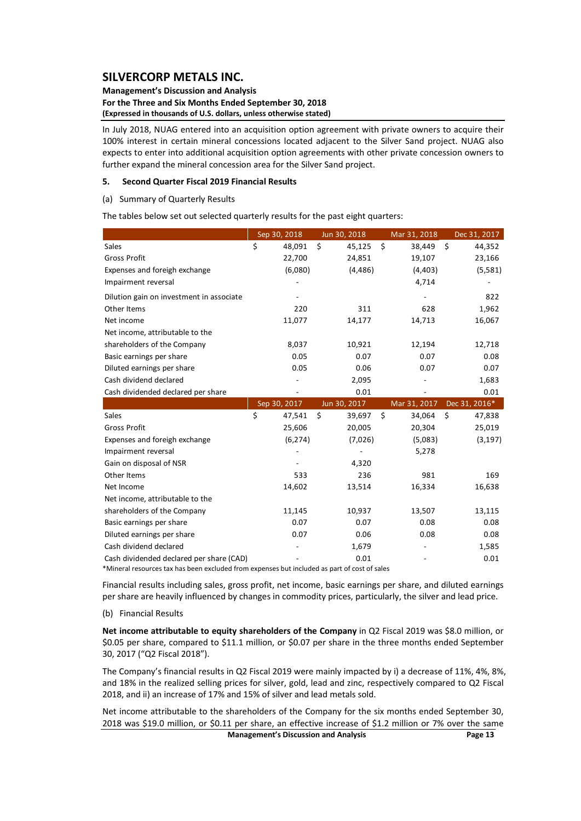#### **Management's Discussion and Analysis For the Three and Six Months Ended September 30, 2018 (Expressed in thousands of U.S. dollars, unless otherwise stated)**

In July 2018, NUAG entered into an acquisition option agreement with private owners to acquire their 100% interest in certain mineral concessions located adjacent to the Silver Sand project. NUAG also expects to enter into additional acquisition option agreements with other private concession owners to further expand the mineral concession area for the Silver Sand project.

#### **5. Second Quarter Fiscal 2019 Financial Results**

(a) Summary of Quarterly Results

The tables below set out selected quarterly results for the past eight quarters:

|                                          | Sep 30, 2018 |    | Jun 30, 2018 |    | Mar 31, 2018 |    | Dec 31, 2017  |
|------------------------------------------|--------------|----|--------------|----|--------------|----|---------------|
| Sales                                    | \$<br>48,091 | \$ | 45,125       | \$ | 38,449       | \$ | 44,352        |
| <b>Gross Profit</b>                      | 22,700       |    | 24,851       |    | 19,107       |    | 23,166        |
| Expenses and foreigh exchange            | (6,080)      |    | (4, 486)     |    | (4, 403)     |    | (5,581)       |
| Impairment reversal                      |              |    |              |    | 4,714        |    |               |
| Dilution gain on investment in associate |              |    |              |    |              |    | 822           |
| Other Items                              | 220          |    | 311          |    | 628          |    | 1,962         |
| Net income                               | 11,077       |    | 14,177       |    | 14,713       |    | 16,067        |
| Net income, attributable to the          |              |    |              |    |              |    |               |
| shareholders of the Company              | 8,037        |    | 10,921       |    | 12,194       |    | 12,718        |
| Basic earnings per share                 | 0.05         |    | 0.07         |    | 0.07         |    | 0.08          |
| Diluted earnings per share               | 0.05         |    | 0.06         |    | 0.07         |    | 0.07          |
| Cash dividend declared                   |              |    | 2,095        |    |              |    | 1,683         |
| Cash dividended declared per share       |              |    | 0.01         |    |              |    | 0.01          |
|                                          |              |    |              |    |              |    |               |
|                                          | Sep 30, 2017 |    | Jun 30, 2017 |    | Mar 31, 2017 |    | Dec 31, 2016* |
| Sales                                    | \$<br>47,541 | Ś. | 39,697       | Ŝ. | 34,064       | Ś. | 47,838        |
| <b>Gross Profit</b>                      | 25,606       |    | 20,005       |    | 20,304       |    | 25,019        |
| Expenses and foreigh exchange            | (6, 274)     |    | (7,026)      |    | (5,083)      |    | (3, 197)      |
| Impairment reversal                      |              |    |              |    | 5,278        |    |               |
| Gain on disposal of NSR                  |              |    | 4,320        |    |              |    |               |
| Other Items                              | 533          |    | 236          |    | 981          |    | 169           |
| Net Income                               | 14,602       |    | 13,514       |    | 16,334       |    | 16,638        |
| Net income, attributable to the          |              |    |              |    |              |    |               |
| shareholders of the Company              | 11,145       |    | 10,937       |    | 13,507       |    | 13,115        |
| Basic earnings per share                 | 0.07         |    | 0.07         |    | 0.08         |    | 0.08          |
| Diluted earnings per share               | 0.07         |    | 0.06         |    | 0.08         |    | 0.08          |
| Cash dividend declared                   |              |    | 1,679        |    |              |    | 1,585         |

\*Mineral resources tax has been excluded from expenses but included as part of cost of sales

Financial results including sales, gross profit, net income, basic earnings per share, and diluted earnings per share are heavily influenced by changes in commodity prices, particularly, the silver and lead price.

(b) Financial Results

**Net income attributable to equity shareholders of the Company** in Q2 Fiscal 2019 was \$8.0 million, or \$0.05 per share, compared to \$11.1 million, or \$0.07 per share in the three months ended September 30, 2017 ("Q2 Fiscal 2018").

The Company's financial results in Q2 Fiscal 2019 were mainly impacted by i) a decrease of 11%, 4%, 8%, and 18% in the realized selling prices for silver, gold, lead and zinc, respectively compared to Q2 Fiscal 2018, and ii) an increase of 17% and 15% of silver and lead metals sold.

Net income attributable to the shareholders of the Company for the six months ended September 30, 2018 was \$19.0 million, or \$0.11 per share, an effective increase of \$1.2 million or 7% over the same

**Management's Discussion and Analysis Page 13**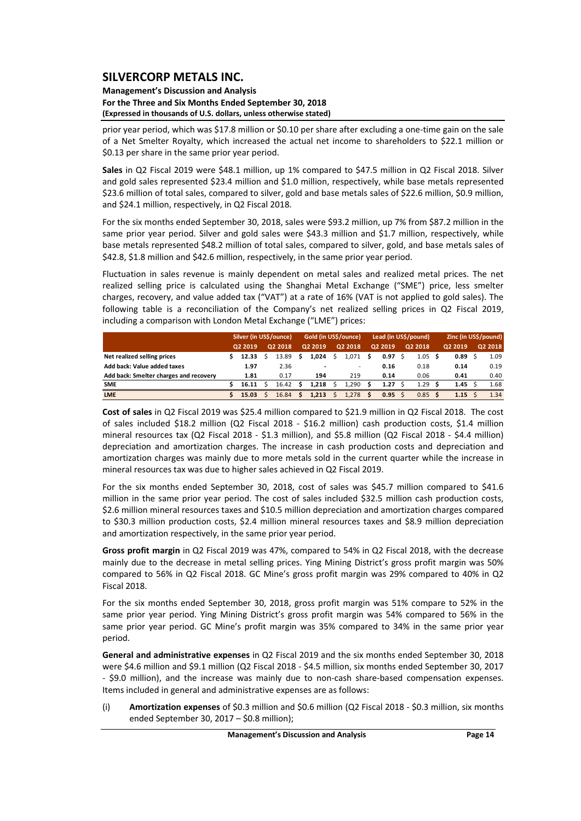#### **Management's Discussion and Analysis For the Three and Six Months Ended September 30, 2018 (Expressed in thousands of U.S. dollars, unless otherwise stated)**

prior year period, which was \$17.8 million or \$0.10 per share after excluding a one‐time gain on the sale of a Net Smelter Royalty, which increased the actual net income to shareholders to \$22.1 million or \$0.13 per share in the same prior year period.

**Sales** in Q2 Fiscal 2019 were \$48.1 million, up 1% compared to \$47.5 million in Q2 Fiscal 2018. Silver and gold sales represented \$23.4 million and \$1.0 million, respectively, while base metals represented \$23.6 million of total sales, compared to silver, gold and base metals sales of \$22.6 million, \$0.9 million, and \$24.1 million, respectively, in Q2 Fiscal 2018.

For the six months ended September 30, 2018, sales were \$93.2 million, up 7% from \$87.2 million in the same prior year period. Silver and gold sales were \$43.3 million and \$1.7 million, respectively, while base metals represented \$48.2 million of total sales, compared to silver, gold, and base metals sales of \$42.8, \$1.8 million and \$42.6 million, respectively, in the same prior year period.

Fluctuation in sales revenue is mainly dependent on metal sales and realized metal prices. The net realized selling price is calculated using the Shanghai Metal Exchange ("SME") price, less smelter charges, recovery, and value added tax ("VAT") at a rate of 16% (VAT is not applied to gold sales). The following table is a reconciliation of the Company's net realized selling prices in Q2 Fiscal 2019, including a comparison with London Metal Exchange ("LME") prices:

|                                        | Silver (in US\$/ounce) |         |  |         | Gold (in US\$/ounce) |         |  |         | Lead (in US\$/pound) |              |  |         | Zinc (in US\$/pound) |         |  |         |
|----------------------------------------|------------------------|---------|--|---------|----------------------|---------|--|---------|----------------------|--------------|--|---------|----------------------|---------|--|---------|
|                                        |                        | 02 2019 |  | Q2 2018 |                      | Q2 2019 |  | Q2 2018 |                      | Q2 2019      |  | Q2 2018 |                      | Q2 2019 |  | Q2 2018 |
| Net realized selling prices            |                        | 12.33   |  | 13.89   |                      | 1.024   |  | 1.071   | S                    | 0.97         |  | 1.05    | .s                   | 0.89    |  | 1.09    |
| Add back: Value added taxes            |                        | 1.97    |  | 2.36    |                      |         |  |         |                      | 0.16         |  | 0.18    |                      | 0.14    |  | 0.19    |
| Add back: Smelter charges and recovery |                        | 1.81    |  | 0.17    |                      | 194     |  | 219     |                      | 0.14         |  | 0.06    |                      | 0.41    |  | 0.40    |
| <b>SME</b>                             |                        | 16.11   |  | 16.42   |                      | 1.218   |  | 1.290   |                      | 1.27         |  | 1.29    |                      | 1.45    |  | 1.68    |
| <b>LME</b>                             |                        | 15.03   |  | 16.84   |                      | 1.213   |  | 1,278   | S                    | $0.95 \quad$ |  | 0.85    |                      | 1.15    |  | 1.34    |

**Cost of sales** in Q2 Fiscal 2019 was \$25.4 million compared to \$21.9 million in Q2 Fiscal 2018. The cost of sales included \$18.2 million (Q2 Fiscal 2018 - \$16.2 million) cash production costs, \$1.4 million mineral resources tax (Q2 Fiscal 2018 ‐ \$1.3 million), and \$5.8 million (Q2 Fiscal 2018 ‐ \$4.4 million) depreciation and amortization charges. The increase in cash production costs and depreciation and amortization charges was mainly due to more metals sold in the current quarter while the increase in mineral resources tax was due to higher sales achieved in Q2 Fiscal 2019.

For the six months ended September 30, 2018, cost of sales was \$45.7 million compared to \$41.6 million in the same prior year period. The cost of sales included \$32.5 million cash production costs, \$2.6 million mineral resources taxes and \$10.5 million depreciation and amortization charges compared to \$30.3 million production costs, \$2.4 million mineral resources taxes and \$8.9 million depreciation and amortization respectively, in the same prior year period.

**Gross profit margin** in Q2 Fiscal 2019 was 47%, compared to 54% in Q2 Fiscal 2018, with the decrease mainly due to the decrease in metal selling prices. Ying Mining District's gross profit margin was 50% compared to 56% in Q2 Fiscal 2018. GC Mine's gross profit margin was 29% compared to 40% in Q2 Fiscal 2018.

For the six months ended September 30, 2018, gross profit margin was 51% compare to 52% in the same prior year period. Ying Mining District's gross profit margin was 54% compared to 56% in the same prior year period. GC Mine's profit margin was 35% compared to 34% in the same prior year period.

**General and administrative expenses** in Q2 Fiscal 2019 and the six months ended September 30, 2018 were \$4.6 million and \$9.1 million (Q2 Fiscal 2018 ‐ \$4.5 million, six months ended September 30, 2017 ‐ \$9.0 million), and the increase was mainly due to non‐cash share‐based compensation expenses. Items included in general and administrative expenses are as follows:

(i) **Amortization expenses** of \$0.3 million and \$0.6 million (Q2 Fiscal 2018 ‐ \$0.3 million, six months ended September 30, 2017 – \$0.8 million);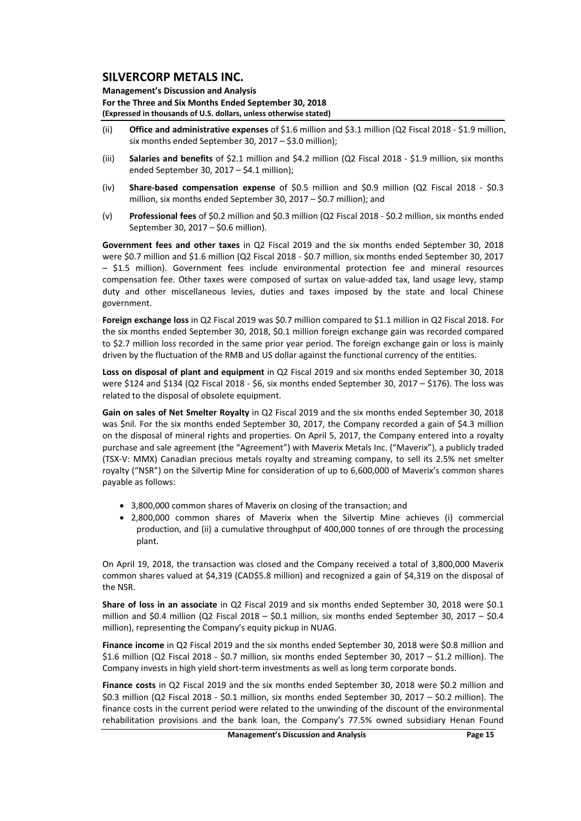**Management's Discussion and Analysis For the Three and Six Months Ended September 30, 2018 (Expressed in thousands of U.S. dollars, unless otherwise stated)**

- (ii) **Office and administrative expenses** of \$1.6 million and \$3.1 million (Q2 Fiscal 2018 ‐ \$1.9 million, six months ended September 30, 2017 – \$3.0 million);
- (iii) **Salaries and benefits** of \$2.1 million and \$4.2 million (Q2 Fiscal 2018 ‐ \$1.9 million, six months ended September 30, 2017 – \$4.1 million);
- (iv) **Share‐based compensation expense** of \$0.5 million and \$0.9 million (Q2 Fiscal 2018 ‐ \$0.3 million, six months ended September 30, 2017 – \$0.7 million); and
- (v) **Professional fees** of \$0.2 million and \$0.3 million (Q2 Fiscal 2018 ‐ \$0.2 million, six months ended September 30, 2017 – \$0.6 million).

**Government fees and other taxes** in Q2 Fiscal 2019 and the six months ended September 30, 2018 were \$0.7 million and \$1.6 million (Q2 Fiscal 2018 ‐ \$0.7 million, six months ended September 30, 2017 – \$1.5 million). Government fees include environmental protection fee and mineral resources compensation fee. Other taxes were composed of surtax on value-added tax, land usage levy, stamp duty and other miscellaneous levies, duties and taxes imposed by the state and local Chinese government.

**Foreign exchange loss** in Q2 Fiscal 2019 was \$0.7 million compared to \$1.1 million in Q2 Fiscal 2018. For the six months ended September 30, 2018, \$0.1 million foreign exchange gain was recorded compared to \$2.7 million loss recorded in the same prior year period. The foreign exchange gain or loss is mainly driven by the fluctuation of the RMB and US dollar against the functional currency of the entities.

**Loss on disposal of plant and equipment** in Q2 Fiscal 2019 and six months ended September 30, 2018 were \$124 and \$134 (Q2 Fiscal 2018 - \$6, six months ended September 30, 2017 - \$176). The loss was related to the disposal of obsolete equipment.

**Gain on sales of Net Smelter Royalty** in Q2 Fiscal 2019 and the six months ended September 30, 2018 was \$nil. For the six months ended September 30, 2017, the Company recorded a gain of \$4.3 million on the disposal of mineral rights and properties. On April 5, 2017, the Company entered into a royalty purchase and sale agreement (the "Agreement") with Maverix Metals Inc. ("Maverix"), a publicly traded (TSX‐V: MMX) Canadian precious metals royalty and streaming company, to sell its 2.5% net smelter royalty ("NSR") on the Silvertip Mine for consideration of up to 6,600,000 of Maverix's common shares payable as follows:

- 3,800,000 common shares of Maverix on closing of the transaction; and
- 2,800,000 common shares of Maverix when the Silvertip Mine achieves (i) commercial production, and (ii) a cumulative throughput of 400,000 tonnes of ore through the processing plant.

On April 19, 2018, the transaction was closed and the Company received a total of 3,800,000 Maverix common shares valued at \$4,319 (CAD\$5.8 million) and recognized a gain of \$4,319 on the disposal of the NSR.

**Share of loss in an associate** in Q2 Fiscal 2019 and six months ended September 30, 2018 were \$0.1 million and \$0.4 million (Q2 Fiscal  $2018 - 50.1$  million, six months ended September 30, 2017 – \$0.4 million), representing the Company's equity pickup in NUAG.

**Finance income** in Q2 Fiscal 2019 and the six months ended September 30, 2018 were \$0.8 million and \$1.6 million (Q2 Fiscal 2018 - \$0.7 million, six months ended September 30, 2017 - \$1.2 million). The Company invests in high yield short‐term investments as well as long term corporate bonds.

**Finance costs** in Q2 Fiscal 2019 and the six months ended September 30, 2018 were \$0.2 million and \$0.3 million (Q2 Fiscal 2018 ‐ \$0.1 million, six months ended September 30, 2017 – \$0.2 million). The finance costs in the current period were related to the unwinding of the discount of the environmental rehabilitation provisions and the bank loan, the Company's 77.5% owned subsidiary Henan Found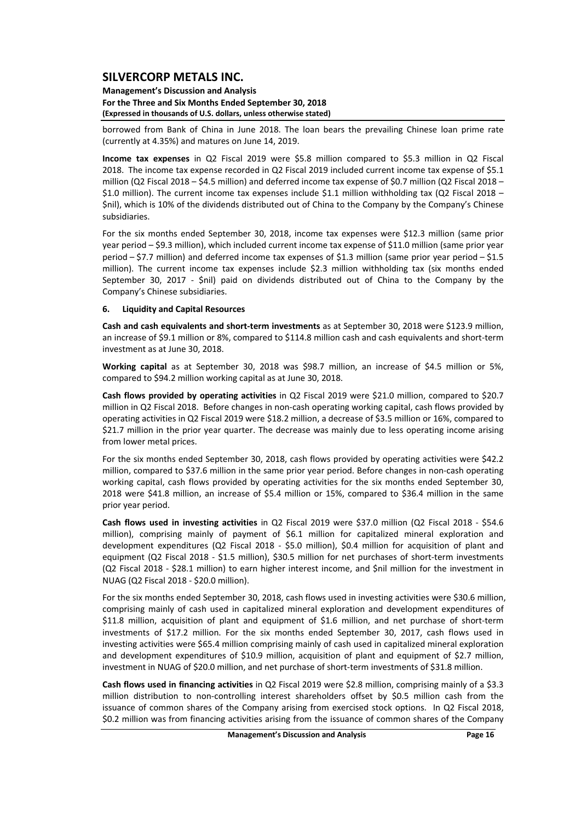**Management's Discussion and Analysis For the Three and Six Months Ended September 30, 2018 (Expressed in thousands of U.S. dollars, unless otherwise stated)**

borrowed from Bank of China in June 2018. The loan bears the prevailing Chinese loan prime rate (currently at 4.35%) and matures on June 14, 2019.

**Income tax expenses** in Q2 Fiscal 2019 were \$5.8 million compared to \$5.3 million in Q2 Fiscal 2018. The income tax expense recorded in Q2 Fiscal 2019 included current income tax expense of \$5.1 million (Q2 Fiscal 2018 – \$4.5 million) and deferred income tax expense of \$0.7 million (Q2 Fiscal 2018 – \$1.0 million). The current income tax expenses include \$1.1 million withholding tax (Q2 Fiscal 2018 – \$nil), which is 10% of the dividends distributed out of China to the Company by the Company's Chinese subsidiaries.

For the six months ended September 30, 2018, income tax expenses were \$12.3 million (same prior year period – \$9.3 million), which included current income tax expense of \$11.0 million (same prior year period – \$7.7 million) and deferred income tax expenses of \$1.3 million (same prior year period – \$1.5 million). The current income tax expenses include \$2.3 million withholding tax (six months ended September 30, 2017 - \$nil) paid on dividends distributed out of China to the Company by the Company's Chinese subsidiaries.

#### **6. Liquidity and Capital Resources**

**Cash and cash equivalents and short‐term investments** as at September 30, 2018 were \$123.9 million, an increase of \$9.1 million or 8%, compared to \$114.8 million cash and cash equivalents and short‐term investment as at June 30, 2018.

**Working capital** as at September 30, 2018 was \$98.7 million, an increase of \$4.5 million or 5%, compared to \$94.2 million working capital as at June 30, 2018.

**Cash flows provided by operating activities** in Q2 Fiscal 2019 were \$21.0 million, compared to \$20.7 million in Q2 Fiscal 2018. Before changes in non‐cash operating working capital, cash flows provided by operating activities in Q2 Fiscal 2019 were \$18.2 million, a decrease of \$3.5 million or 16%, compared to \$21.7 million in the prior year quarter. The decrease was mainly due to less operating income arising from lower metal prices.

For the six months ended September 30, 2018, cash flows provided by operating activities were \$42.2 million, compared to \$37.6 million in the same prior year period. Before changes in non‐cash operating working capital, cash flows provided by operating activities for the six months ended September 30, 2018 were \$41.8 million, an increase of \$5.4 million or 15%, compared to \$36.4 million in the same prior year period.

**Cash flows used in investing activities** in Q2 Fiscal 2019 were \$37.0 million (Q2 Fiscal 2018 ‐ \$54.6 million), comprising mainly of payment of \$6.1 million for capitalized mineral exploration and development expenditures (Q2 Fiscal 2018 - \$5.0 million), \$0.4 million for acquisition of plant and equipment (Q2 Fiscal 2018 - \$1.5 million), \$30.5 million for net purchases of short-term investments (Q2 Fiscal 2018 ‐ \$28.1 million) to earn higher interest income, and \$nil million for the investment in NUAG (Q2 Fiscal 2018 ‐ \$20.0 million).

For the six months ended September 30, 2018, cash flows used in investing activities were \$30.6 million, comprising mainly of cash used in capitalized mineral exploration and development expenditures of \$11.8 million, acquisition of plant and equipment of \$1.6 million, and net purchase of short‐term investments of \$17.2 million. For the six months ended September 30, 2017, cash flows used in investing activities were \$65.4 million comprising mainly of cash used in capitalized mineral exploration and development expenditures of \$10.9 million, acquisition of plant and equipment of \$2.7 million, investment in NUAG of \$20.0 million, and net purchase of short-term investments of \$31.8 million.

**Cash flows used in financing activities** in Q2 Fiscal 2019 were \$2.8 million, comprising mainly of a \$3.3 million distribution to non-controlling interest shareholders offset by \$0.5 million cash from the issuance of common shares of the Company arising from exercised stock options. In Q2 Fiscal 2018, \$0.2 million was from financing activities arising from the issuance of common shares of the Company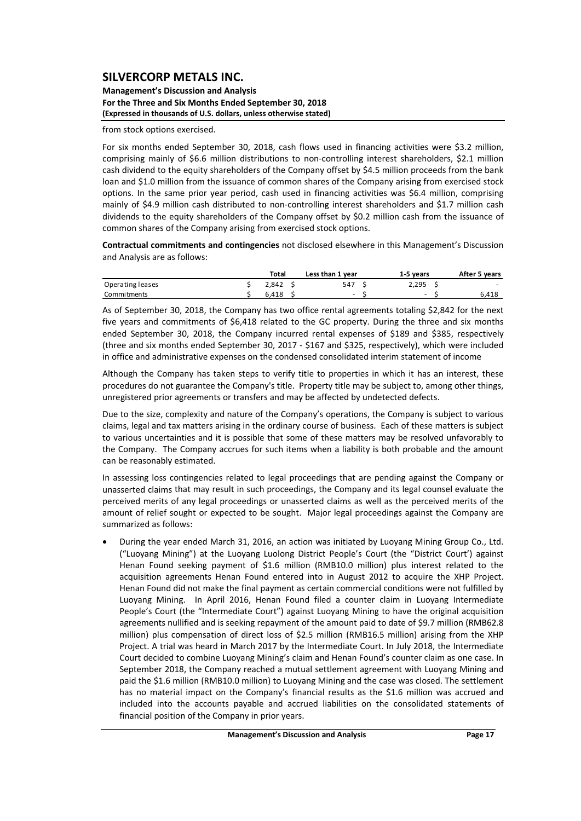#### **Management's Discussion and Analysis For the Three and Six Months Ended September 30, 2018 (Expressed in thousands of U.S. dollars, unless otherwise stated)**

from stock options exercised.

For six months ended September 30, 2018, cash flows used in financing activities were \$3.2 million, comprising mainly of \$6.6 million distributions to non-controlling interest shareholders, \$2.1 million cash dividend to the equity shareholders of the Company offset by \$4.5 million proceeds from the bank loan and \$1.0 million from the issuance of common shares of the Company arising from exercised stock options. In the same prior year period, cash used in financing activities was \$6.4 million, comprising mainly of \$4.9 million cash distributed to non-controlling interest shareholders and \$1.7 million cash dividends to the equity shareholders of the Company offset by \$0.2 million cash from the issuance of common shares of the Company arising from exercised stock options.

**Contractual commitments and contingencies** not disclosed elsewhere in this Management's Discussion and Analysis are as follows:

|                  | Total | Less than 1 year | 1-5 vears | After 5 years            |
|------------------|-------|------------------|-----------|--------------------------|
| Operating leases | 2.842 | 547              | 2.295     | $\overline{\phantom{0}}$ |
| Commitments      | 6.418 | -                | -         | 6,418                    |

As of September 30, 2018, the Company has two office rental agreements totaling \$2,842 for the next five years and commitments of \$6,418 related to the GC property. During the three and six months ended September 30, 2018, the Company incurred rental expenses of \$189 and \$385, respectively (three and six months ended September 30, 2017 ‐ \$167 and \$325, respectively), which were included in office and administrative expenses on the condensed consolidated interim statement of income

Although the Company has taken steps to verify title to properties in which it has an interest, these procedures do not guarantee the Company's title. Property title may be subject to, among other things, unregistered prior agreements or transfers and may be affected by undetected defects.

Due to the size, complexity and nature of the Company's operations, the Company is subject to various claims, legal and tax matters arising in the ordinary course of business. Each of these matters is subject to various uncertainties and it is possible that some of these matters may be resolved unfavorably to the Company. The Company accrues for such items when a liability is both probable and the amount can be reasonably estimated.

In assessing loss contingencies related to legal proceedings that are pending against the Company or unasserted claims that may result in such proceedings, the Company and its legal counsel evaluate the perceived merits of any legal proceedings or unasserted claims as well as the perceived merits of the amount of relief sought or expected to be sought. Major legal proceedings against the Company are summarized as follows:

 During the year ended March 31, 2016, an action was initiated by Luoyang Mining Group Co., Ltd. ("Luoyang Mining") at the Luoyang Luolong District People's Court (the "District Court') against Henan Found seeking payment of \$1.6 million (RMB10.0 million) plus interest related to the acquisition agreements Henan Found entered into in August 2012 to acquire the XHP Project. Henan Found did not make the final payment as certain commercial conditions were not fulfilled by Luoyang Mining. In April 2016, Henan Found filed a counter claim in Luoyang Intermediate People's Court (the "Intermediate Court") against Luoyang Mining to have the original acquisition agreements nullified and is seeking repayment of the amount paid to date of \$9.7 million (RMB62.8 million) plus compensation of direct loss of \$2.5 million (RMB16.5 million) arising from the XHP Project. A trial was heard in March 2017 by the Intermediate Court. In July 2018, the Intermediate Court decided to combine Luoyang Mining's claim and Henan Found's counter claim as one case. In September 2018, the Company reached a mutual settlement agreement with Luoyang Mining and paid the \$1.6 million (RMB10.0 million) to Luoyang Mining and the case was closed. The settlement has no material impact on the Company's financial results as the \$1.6 million was accrued and included into the accounts payable and accrued liabilities on the consolidated statements of financial position of the Company in prior years.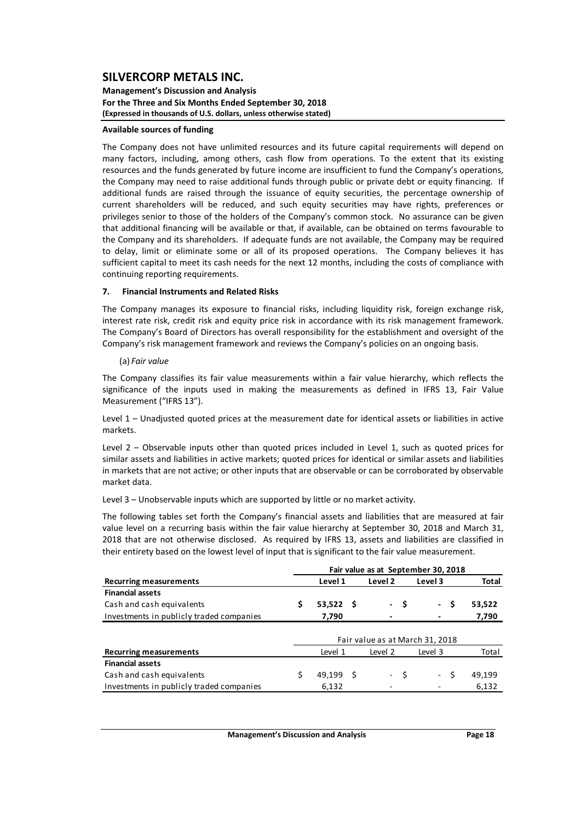#### **Management's Discussion and Analysis For the Three and Six Months Ended September 30, 2018 (Expressed in thousands of U.S. dollars, unless otherwise stated)**

#### **Available sources of funding**

The Company does not have unlimited resources and its future capital requirements will depend on many factors, including, among others, cash flow from operations. To the extent that its existing resources and the funds generated by future income are insufficient to fund the Company's operations, the Company may need to raise additional funds through public or private debt or equity financing. If additional funds are raised through the issuance of equity securities, the percentage ownership of current shareholders will be reduced, and such equity securities may have rights, preferences or privileges senior to those of the holders of the Company's common stock. No assurance can be given that additional financing will be available or that, if available, can be obtained on terms favourable to the Company and its shareholders. If adequate funds are not available, the Company may be required to delay, limit or eliminate some or all of its proposed operations. The Company believes it has sufficient capital to meet its cash needs for the next 12 months, including the costs of compliance with continuing reporting requirements.

#### **7. Financial Instruments and Related Risks**

The Company manages its exposure to financial risks, including liquidity risk, foreign exchange risk, interest rate risk, credit risk and equity price risk in accordance with its risk management framework. The Company's Board of Directors has overall responsibility for the establishment and oversight of the Company's risk management framework and reviews the Company's policies on an ongoing basis.

#### (a) *Fair value*

The Company classifies its fair value measurements within a fair value hierarchy, which reflects the significance of the inputs used in making the measurements as defined in IFRS 13, Fair Value Measurement ("IFRS 13").

Level 1 – Unadjusted quoted prices at the measurement date for identical assets or liabilities in active markets.

Level 2 – Observable inputs other than quoted prices included in Level 1, such as quoted prices for similar assets and liabilities in active markets; quoted prices for identical or similar assets and liabilities in markets that are not active; or other inputs that are observable or can be corroborated by observable market data.

Level 3 – Unobservable inputs which are supported by little or no market activity.

The following tables set forth the Company's financial assets and liabilities that are measured at fair value level on a recurring basis within the fair value hierarchy at September 30, 2018 and March 31, 2018 that are not otherwise disclosed. As required by IFRS 13, assets and liabilities are classified in their entirety based on the lowest level of input that is significant to the fair value measurement.

|                                          |    | Fair value as at September 30, 2018 |  |         |      |                                    |              |
|------------------------------------------|----|-------------------------------------|--|---------|------|------------------------------------|--------------|
| <b>Recurring measurements</b>            |    | Level 1                             |  | Level 2 |      | Level 3                            | <b>Total</b> |
| <b>Financial assets</b>                  |    |                                     |  |         |      |                                    |              |
| Cash and cash equivalents                | \$ | $53,522$ \$                         |  | $\sim$  | -\$  | \$.<br>$\mathcal{L}_{\mathcal{A}}$ | 53,522       |
| Investments in publicly traded companies |    | 7,790                               |  |         |      |                                    | 7,790        |
|                                          |    |                                     |  |         |      |                                    |              |
|                                          |    |                                     |  |         |      | Fair value as at March 31, 2018    |              |
| <b>Recurring measurements</b>            |    | Level 1                             |  | Level 2 |      | Level 3                            | Total        |
| <b>Financial assets</b>                  |    |                                     |  |         |      |                                    |              |
| Cash and cash equivalents                |    | 49,199 \$                           |  |         | - \$ | - \$                               | 49,199       |
| Investments in publicly traded companies |    | 6,132                               |  |         |      |                                    | 6,132        |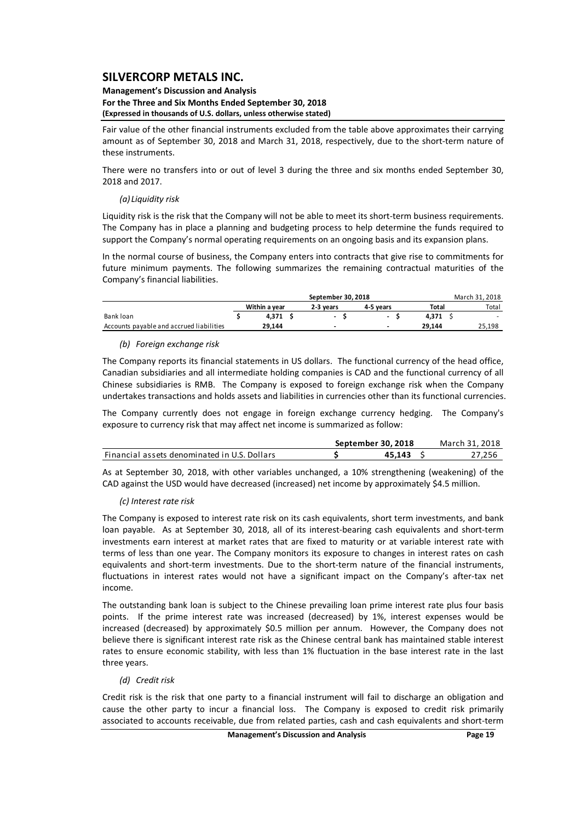#### **Management's Discussion and Analysis For the Three and Six Months Ended September 30, 2018 (Expressed in thousands of U.S. dollars, unless otherwise stated)**

Fair value of the other financial instruments excluded from the table above approximates their carrying amount as of September 30, 2018 and March 31, 2018, respectively, due to the short‐term nature of these instruments.

There were no transfers into or out of level 3 during the three and six months ended September 30, 2018 and 2017.

#### *(a) Liquidity risk*

Liquidity risk is the risk that the Company will not be able to meet its short-term business requirements. The Company has in place a planning and budgeting process to help determine the funds required to support the Company's normal operating requirements on an ongoing basis and its expansion plans.

In the normal course of business, the Company enters into contracts that give rise to commitments for future minimum payments. The following summarizes the remaining contractual maturities of the Company's financial liabilities.

|                                          |               |        |           | March 31, 2018 |       |        |        |
|------------------------------------------|---------------|--------|-----------|----------------|-------|--------|--------|
|                                          | Within a vear |        | 2-3 vears | 4-5 vears      | Total | Total  |        |
| Bank loan                                |               | 4.371  |           | $\sim$         |       | 4.371  | $\sim$ |
| Accounts payable and accrued liabilities |               | 29.144 |           |                |       | 29.144 | 25,198 |

## *(b) Foreign exchange risk*

The Company reports its financial statements in US dollars. The functional currency of the head office, Canadian subsidiaries and all intermediate holding companies is CAD and the functional currency of all Chinese subsidiaries is RMB. The Company is exposed to foreign exchange risk when the Company undertakes transactions and holds assets and liabilities in currencies other than its functional currencies.

The Company currently does not engage in foreign exchange currency hedging. The Company's exposure to currency risk that may affect net income is summarized as follow:

|                                              | September 30, 2018 | March 31, 2018 |
|----------------------------------------------|--------------------|----------------|
| Financial assets denominated in U.S. Dollars | 45.143             | 27.256         |

As at September 30, 2018, with other variables unchanged, a 10% strengthening (weakening) of the CAD against the USD would have decreased (increased) net income by approximately \$4.5 million.

#### *(c) Interest rate risk*

The Company is exposed to interest rate risk on its cash equivalents, short term investments, and bank loan payable. As at September 30, 2018, all of its interest-bearing cash equivalents and short-term investments earn interest at market rates that are fixed to maturity or at variable interest rate with terms of less than one year. The Company monitors its exposure to changes in interest rates on cash equivalents and short-term investments. Due to the short-term nature of the financial instruments, fluctuations in interest rates would not have a significant impact on the Company's after‐tax net income.

The outstanding bank loan is subject to the Chinese prevailing loan prime interest rate plus four basis points. If the prime interest rate was increased (decreased) by 1%, interest expenses would be increased (decreased) by approximately \$0.5 million per annum. However, the Company does not believe there is significant interest rate risk as the Chinese central bank has maintained stable interest rates to ensure economic stability, with less than 1% fluctuation in the base interest rate in the last three years.

#### *(d) Credit risk*

Credit risk is the risk that one party to a financial instrument will fail to discharge an obligation and cause the other party to incur a financial loss. The Company is exposed to credit risk primarily associated to accounts receivable, due from related parties, cash and cash equivalents and short‐term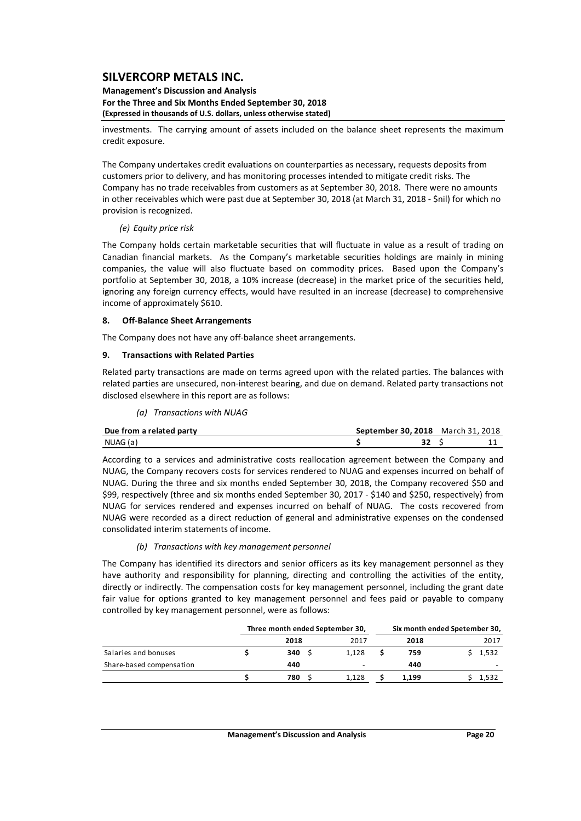#### **Management's Discussion and Analysis For the Three and Six Months Ended September 30, 2018 (Expressed in thousands of U.S. dollars, unless otherwise stated)**

investments. The carrying amount of assets included on the balance sheet represents the maximum credit exposure.

The Company undertakes credit evaluations on counterparties as necessary, requests deposits from customers prior to delivery, and has monitoring processes intended to mitigate credit risks. The Company has no trade receivables from customers as at September 30, 2018. There were no amounts in other receivables which were past due at September 30, 2018 (at March 31, 2018 ‐ \$nil) for which no provision is recognized.

## *(e) Equity price risk*

The Company holds certain marketable securities that will fluctuate in value as a result of trading on Canadian financial markets. As the Company's marketable securities holdings are mainly in mining companies, the value will also fluctuate based on commodity prices. Based upon the Company's portfolio at September 30, 2018, a 10% increase (decrease) in the market price of the securities held, ignoring any foreign currency effects, would have resulted in an increase (decrease) to comprehensive income of approximately \$610.

## **8. Off‐Balance Sheet Arrangements**

The Company does not have any off-balance sheet arrangements.

## **9. Transactions with Related Parties**

Related party transactions are made on terms agreed upon with the related parties. The balances with related parties are unsecured, non‐interest bearing, and due on demand. Related party transactions not disclosed elsewhere in this report are as follows:

|  | (a) Transactions with NUAG |  |
|--|----------------------------|--|
|--|----------------------------|--|

| Due from a related party | <b>September 30.2018</b> March 31, 2018 |  |
|--------------------------|-----------------------------------------|--|
| NUAG (a)                 |                                         |  |

According to a services and administrative costs reallocation agreement between the Company and NUAG, the Company recovers costs for services rendered to NUAG and expenses incurred on behalf of NUAG. During the three and six months ended September 30, 2018, the Company recovered \$50 and \$99, respectively (three and six months ended September 30, 2017 ‐ \$140 and \$250, respectively) from NUAG for services rendered and expenses incurred on behalf of NUAG. The costs recovered from NUAG were recorded as a direct reduction of general and administrative expenses on the condensed consolidated interim statements of income.

## *(b) Transactions with key management personnel*

The Company has identified its directors and senior officers as its key management personnel as they have authority and responsibility for planning, directing and controlling the activities of the entity, directly or indirectly. The compensation costs for key management personnel, including the grant date fair value for options granted to key management personnel and fees paid or payable to company controlled by key management personnel, were as follows:

|                          | Three month ended September 30, |       |       | Six month ended Spetember 30, |
|--------------------------|---------------------------------|-------|-------|-------------------------------|
|                          | 2018                            | 2017  | 2018  | 2017                          |
| Salaries and bonuses     | 340S                            | 1.128 | 759   | 1,532                         |
| Share-based compensation | 440                             |       | 440   |                               |
|                          | 780                             | 1.128 | 1.199 | 1,532                         |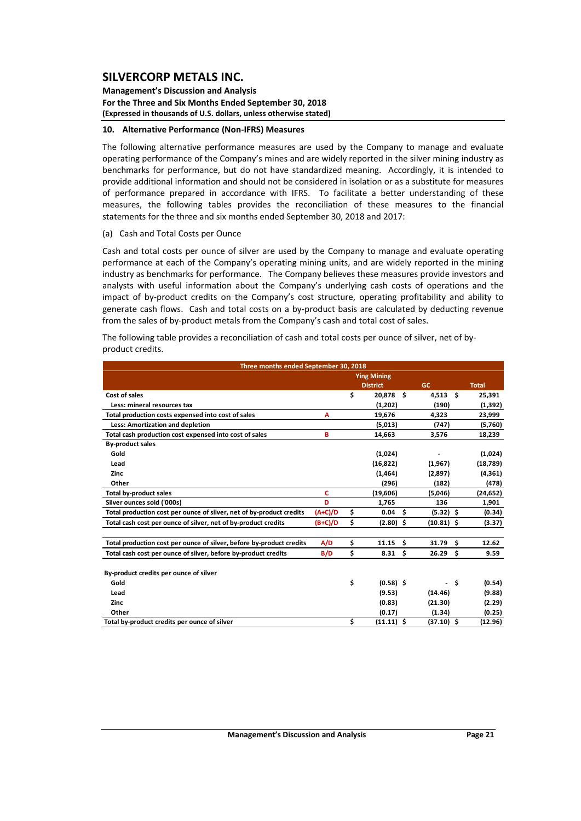**Management's Discussion and Analysis For the Three and Six Months Ended September 30, 2018 (Expressed in thousands of U.S. dollars, unless otherwise stated)**

#### **10. Alternative Performance (Non‐IFRS) Measures**

The following alternative performance measures are used by the Company to manage and evaluate operating performance of the Company's mines and are widely reported in the silver mining industry as benchmarks for performance, but do not have standardized meaning. Accordingly, it is intended to provide additional information and should not be considered in isolation or as a substitute for measures of performance prepared in accordance with IFRS. To facilitate a better understanding of these measures, the following tables provides the reconciliation of these measures to the financial statements for the three and six months ended September 30, 2018 and 2017:

(a) Cash and Total Costs per Ounce

Cash and total costs per ounce of silver are used by the Company to manage and evaluate operating performance at each of the Company's operating mining units, and are widely reported in the mining industry as benchmarks for performance. The Company believes these measures provide investors and analysts with useful information about the Company's underlying cash costs of operations and the impact of by-product credits on the Company's cost structure, operating profitability and ability to generate cash flows. Cash and total costs on a by‐product basis are calculated by deducting revenue from the sales of by-product metals from the Company's cash and total cost of sales.

The following table provides a reconciliation of cash and total costs per ounce of silver, net of by‐ product credits.

| Three months ended September 30, 2018                                |           |    |                 |                          |     |              |  |  |  |  |  |  |
|----------------------------------------------------------------------|-----------|----|-----------------|--------------------------|-----|--------------|--|--|--|--|--|--|
|                                                                      |           |    |                 |                          |     |              |  |  |  |  |  |  |
|                                                                      |           |    | <b>District</b> | GC                       |     | <b>Total</b> |  |  |  |  |  |  |
| Cost of sales                                                        |           | \$ | 20,878 \$       | $4,513$ \$               |     | 25,391       |  |  |  |  |  |  |
| Less: mineral resources tax                                          |           |    | (1,202)         | (190)                    |     | (1, 392)     |  |  |  |  |  |  |
| Total production costs expensed into cost of sales                   | A         |    | 19,676          | 4,323                    |     | 23,999       |  |  |  |  |  |  |
| Less: Amortization and depletion                                     |           |    | (5,013)         | (747)                    |     | (5,760)      |  |  |  |  |  |  |
| Total cash production cost expensed into cost of sales               | B         |    | 14,663          | 3,576                    |     | 18,239       |  |  |  |  |  |  |
| <b>By-product sales</b>                                              |           |    |                 |                          |     |              |  |  |  |  |  |  |
| Gold                                                                 |           |    | (1,024)         |                          |     | (1,024)      |  |  |  |  |  |  |
| Lead                                                                 |           |    | (16, 822)       | (1,967)                  |     | (18, 789)    |  |  |  |  |  |  |
| Zinc                                                                 |           |    | (1, 464)        | (2,897)                  |     | (4, 361)     |  |  |  |  |  |  |
| Other                                                                |           |    | (296)           | (182)                    |     | (478)        |  |  |  |  |  |  |
| Total by-product sales                                               | c         |    | (19,606)        | (5,046)                  |     | (24, 652)    |  |  |  |  |  |  |
| Silver ounces sold ('000s)                                           | D         |    | 1,765           | 136                      |     | 1,901        |  |  |  |  |  |  |
| Total production cost per ounce of silver, net of by-product credits | $(A+C)/D$ | \$ | 0.04            | \$.<br>$(5.32)$ \$       |     | (0.34)       |  |  |  |  |  |  |
| Total cash cost per ounce of silver, net of by-product credits       | $(B+C)/D$ | \$ | $(2.80)$ \$     | $(10.81)$ \$             |     | (3.37)       |  |  |  |  |  |  |
| Total production cost per ounce of silver, before by-product credits | A/D       | \$ | 11.15           | Ŝ.<br>31.79              | Ŝ.  | 12.62        |  |  |  |  |  |  |
| Total cash cost per ounce of silver, before by-product credits       | B/D       | \$ | 8.31            | Ŝ.<br>26.29 <sub>5</sub> |     | 9.59         |  |  |  |  |  |  |
| By-product credits per ounce of silver                               |           |    |                 |                          |     |              |  |  |  |  |  |  |
| Gold                                                                 |           | \$ | $(0.58)$ \$     |                          | \$. | (0.54)       |  |  |  |  |  |  |
| Lead                                                                 |           |    | (9.53)          | (14.46)                  |     | (9.88)       |  |  |  |  |  |  |
| Zinc                                                                 |           |    | (0.83)          | (21.30)                  |     | (2.29)       |  |  |  |  |  |  |
| Other                                                                |           |    | (0.17)          | (1.34)                   |     | (0.25)       |  |  |  |  |  |  |
| Total by-product credits per ounce of silver                         |           | Ś  | $(11.11)$ \$    | $(37.10)$ \$             |     | (12.96)      |  |  |  |  |  |  |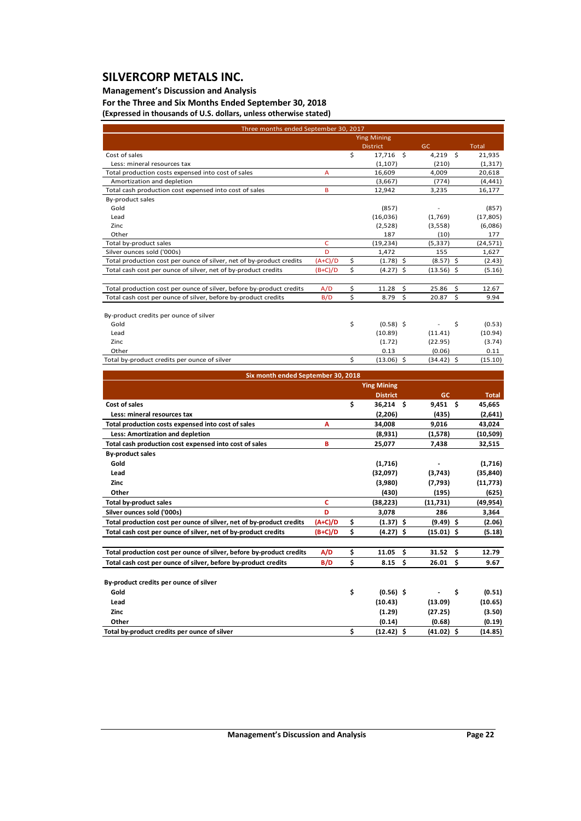## **Management's Discussion and Analysis**

**For the Three and Six Months Ended September 30, 2018 (Expressed in thousands of U.S. dollars, unless otherwise stated)**

| Three months ended September 30, 2017                                |              |    |                    |              |      |              |
|----------------------------------------------------------------------|--------------|----|--------------------|--------------|------|--------------|
|                                                                      |              |    | <b>Ying Mining</b> |              |      |              |
|                                                                      |              |    | <b>District</b>    | GC           |      | <b>Total</b> |
| Cost of sales                                                        |              | \$ | 17,716 \$          | 4,219        | - \$ | 21,935       |
| Less: mineral resources tax                                          |              |    | (1, 107)           | (210)        |      | (1, 317)     |
| Total production costs expensed into cost of sales                   | A            |    | 16,609             | 4,009        |      | 20,618       |
| Amortization and depletion                                           |              |    | (3,667)            | (774)        |      | (4, 441)     |
| Total cash production cost expensed into cost of sales               | B            |    | 12,942             | 3,235        |      | 16,177       |
| By-product sales                                                     |              |    |                    |              |      |              |
| Gold                                                                 |              |    | (857)              |              |      | (857)        |
| Lead                                                                 |              |    | (16,036)           | (1,769)      |      | (17, 805)    |
| Zinc                                                                 |              |    | (2,528)            | (3,558)      |      | (6,086)      |
| Other                                                                |              |    | 187                | (10)         |      | 177          |
| Total by-product sales                                               | $\mathsf{C}$ |    | (19, 234)          | (5, 337)     |      | (24, 571)    |
| Silver ounces sold ('000s)                                           | D            |    | 1,472              | 155          |      | 1,627        |
| Total production cost per ounce of silver, net of by-product credits | $(A+C)/D$    | \$ | $(1.78)$ \$        | $(8.57)$ \$  |      | (2.43)       |
| Total cash cost per ounce of silver, net of by-product credits       | $(B+C)/D$    | \$ | $(4.27)$ \$        | $(13.56)$ \$ |      | (5.16)       |
|                                                                      |              |    |                    |              |      |              |
| Total production cost per ounce of silver, before by-product credits | A/D          | \$ | \$<br>11.28        | 25.86 \$     |      | 12.67        |
| Total cash cost per ounce of silver, before by-product credits       | B/D          | Ś  | Ś<br>8.79          | 20.87        | Ŝ.   | 9.94         |
| By-product credits per ounce of silver                               |              |    |                    |              |      |              |
| Gold                                                                 |              | \$ | $(0.58)$ \$        |              | \$   | (0.53)       |
| Lead                                                                 |              |    | (10.89)            | (11.41)      |      | (10.94)      |
| Zinc                                                                 |              |    | (1.72)             | (22.95)      |      | (3.74)       |
| Other                                                                |              |    | 0.13               | (0.06)       |      | 0.11         |
| Total by-product credits per ounce of silver                         |              | \$ | $(13.06)$ \$       | $(34.42)$ \$ |      | (15.10)      |

| Six month ended September 30, 2018                                   |           |    |                    |    |                  |           |        |  |  |  |  |  |
|----------------------------------------------------------------------|-----------|----|--------------------|----|------------------|-----------|--------|--|--|--|--|--|
|                                                                      |           |    | <b>Ying Mining</b> |    |                  |           |        |  |  |  |  |  |
|                                                                      |           |    | <b>District</b>    |    | <b>GC</b>        |           | Total  |  |  |  |  |  |
| Cost of sales                                                        |           | \$ | $36,214$ \$        |    | $9,451$ \$       | 45,665    |        |  |  |  |  |  |
| Less: mineral resources tax                                          |           |    | (2, 206)           |    | (435)            | (2,641)   |        |  |  |  |  |  |
| Total production costs expensed into cost of sales                   | А         |    | 34,008             |    | 9,016            | 43,024    |        |  |  |  |  |  |
| Less: Amortization and depletion                                     |           |    | (8,931)            |    | (1,578)          | (10, 509) |        |  |  |  |  |  |
| Total cash production cost expensed into cost of sales               | B         |    | 25,077             |    | 7,438            | 32,515    |        |  |  |  |  |  |
| <b>By-product sales</b>                                              |           |    |                    |    |                  |           |        |  |  |  |  |  |
| Gold                                                                 |           |    | (1,716)            |    |                  | (1,716)   |        |  |  |  |  |  |
| Lead                                                                 |           |    | (32,097)           |    | (3,743)          | (35, 840) |        |  |  |  |  |  |
| Zinc                                                                 |           |    | (3,980)            |    | (7,793)          | (11, 773) |        |  |  |  |  |  |
| Other                                                                |           |    | (430)              |    | (195)            |           | (625)  |  |  |  |  |  |
| <b>Total by-product sales</b>                                        | c         |    | (38, 223)          |    | (11,731)         | (49, 954) |        |  |  |  |  |  |
| Silver ounces sold ('000s)                                           | D         |    | 3,078              |    | 286              | 3,364     |        |  |  |  |  |  |
| Total production cost per ounce of silver, net of by-product credits | $(A+C)/D$ | \$ | $(1.37)$ \$        |    | $(9.49)$ \$      |           | (2.06) |  |  |  |  |  |
| Total cash cost per ounce of silver, net of by-product credits       | $(B+C)/D$ | \$ | $(4.27)$ \$        |    | $(15.01)$ \$     |           | (5.18) |  |  |  |  |  |
|                                                                      |           |    |                    |    |                  |           |        |  |  |  |  |  |
| Total production cost per ounce of silver, before by-product credits | A/D       | \$ | 11.05              | \$ | $31.52 \quad$ \$ | 12.79     |        |  |  |  |  |  |
| Total cash cost per ounce of silver, before by-product credits       | B/D       | \$ | 8.15               | \$ | 26.01<br>- \$    |           | 9.67   |  |  |  |  |  |
|                                                                      |           |    |                    |    |                  |           |        |  |  |  |  |  |
| By-product credits per ounce of silver                               |           |    |                    |    |                  |           |        |  |  |  |  |  |
| Gold                                                                 |           | \$ | $(0.56)$ \$        |    |                  | \$        | (0.51) |  |  |  |  |  |
| Lead                                                                 |           |    | (10.43)            |    | (13.09)          | (10.65)   |        |  |  |  |  |  |
| Zinc                                                                 |           |    | (1.29)             |    | (27.25)          |           | (3.50) |  |  |  |  |  |
| Other                                                                |           |    | (0.14)             |    | (0.68)           |           | (0.19) |  |  |  |  |  |
| Total by-product credits per ounce of silver                         |           | \$ | $(12.42)$ \$       |    | $(41.02)$ \$     | (14.85)   |        |  |  |  |  |  |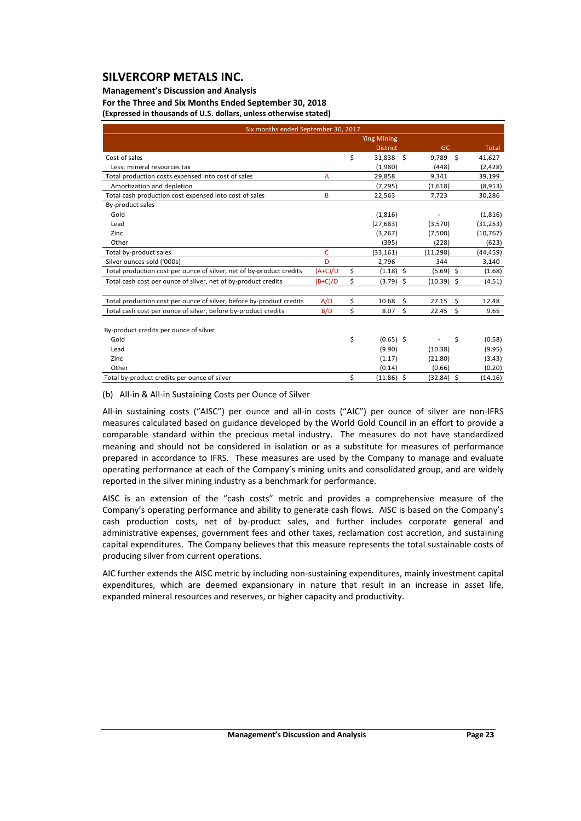## **Management's Discussion and Analysis**

**For the Three and Six Months Ended September 30, 2018 (Expressed in thousands of U.S. dollars, unless otherwise stated)**

| Six months ended September 30, 2017                                  |           |    |                    |              |     |           |  |  |  |  |  |  |
|----------------------------------------------------------------------|-----------|----|--------------------|--------------|-----|-----------|--|--|--|--|--|--|
|                                                                      |           |    | <b>Ying Mining</b> |              |     |           |  |  |  |  |  |  |
|                                                                      |           |    | <b>District</b>    | <b>GC</b>    |     | Total     |  |  |  |  |  |  |
| Cost of sales                                                        |           | \$ | 31,838             | Ŝ.<br>9,789  | - Ś | 41,627    |  |  |  |  |  |  |
| Less: mineral resources tax                                          |           |    | (1,980)            | (448)        |     | (2,428)   |  |  |  |  |  |  |
| Total production costs expensed into cost of sales                   | A         |    | 29,858             | 9,341        |     | 39,199    |  |  |  |  |  |  |
| Amortization and depletion                                           |           |    | (7, 295)           | (1,618)      |     | (8,913)   |  |  |  |  |  |  |
| Total cash production cost expensed into cost of sales               | B         |    | 22,563             | 7,723        |     | 30,286    |  |  |  |  |  |  |
| By-product sales                                                     |           |    |                    |              |     |           |  |  |  |  |  |  |
| Gold                                                                 |           |    | (1,816)            |              |     | (1,816)   |  |  |  |  |  |  |
| Lead                                                                 |           |    | (27, 683)          | (3,570)      |     | (31, 253) |  |  |  |  |  |  |
| Zinc                                                                 |           |    | (3, 267)           | (7,500)      |     | (10, 767) |  |  |  |  |  |  |
| Other                                                                |           |    | (395)              | (228)        |     | (623)     |  |  |  |  |  |  |
| Total by-product sales                                               | C         |    | (33, 161)          | (11, 298)    |     | (44, 459) |  |  |  |  |  |  |
| Silver ounces sold ('000s)                                           | D         |    | 2,796              | 344          |     | 3,140     |  |  |  |  |  |  |
| Total production cost per ounce of silver, net of by-product credits | $(A+C)/D$ | \$ | $(1.18)$ \$        | $(5.69)$ \$  |     | (1.68)    |  |  |  |  |  |  |
| Total cash cost per ounce of silver, net of by-product credits       | $(B+C)/D$ | \$ | $(3.79)$ \$        | $(10.39)$ \$ |     | (4.51)    |  |  |  |  |  |  |
|                                                                      |           |    |                    |              |     |           |  |  |  |  |  |  |
| Total production cost per ounce of silver, before by-product credits | A/D       | \$ | 10.68              | \$<br>27.15  | \$  | 12.48     |  |  |  |  |  |  |
| Total cash cost per ounce of silver, before by-product credits       | B/D       | \$ | 8.07               | \$<br>22.45  | \$  | 9.65      |  |  |  |  |  |  |
| By-product credits per ounce of silver                               |           |    |                    |              |     |           |  |  |  |  |  |  |
| Gold                                                                 |           | \$ | $(0.65)$ \$        |              | \$  | (0.58)    |  |  |  |  |  |  |
| Lead                                                                 |           |    | (9.90)             | (10.38)      |     | (9.95)    |  |  |  |  |  |  |
| Zinc                                                                 |           |    | (1.17)             | (21.80)      |     | (3.43)    |  |  |  |  |  |  |
| Other                                                                |           |    | (0.14)             | (0.66)       |     | (0.20)    |  |  |  |  |  |  |
| Total by-product credits per ounce of silver                         |           | \$ | $(11.86)$ \$       | $(32.84)$ \$ |     | (14.16)   |  |  |  |  |  |  |

(b) All‐in & All‐in Sustaining Costs per Ounce of Silver

All-in sustaining costs ("AISC") per ounce and all-in costs ("AIC") per ounce of silver are non-IFRS measures calculated based on guidance developed by the World Gold Council in an effort to provide a comparable standard within the precious metal industry. The measures do not have standardized meaning and should not be considered in isolation or as a substitute for measures of performance prepared in accordance to IFRS. These measures are used by the Company to manage and evaluate operating performance at each of the Company's mining units and consolidated group, and are widely reported in the silver mining industry as a benchmark for performance.

AISC is an extension of the "cash costs" metric and provides a comprehensive measure of the Company's operating performance and ability to generate cash flows. AISC is based on the Company's cash production costs, net of by‐product sales, and further includes corporate general and administrative expenses, government fees and other taxes, reclamation cost accretion, and sustaining capital expenditures. The Company believes that this measure represents the total sustainable costs of producing silver from current operations.

AIC further extends the AISC metric by including non‐sustaining expenditures, mainly investment capital expenditures, which are deemed expansionary in nature that result in an increase in asset life, expanded mineral resources and reserves, or higher capacity and productivity.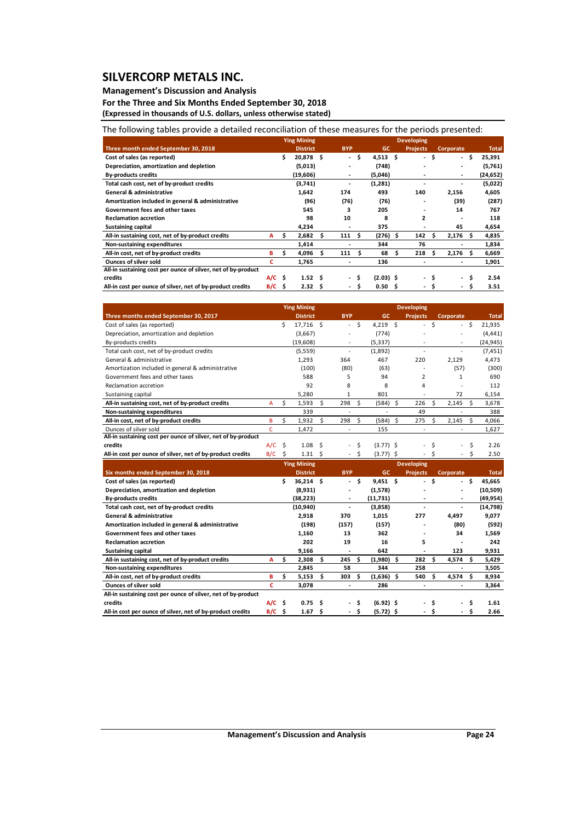## **Management's Discussion and Analysis**

**For the Three and Six Months Ended September 30, 2018 (Expressed in thousands of U.S. dollars, unless otherwise stated)**

## The following tables provide a detailed reconciliation of these measures for the periods presented:

|                                                               |          |     | <b>Ying Mining</b> |   |                          |     |                   |   | <b>Developing</b>        |    |            |     |              |
|---------------------------------------------------------------|----------|-----|--------------------|---|--------------------------|-----|-------------------|---|--------------------------|----|------------|-----|--------------|
| Three month ended September 30, 2018                          |          |     | <b>District</b>    |   | <b>BYP</b>               |     | <b>GC</b>         |   | <b>Projects</b>          |    | Corporate  |     | <b>Total</b> |
| Cost of sales (as reported)                                   |          |     | 20,878 \$          |   | $\sim$                   | \$  | 4,513 \$          |   | $\overline{\phantom{0}}$ | \$ | $\sim$     | Ŝ   | 25,391       |
| Depreciation, amortization and depletion                      |          |     | (5,013)            |   | ٠                        |     | (748)             |   |                          |    | -          |     | (5,761)      |
| <b>By-products credits</b>                                    |          |     | (19,606)           |   | $\overline{\phantom{a}}$ |     | (5,046)           |   |                          |    | ٠          |     | (24, 652)    |
| Total cash cost, net of by-product credits                    |          |     | (3,741)            |   | ٠                        |     | (1,281)           |   |                          |    |            |     | (5,022)      |
| <b>General &amp; administrative</b>                           |          |     | 1,642              |   | 174                      |     | 493               |   | 140                      |    | 2,156      |     | 4,605        |
| Amortization included in general & administrative             |          |     | (96)               |   | (76)                     |     | (76)              |   |                          |    | (39)       |     | (287)        |
| Government fees and other taxes                               |          |     | 545                |   | 3                        |     | 205               |   |                          |    | 14         |     | 767          |
| <b>Reclamation accretion</b>                                  |          |     | 98                 |   | 10                       |     | 8                 |   | 2                        |    |            |     | 118          |
| <b>Sustaining capital</b>                                     |          |     | 4,234              |   | $\overline{\phantom{0}}$ |     | 375               |   |                          |    | 45         |     | 4,654        |
| All-in sustaining cost, net of by-product credits             | A        | s   | 2,682              | s | 111                      | - S | $(276)$ \$        |   | 142                      | S  | $2,176$ \$ |     | 4,835        |
| Non-sustaining expenditures                                   |          |     | 1,414              |   |                          |     | 344               |   | 76                       |    |            |     | 1,834        |
| All-in cost, net of by-product credits                        | в        | \$  | 4,096              |   | 111                      |     | 68                | s | 218                      | S  | 2,176      | -S  | 6,669        |
| <b>Ounces of silver sold</b>                                  | c        |     | 1,765              |   | $\overline{\phantom{0}}$ |     | 136               |   |                          |    | ٠          |     | 1,901        |
| All-in sustaining cost per ounce of silver, net of by-product |          |     |                    |   |                          |     |                   |   |                          |    |            |     |              |
| credits                                                       | $A/C$ \$ |     | 1.52 <sub>5</sub>  |   |                          | - S | $(2.03)$ \$       |   | $\sim$                   |    | $\sim$     | \$. | 2.54         |
| All-in cost per ounce of silver, net of by-product credits    | B/C      | -\$ | 2.32 <sub>5</sub>  |   | $\sim$ 10 $\pm$          | . Ś | 0.50 <sub>5</sub> |   | $\overline{\phantom{0}}$ |    | $\sim$     | \$  | 3.51         |

|                                                               |     |    | <b>Ying Mining</b> |    |                          |              |              |    | <b>Developing</b> |     |                |              |
|---------------------------------------------------------------|-----|----|--------------------|----|--------------------------|--------------|--------------|----|-------------------|-----|----------------|--------------|
| Three months ended September 30, 2017                         |     |    | <b>District</b>    |    | <b>BYP</b>               |              | GC.          |    | <b>Projects</b>   |     | Corporate      | <b>Total</b> |
| Cost of sales (as reported)                                   |     | Ś  | 17,716 \$          |    | $\blacksquare$           | Ś            | $4,219$ \$   |    | $\sim$            | Ś   | Ś              | 21.935       |
| Depreciation, amortization and depletion                      |     |    | (3,667)            |    | $\overline{\phantom{a}}$ |              | (774)        |    |                   |     | ٠              | (4, 441)     |
| By-products credits                                           |     |    | (19, 608)          |    |                          |              | (5, 337)     |    |                   |     |                | (24,945)     |
| Total cash cost, net of by-product credits                    |     |    | (5, 559)           |    | $\overline{\phantom{a}}$ |              | (1,892)      |    |                   |     | $\overline{a}$ | (7, 451)     |
| General & administrative                                      |     |    | 1,293              |    | 364                      |              | 467          |    | 220               |     | 2,129          | 4,473        |
| Amortization included in general & administrative             |     |    | (100)              |    | (80)                     |              | (63)         |    |                   |     | (57)           | (300)        |
| Government fees and other taxes                               |     |    | 588                |    | 5                        |              | 94           |    | 2                 |     | $\mathbf{1}$   | 690          |
| Reclamation accretion                                         |     |    | 92                 |    | 8                        |              | 8            |    | 4                 |     |                | 112          |
| Sustaining capital                                            |     |    | 5,280              |    | 1                        |              | 801          |    |                   |     | 72             | 6,154        |
| All-in sustaining cost, net of by-product credits             | A   | Ś. | 1,593              | \$ | 298                      | Ŝ.           | (584)        | Ś. | 226               | Ŝ   | 2,145          | Ś<br>3,678   |
| Non-sustaining expenditures                                   |     |    | 339                |    |                          |              |              |    | 49                |     |                | 388          |
| All-in cost, net of by-product credits                        | B   | Ś  | 1,932              | \$ | 298                      | $\mathsf{S}$ | $(584)$ \$   |    | 275               | Ŝ.  | 2,145          | Ś<br>4,066   |
| Qunces of silver sold                                         | C   |    | 1,472              |    |                          |              | 155          |    |                   |     |                | 1,627        |
| All-in sustaining cost per ounce of silver, net of by-product |     |    |                    |    |                          |              |              |    |                   |     |                |              |
| credits                                                       | A/C | S. | 1.08               | Ŝ  |                          | Ŝ            | $(3.77)$ \$  |    |                   | Ś   |                | Ś<br>2.26    |
| All-in cost per ounce of silver, net of by-product credits    | B/C | Ŝ. | $1.31 \quad $$     |    |                          | S            | $(3.77)$ \$  |    |                   | S   |                | 2.50<br>Ś    |
|                                                               |     |    | <b>Ying Mining</b> |    |                          |              |              |    | <b>Developing</b> |     |                |              |
| Six months ended September 30, 2018                           |     |    | <b>District</b>    |    | <b>BYP</b>               |              | <b>GC</b>    |    | <b>Projects</b>   |     | Corporate      | <b>Total</b> |
| Cost of sales (as reported)                                   |     | Ś  | $36,214$ \$        |    | ٠                        | Ŝ.           | $9,451$ \$   |    |                   | Ś   | Ś              | 45,665       |
| Depreciation, amortization and depletion                      |     |    | (8,931)            |    |                          |              | (1,578)      |    |                   |     |                | (10, 509)    |
| <b>By-products credits</b>                                    |     |    | (38, 223)          |    | ۰                        |              | (11,731)     |    |                   |     | ٠              | (49, 954)    |
| Total cash cost, net of by-product credits                    |     |    | (10, 940)          |    | ٠                        |              | (3,858)      |    |                   |     | ٠              | (14,798)     |
| <b>General &amp; administrative</b>                           |     |    | 2,918              |    | 370                      |              | 1,015        |    | 277               |     | 4,497          | 9,077        |
| Amortization included in general & administrative             |     |    | (198)              |    | (157)                    |              | (157)        |    |                   |     | (80)           | (592)        |
| Government fees and other taxes                               |     |    | 1,160              |    | 13                       |              | 362          |    |                   |     | 34             | 1,569        |
| <b>Reclamation accretion</b>                                  |     |    | 202                |    | 19                       |              | 16           |    | 5                 |     |                | 242          |
| <b>Sustaining capital</b>                                     |     |    | 9,166              |    |                          |              | 642          |    |                   |     | 123            | 9,931        |
| All-in sustaining cost, net of by-product credits             | A   | Ś  | 2.308              | Ś. | 245                      | - \$         | $(1,980)$ \$ |    | 282               | −\$ | 4,574          | Ś<br>5.429   |

| Non-sustaining expenditures                                   |      | 2.845             | 58  | 344         | 258                      |                          | 3.505 |
|---------------------------------------------------------------|------|-------------------|-----|-------------|--------------------------|--------------------------|-------|
| All-in cost, net of by-product credits                        |      | 5.153             | 303 | (1.636)     | 540                      | 4.574                    | 8.934 |
| <b>Ounces of silver sold</b>                                  |      | 3.078             |     | 286         | $\,$                     | $\overline{\phantom{a}}$ | 3.364 |
| All-in sustaining cost per ounce of silver, net of by-product |      |                   |     |             |                          |                          |       |
| credits                                                       | A/C  | 0.75 <sub>5</sub> |     | $(6.92)$ \$ | $\blacksquare$           | $\sim$                   | 1.61  |
| All-in cost per ounce of silver, net of by-product credits    | B/C. | 1.67              |     | $(5.72)$ \$ | $\overline{\phantom{0}}$ | $\sim$                   | 2.66  |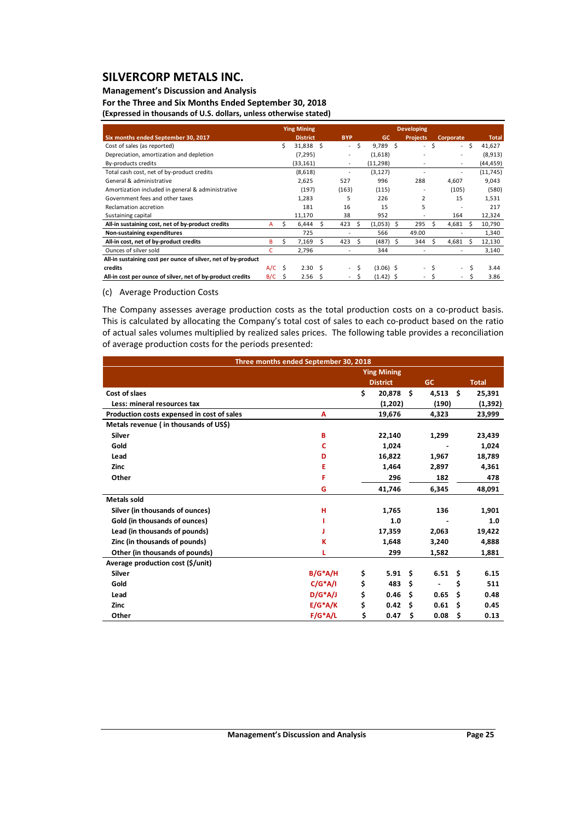## **Management's Discussion and Analysis**

**For the Three and Six Months Ended September 30, 2018 (Expressed in thousands of U.S. dollars, unless otherwise stated)**

|                                                               | <b>Ying Mining</b> |    |                   |    |                          |    | <b>Developing</b> |  |                 |              |                             |              |              |  |  |
|---------------------------------------------------------------|--------------------|----|-------------------|----|--------------------------|----|-------------------|--|-----------------|--------------|-----------------------------|--------------|--------------|--|--|
| Six months ended September 30, 2017                           |                    |    | <b>District</b>   |    | <b>BYP</b>               |    | <b>GC</b>         |  | <b>Projects</b> |              | Corporate                   |              | <b>Total</b> |  |  |
| Cost of sales (as reported)                                   |                    | Ś. | 31,838 \$         |    | $\overline{\phantom{a}}$ | Ŝ  | $9.789 \quad S$   |  | $\sim$          | Ŝ            | $\mathcal{L}^{\mathcal{L}}$ | Ŝ.           | 41,627       |  |  |
| Depreciation, amortization and depletion                      |                    |    | (7, 295)          |    |                          |    | (1,618)           |  |                 |              |                             |              | (8,913)      |  |  |
| By-products credits                                           |                    |    | (33, 161)         |    | ٠                        |    | (11, 298)         |  |                 |              | $\overline{\phantom{a}}$    |              | (44,459)     |  |  |
| Total cash cost, net of by-product credits                    |                    |    | (8,618)           |    |                          |    | (3, 127)          |  |                 |              |                             |              | (11, 745)    |  |  |
| General & administrative                                      |                    |    | 2,625             |    | 527                      |    | 996               |  | 288             |              | 4,607                       |              | 9,043        |  |  |
| Amortization included in general & administrative             |                    |    | (197)             |    | (163)                    |    | (115)             |  |                 |              | (105)                       |              | (580)        |  |  |
| Government fees and other taxes                               |                    |    | 1,283             |    | 5                        |    | 226               |  | $\overline{2}$  |              | 15                          |              | 1,531        |  |  |
| Reclamation accretion                                         |                    |    | 181               |    | 16                       |    | 15                |  | 5               |              |                             |              | 217          |  |  |
| Sustaining capital                                            |                    |    | 11,170            |    | 38                       |    | 952               |  |                 |              | 164                         |              | 12,324       |  |  |
| All-in sustaining cost, net of by-product credits             | A                  | S. | 6,444             | S  | 423                      | -S | $(1,053)$ \$      |  | 295             | <sub>S</sub> | 4,681                       | <sub>S</sub> | 10,790       |  |  |
| Non-sustaining expenditures                                   |                    |    | 725               |    |                          |    | 566               |  | 49.00           |              |                             |              | 1,340        |  |  |
| All-in cost, net of by-product credits                        | B                  | Ś. | 7,169             | S  | 423                      | S  | $(487)$ \$        |  | 344             | <sub>S</sub> | 4,681                       | S            | 12,130       |  |  |
| Ounces of silver sold                                         | c                  |    | 2,796             |    |                          |    | 344               |  |                 |              |                             |              | 3,140        |  |  |
| All-in sustaining cost per ounce of silver, net of by-product |                    |    |                   |    |                          |    |                   |  |                 |              |                             |              |              |  |  |
| credits                                                       | $A/C$ \$           |    | 2.30 <sub>5</sub> |    | $\overline{\phantom{a}}$ | Ŝ  | $(3.06)$ \$       |  | $\overline{a}$  | Ŝ            | $\sim$                      | Ś            | 3.44         |  |  |
| All-in cost per ounce of silver, net of by-product credits    | B/C                | S  | 2.56              | -S |                          | S  | $(1.42)$ \$       |  |                 |              |                             | Ś.           | 3.86         |  |  |

#### (c) Average Production Costs

The Company assesses average production costs as the total production costs on a co-product basis. This is calculated by allocating the Company's total cost of sales to each co-product based on the ratio of actual sales volumes multiplied by realized sales prices. The following table provides a reconciliation of average production costs for the periods presented:

| Three months ended September 30, 2018      |            |    |                    |    |           |      |              |  |
|--------------------------------------------|------------|----|--------------------|----|-----------|------|--------------|--|
|                                            |            |    | <b>Ying Mining</b> |    |           |      |              |  |
|                                            |            |    | <b>District</b>    |    | <b>GC</b> |      | <b>Total</b> |  |
| Cost of slaes                              |            | \$ | 20,878             | Ŝ. | 4,513     | Ŝ.   | 25,391       |  |
| Less: mineral resources tax                |            |    | (1,202)            |    | (190)     |      | (1, 392)     |  |
| Production costs expensed in cost of sales | A          |    | 19,676             |    | 4,323     |      | 23,999       |  |
| Metals revenue (in thousands of US\$)      |            |    |                    |    |           |      |              |  |
| Silver                                     | B          |    | 22,140             |    | 1,299     |      | 23,439       |  |
| Gold                                       | c          |    | 1.024              |    |           |      | 1,024        |  |
| Lead                                       | D          |    | 16,822             |    | 1,967     |      | 18,789       |  |
| Zinc                                       | E          |    | 1,464              |    | 2,897     |      | 4,361        |  |
| Other                                      | F          |    | 296                |    | 182       |      | 478          |  |
|                                            | G          |    | 41,746             |    | 6,345     |      | 48,091       |  |
| <b>Metals sold</b>                         |            |    |                    |    |           |      |              |  |
| Silver (in thousands of ounces)            | н          |    | 1,765              |    | 136       |      | 1,901        |  |
| Gold (in thousands of ounces)              |            |    | 1.0                |    |           |      | 1.0          |  |
| Lead (in thousands of pounds)              |            |    | 17,359             |    | 2,063     |      | 19,422       |  |
| Zinc (in thousands of pounds)              | К          |    | 1,648              |    | 3,240     |      | 4,888        |  |
| Other (in thousands of pounds)             |            |    | 299                |    | 1,582     |      | 1,881        |  |
| Average production cost (\$/unit)          |            |    |                    |    |           |      |              |  |
| Silver                                     | $B/G^*A/H$ | \$ | 5.91               | Ŝ. | 6.51      | - \$ | 6.15         |  |
| Gold                                       | $C/G^*A/I$ | \$ | 483                | \$ |           | \$   | 511          |  |
| Lead                                       | $D/G^*A/J$ | \$ | 0.46               | \$ | 0.65      | \$   | 0.48         |  |
| <b>Zinc</b>                                | $E/G^*A/K$ | \$ | 0.42               | Ś  | 0.61      | S    | 0.45         |  |
| Other                                      | $F/G^*A/L$ | \$ | 0.47               | \$ | 0.08      | \$   | 0.13         |  |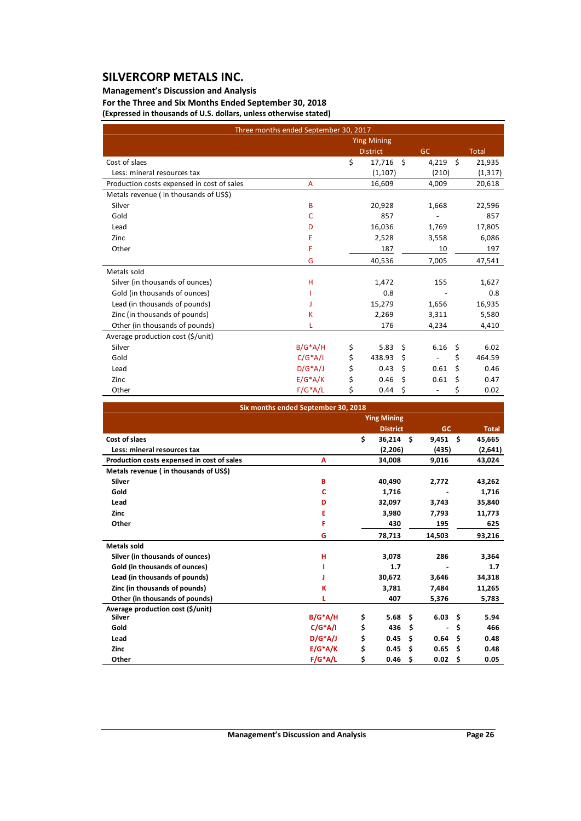## **Management's Discussion and Analysis**

**For the Three and Six Months Ended September 30, 2018 (Expressed in thousands of U.S. dollars, unless otherwise stated)**

|                                            | Three months ended September 30, 2017 |                    |    |           |    |              |
|--------------------------------------------|---------------------------------------|--------------------|----|-----------|----|--------------|
|                                            |                                       | <b>Ying Mining</b> |    |           |    |              |
|                                            |                                       | <b>District</b>    |    | <b>GC</b> |    | <b>Total</b> |
| Cost of slaes                              |                                       | \$<br>17,716       | Ŝ. | 4,219     | Ŝ. | 21,935       |
| Less: mineral resources tax                |                                       | (1,107)            |    | (210)     |    | (1, 317)     |
| Production costs expensed in cost of sales | A                                     | 16,609             |    | 4,009     |    | 20,618       |
| Metals revenue (in thousands of US\$)      |                                       |                    |    |           |    |              |
| Silver                                     | B                                     | 20,928             |    | 1,668     |    | 22,596       |
| Gold                                       | c                                     | 857                |    |           |    | 857          |
| Lead                                       | D                                     | 16,036             |    | 1,769     |    | 17,805       |
| Zinc                                       | E                                     | 2,528              |    | 3,558     |    | 6,086        |
| Other                                      | F                                     | 187                |    | 10        |    | 197          |
|                                            | G                                     | 40,536             |    | 7,005     |    | 47,541       |
| Metals sold                                |                                       |                    |    |           |    |              |
| Silver (in thousands of ounces)            | н                                     | 1,472              |    | 155       |    | 1,627        |
| Gold (in thousands of ounces)              |                                       | 0.8                |    |           |    | 0.8          |
| Lead (in thousands of pounds)              |                                       | 15,279             |    | 1,656     |    | 16,935       |
| Zinc (in thousands of pounds)              | ĸ                                     | 2,269              |    | 3,311     |    | 5,580        |
| Other (in thousands of pounds)             |                                       | 176                |    | 4,234     |    | 4,410        |
| Average production cost (\$/unit)          |                                       |                    |    |           |    |              |
| Silver                                     | $B/G^*A/H$                            | \$<br>5.83         | \$ | 6.16      | \$ | 6.02         |
| Gold                                       | $C/G^*A/I$                            | \$<br>438.93       | \$ |           | \$ | 464.59       |
| Lead                                       | $D/G^*A/J$                            | \$<br>0.43         | \$ | 0.61      | Ś  | 0.46         |
| Zinc                                       | $E/G^*A/K$                            | \$<br>0.46         | \$ | 0.61      | \$ | 0.47         |
| Other                                      | $F/G^*A/L$                            | \$<br>0.44         | \$ |           | \$ | 0.02         |

| Six months ended September 30, 2018        |            |    |                    |    |                |    |              |  |
|--------------------------------------------|------------|----|--------------------|----|----------------|----|--------------|--|
|                                            |            |    | <b>Ying Mining</b> |    |                |    |              |  |
|                                            |            |    | <b>District</b>    |    | GC             |    | <b>Total</b> |  |
| Cost of slaes                              |            | \$ | $36,214$ \$        |    | $9.451$ \$     |    | 45,665       |  |
| Less: mineral resources tax                |            |    | (2,206)            |    | (435)          |    | (2,641)      |  |
| Production costs expensed in cost of sales | A          |    | 34,008             |    | 9,016          |    | 43,024       |  |
| Metals revenue (in thousands of US\$)      |            |    |                    |    |                |    |              |  |
| Silver                                     | B          |    | 40,490             |    | 2,772          |    | 43,262       |  |
| Gold                                       | c          |    | 1,716              |    |                |    | 1,716        |  |
| Lead                                       | D          |    | 32,097             |    | 3,743          |    | 35,840       |  |
| Zinc                                       | E          |    | 3,980              |    | 7,793          |    | 11,773       |  |
| Other                                      | F          |    | 430                |    | 195            |    | 625          |  |
|                                            | G          |    | 78,713             |    | 14,503         |    | 93,216       |  |
| <b>Metals sold</b>                         |            |    |                    |    |                |    |              |  |
| Silver (in thousands of ounces)            | н          |    | 3,078              |    | 286            |    | 3,364        |  |
| Gold (in thousands of ounces)              |            |    | 1.7                |    |                |    | 1.7          |  |
| Lead (in thousands of pounds)              |            |    | 30,672             |    | 3,646          |    | 34,318       |  |
| Zinc (in thousands of pounds)              | ĸ          |    | 3,781              |    | 7,484          |    | 11,265       |  |
| Other (in thousands of pounds)             |            |    | 407                |    | 5,376          |    | 5,783        |  |
| Average production cost (\$/unit)          |            |    |                    |    |                |    |              |  |
| Silver                                     | $B/G^*A/H$ | \$ | 5.68               | Ŝ. | $6.03 \quad $$ |    | 5.94         |  |
| Gold                                       | $C/G^*A/I$ | \$ | 436                | Ś  |                | \$ | 466          |  |
| Lead                                       | $D/G^*AJJ$ | \$ | 0.45               | Ŝ. | 0.64           | Ŝ. | 0.48         |  |
| Zinc                                       | $E/G^*A/K$ | \$ | 0.45               | \$ | 0.65           | \$ | 0.48         |  |
| Other                                      | $F/G^*A/L$ | \$ | 0.46               | \$ | 0.02           | \$ | 0.05         |  |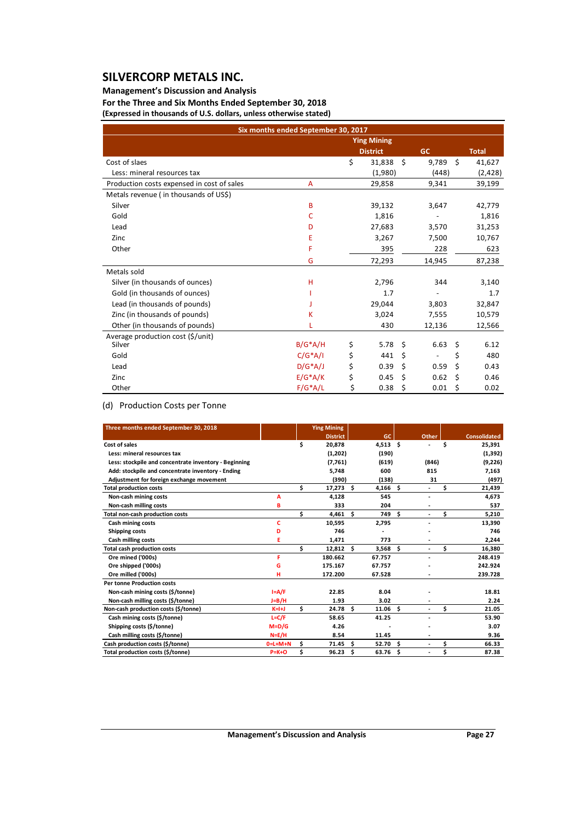## **Management's Discussion and Analysis**

**For the Three and Six Months Ended September 30, 2018 (Expressed in thousands of U.S. dollars, unless otherwise stated)**

|                                            | Six months ended September 30, 2017 |                    |      |                              |    |              |
|--------------------------------------------|-------------------------------------|--------------------|------|------------------------------|----|--------------|
|                                            |                                     | <b>Ying Mining</b> |      |                              |    |              |
|                                            |                                     | <b>District</b>    |      | <b>GC</b>                    |    | <b>Total</b> |
| Cost of slaes                              |                                     | \$<br>31,838       | - \$ | 9,789                        | Ŝ. | 41,627       |
| Less: mineral resources tax                |                                     | (1,980)            |      | (448)                        |    | (2,428)      |
| Production costs expensed in cost of sales | A                                   | 29,858             |      | 9,341                        |    | 39,199       |
| Metals revenue (in thousands of US\$)      |                                     |                    |      |                              |    |              |
| Silver                                     | B                                   | 39,132             |      | 3,647                        |    | 42,779       |
| Gold                                       | C                                   | 1,816              |      |                              |    | 1,816        |
| Lead                                       | D                                   | 27,683             |      | 3,570                        |    | 31,253       |
| Zinc                                       | E                                   | 3,267              |      | 7,500                        |    | 10,767       |
| Other                                      | F                                   | 395                |      | 228                          |    | 623          |
|                                            | G                                   | 72,293             |      | 14,945                       |    | 87,238       |
| Metals sold                                |                                     |                    |      |                              |    |              |
| Silver (in thousands of ounces)            | н                                   | 2,796              |      | 344                          |    | 3,140        |
| Gold (in thousands of ounces)              |                                     | 1.7                |      |                              |    | 1.7          |
| Lead (in thousands of pounds)              |                                     | 29,044             |      | 3,803                        |    | 32,847       |
| Zinc (in thousands of pounds)              | K                                   | 3.024              |      | 7,555                        |    | 10,579       |
| Other (in thousands of pounds)             |                                     | 430                |      | 12,136                       |    | 12,566       |
| Average production cost (\$/unit)          |                                     |                    |      |                              |    |              |
| Silver                                     | $B/G^*A/H$                          | \$<br>5.78         | \$   | 6.63                         | \$ | 6.12         |
| Gold                                       | $C/G^*A/I$                          | \$<br>441          | \$   | $\qquad \qquad \blacksquare$ | \$ | 480          |
| Lead                                       | $D/G^*A/J$                          | \$<br>0.39         | \$   | 0.59                         | \$ | 0.43         |
| Zinc                                       | $E/G^*A/K$                          | \$<br>0.45         | \$   | 0.62                         | \$ | 0.46         |
| Other                                      | $F/G^*A/L$                          | \$<br>0.38         | \$   | 0.01                         | \$ | 0.02         |

## (d) Production Costs per Tonne

| Three months ended September 30, 2018                 |             |    | <b>Ying Mining</b> |      |            |    |                          |    |                     |
|-------------------------------------------------------|-------------|----|--------------------|------|------------|----|--------------------------|----|---------------------|
|                                                       |             |    | <b>District</b>    |      | GC.        |    | Other                    |    | <b>Consolidated</b> |
| Cost of sales                                         |             | Ś  | 20.878             |      | $4,513$ \$ |    |                          | Ś  | 25,391              |
| Less: mineral resources tax                           |             |    | (1,202)            |      | (190)      |    |                          |    | (1, 392)            |
| Less: stockpile and concentrate inventory - Beginning |             |    | (7,761)            |      | (619)      |    | (846)                    |    | (9,226)             |
| Add: stockpile and concentrate inventory - Ending     |             |    | 5,748              |      | 600        |    | 815                      |    | 7,163               |
| Adjustment for foreign exchange movement              |             |    | (390)              |      | (138)      |    | 31                       |    | (497)               |
| <b>Total production costs</b>                         |             | \$ | $17,273$ \$        |      | 4,166      | \$ |                          | Ś  | 21,439              |
| Non-cash mining costs                                 | А           |    | 4,128              |      | 545        |    | ٠                        |    | 4,673               |
| Non-cash milling costs                                | B           |    | 333                |      | 204        |    |                          |    | 537                 |
| Total non-cash production costs                       |             | \$ | $4,461$ \$         |      | 749        | Ś. | ÷.                       | \$ | 5,210               |
| Cash mining costs                                     | c           |    | 10,595             |      | 2,795      |    |                          |    | 13,390              |
| Shipping costs                                        | D           |    | 746                |      |            |    |                          |    | 746                 |
| Cash milling costs                                    | E           |    | 1,471              |      | 773        |    |                          |    | 2,244               |
| <b>Total cash production costs</b>                    |             | Ś  | $12,812$ \$        |      | 3,568      | Ś. | $\overline{\phantom{0}}$ | \$ | 16,380              |
| Ore mined ('000s)                                     | F           |    | 180.662            |      | 67.757     |    |                          |    | 248.419             |
| Ore shipped ('000s)                                   | G           |    | 175.167            |      | 67.757     |    |                          |    | 242.924             |
| Ore milled ('000s)                                    | н           |    | 172.200            |      | 67.528     |    |                          |    | 239.728             |
| <b>Per tonne Production costs</b>                     |             |    |                    |      |            |    |                          |    |                     |
| Non-cash mining costs (\$/tonne)                      | $I = A/F$   |    | 22.85              |      | 8.04       |    |                          |    | 18.81               |
| Non-cash milling costs (\$/tonne)                     | $J=B/H$     |    | 1.93               |      | 3.02       |    |                          |    | 2.24                |
| Non-cash production costs (\$/tonne)                  | $K=1+J$     | Ś  | 24.78 <sub>5</sub> |      | 11.06      | Ś. | ÷.                       | \$ | 21.05               |
| Cash mining costs (\$/tonne)                          | $L = C/F$   |    | 58.65              |      | 41.25      |    |                          |    | 53.90               |
| Shipping costs (\$/tonne)                             | $M=D/G$     |    | 4.26               |      |            |    |                          |    | 3.07                |
| Cash milling costs (\$/tonne)                         | $N=E/H$     |    | 8.54               |      | 11.45      |    |                          |    | 9.36                |
| Cash production costs (\$/tonne)                      | $0=L+M+N$   | Ś  | 71.45              | Ŝ.   | 52.70      | Ś  | ٠                        | Ś  | 66.33               |
| Total production costs (\$/tonne)                     | $P = K + O$ | Ś  | 96.23              | - \$ | 63.76      | Ś  |                          | Ś  | 87.38               |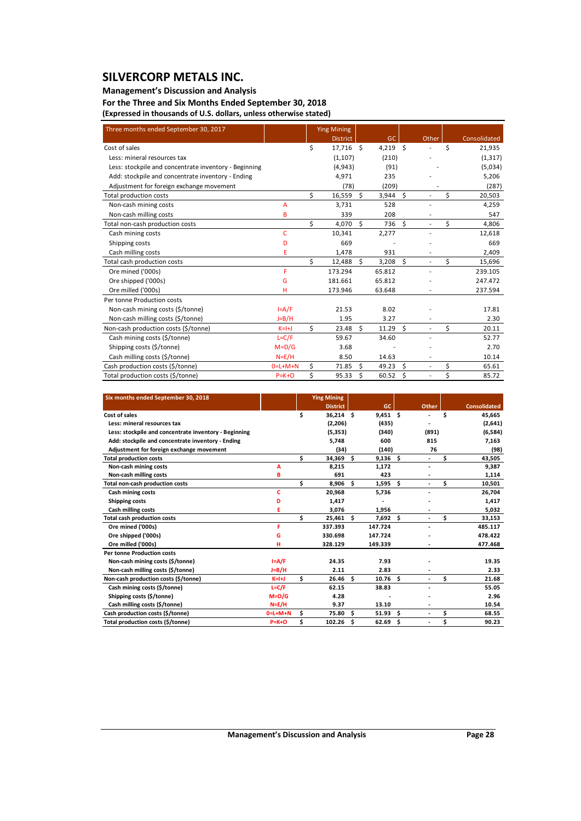## **Management's Discussion and Analysis**

**For the Three and Six Months Ended September 30, 2018**

**(Expressed in thousands of U.S. dollars, unless otherwise stated)**

| Three months ended September 30, 2017                 |             |    | <b>Ying Mining</b> |    |          |    |                          |    |              |
|-------------------------------------------------------|-------------|----|--------------------|----|----------|----|--------------------------|----|--------------|
|                                                       |             |    | <b>District</b>    |    | GC       |    | Other                    |    | Consolidated |
| Cost of sales                                         |             | Ś  | 17,716 \$          |    | 4,219 \$ |    |                          | Ś  | 21,935       |
| Less: mineral resources tax                           |             |    | (1, 107)           |    | (210)    |    |                          |    | (1, 317)     |
| Less: stockpile and concentrate inventory - Beginning |             |    | (4,943)            |    | (91)     |    |                          |    | (5,034)      |
| Add: stockpile and concentrate inventory - Ending     |             |    | 4,971              |    | 235      |    |                          |    | 5,206        |
| Adjustment for foreign exchange movement              |             |    | (78)               |    | (209)    |    |                          |    | (287)        |
| Total production costs                                |             | \$ | 16,559             | \$ | 3,944    | \$ |                          | \$ | 20,503       |
| Non-cash mining costs                                 | A           |    | 3,731              |    | 528      |    |                          |    | 4,259        |
| Non-cash milling costs                                | B           |    | 339                |    | 208      |    | $\overline{\phantom{a}}$ |    | 547          |
| Total non-cash production costs                       |             | \$ | 4,070              | \$ | 736      | \$ | $\overline{\phantom{0}}$ | \$ | 4,806        |
| Cash mining costs                                     | C           |    | 10,341             |    | 2,277    |    |                          |    | 12,618       |
| Shipping costs                                        | D           |    | 669                |    |          |    |                          |    | 669          |
| Cash milling costs                                    | E           |    | 1,478              |    | 931      |    |                          |    | 2,409        |
| Total cash production costs                           |             | Ś. | 12,488             | Ŝ. | 3,208    | Ŝ. | $\overline{\phantom{a}}$ | \$ | 15,696       |
| Ore mined ('000s)                                     | F           |    | 173.294            |    | 65.812   |    |                          |    | 239.105      |
| Ore shipped ('000s)                                   | G           |    | 181.661            |    | 65.812   |    |                          |    | 247.472      |
| Ore milled ('000s)                                    | н           |    | 173.946            |    | 63.648   |    |                          |    | 237.594      |
| Per tonne Production costs                            |             |    |                    |    |          |    |                          |    |              |
| Non-cash mining costs (\$/tonne)                      | $I = A/F$   |    | 21.53              |    | 8.02     |    |                          |    | 17.81        |
| Non-cash milling costs (\$/tonne)                     | $J=B/H$     |    | 1.95               |    | 3.27     |    |                          |    | 2.30         |
| Non-cash production costs (\$/tonne)                  | $K=H$       | Ś. | 23.48              | Ŝ. | 11.29    | Ŝ. | ٠                        | Ś  | 20.11        |
| Cash mining costs (\$/tonne)                          | $L = C/F$   |    | 59.67              |    | 34.60    |    | ٠                        |    | 52.77        |
| Shipping costs (\$/tonne)                             | $M = D/G$   |    | 3.68               |    |          |    |                          |    | 2.70         |
| Cash milling costs (\$/tonne)                         | $N=E/H$     |    | 8.50               |    | 14.63    |    | $\overline{a}$           |    | 10.14        |
| Cash production costs (\$/tonne)                      | $0=L+M+N$   | \$ | 71.85              | Ś. | 49.23    | \$ |                          | \$ | 65.61        |
| Total production costs (\$/tonne)                     | $P = K + O$ | Ś  | 95.33              | Ś  | 60.52    | Ś  | $\overline{a}$           | \$ | 85.72        |

| Six months ended September 30, 2018                   |             |    | <b>Ying Mining</b> |     |            |    |       |    |                     |
|-------------------------------------------------------|-------------|----|--------------------|-----|------------|----|-------|----|---------------------|
|                                                       |             |    | <b>District</b>    |     | GC.        |    | Other |    | <b>Consolidated</b> |
| Cost of sales                                         |             | \$ | $36,214$ \$        |     | $9,451$ \$ |    |       | Ś  | 45,665              |
| Less: mineral resources tax                           |             |    | (2,206)            |     | (435)      |    |       |    | (2,641)             |
| Less: stockpile and concentrate inventory - Beginning |             |    | (5, 353)           |     | (340)      |    | (891) |    | (6,584)             |
| Add: stockpile and concentrate inventory - Ending     |             |    | 5,748              |     | 600        |    | 815   |    | 7,163               |
| Adjustment for foreign exchange movement              |             |    | (34)               |     | (140)      |    | 76    |    | (98)                |
| <b>Total production costs</b>                         |             | \$ | $34,369$ \$        |     | 9,136      | Ŝ. | ÷.    | \$ | 43,505              |
| Non-cash mining costs                                 | A           |    | 8.215              |     | 1.172      |    |       |    | 9,387               |
| Non-cash milling costs                                | в           |    | 691                |     | 423        |    |       |    | 1,114               |
| <b>Total non-cash production costs</b>                |             | Ś  | 8,906 \$           |     | 1,595      | Ŝ. | ٠     | \$ | 10,501              |
| Cash mining costs                                     | c           |    | 20,968             |     | 5,736      |    |       |    | 26,704              |
| Shipping costs                                        | D           |    | 1.417              |     |            |    |       |    | 1,417               |
| Cash milling costs                                    | Ε           |    | 3,076              |     | 1,956      |    |       |    | 5,032               |
| <b>Total cash production costs</b>                    |             | Ś  | $25,461$ \$        |     | 7,692      | Ś. | ٠     | \$ | 33,153              |
| Ore mined ('000s)                                     | F           |    | 337.393            |     | 147.724    |    |       |    | 485.117             |
| Ore shipped ('000s)                                   | G           |    | 330.698            |     | 147.724    |    |       |    | 478.422             |
| Ore milled ('000s)                                    | н           |    | 328.129            |     | 149.339    |    |       |    | 477.468             |
| <b>Per tonne Production costs</b>                     |             |    |                    |     |            |    |       |    |                     |
| Non-cash mining costs (\$/tonne)                      | $I = A/F$   |    | 24.35              |     | 7.93       |    |       |    | 19.35               |
| Non-cash milling costs (\$/tonne)                     | $J=B/H$     |    | 2.11               |     | 2.83       |    |       |    | 2.33                |
| Non-cash production costs (\$/tonne)                  | $K=H+J$     | Ś. | 26.46 <sup>5</sup> |     | 10.76      | Ŝ. | ٠     | \$ | 21.68               |
| Cash mining costs (\$/tonne)                          | $L = C/F$   |    | 62.15              |     | 38.83      |    |       |    | 55.05               |
| Shipping costs (\$/tonne)                             | $M=D/G$     |    | 4.28               |     |            |    |       |    | 2.96                |
| Cash milling costs (\$/tonne)                         | $N = E/H$   |    | 9.37               |     | 13.10      |    |       |    | 10.54               |
| Cash production costs (\$/tonne)                      | $0=L+M+N$   | \$ | 75.80              | \$. | 51.93      | Ŝ  | ٠     | \$ | 68.55               |
| Total production costs (\$/tonne)                     | $P = K + O$ | Ś  | 102.26             | \$  | 62.69      | \$ | ٠     | \$ | 90.23               |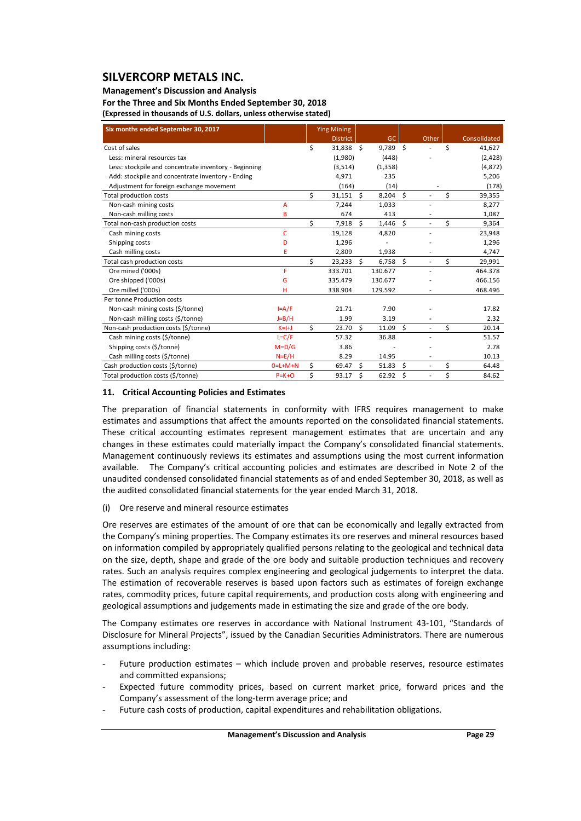## **Management's Discussion and Analysis**

**For the Three and Six Months Ended September 30, 2018**

**(Expressed in thousands of U.S. dollars, unless otherwise stated)**

| Six months ended September 30, 2017                   |              |    | <b>Ying Mining</b> |    |            |    |                |              |
|-------------------------------------------------------|--------------|----|--------------------|----|------------|----|----------------|--------------|
|                                                       |              |    | <b>District</b>    |    | <b>GC</b>  |    | Other          | Consolidated |
| Cost of sales                                         |              | \$ | 31,838 \$          |    | $9,789$ \$ |    |                | \$<br>41,627 |
| Less: mineral resources tax                           |              |    | (1,980)            |    | (448)      |    |                | (2, 428)     |
| Less: stockpile and concentrate inventory - Beginning |              |    | (3, 514)           |    | (1, 358)   |    |                | (4,872)      |
| Add: stockpile and concentrate inventory - Ending     |              |    | 4,971              |    | 235        |    |                | 5,206        |
| Adjustment for foreign exchange movement              |              |    | (164)              |    | (14)       |    |                | (178)        |
| Total production costs                                |              | Ś. | 31,151             | Ś. | 8,204      | Ś. |                | \$<br>39,355 |
| Non-cash mining costs                                 | A            |    | 7,244              |    | 1,033      |    |                | 8,277        |
| Non-cash milling costs                                | B            |    | 674                |    | 413        |    | ٠              | 1,087        |
| Total non-cash production costs                       |              | \$ | 7,918              | \$ | 1,446      | \$ |                | \$<br>9,364  |
| Cash mining costs                                     | $\mathsf{C}$ |    | 19,128             |    | 4,820      |    |                | 23,948       |
| Shipping costs                                        | D            |    | 1,296              |    |            |    |                | 1,296        |
| Cash milling costs                                    | E            |    | 2,809              |    | 1,938      |    |                | 4,747        |
| Total cash production costs                           |              | Ś. | 23,233             | Ś. | 6,758      | Ŝ. | ٠              | \$<br>29,991 |
| Ore mined ('000s)                                     | F.           |    | 333.701            |    | 130.677    |    |                | 464.378      |
| Ore shipped ('000s)                                   | G            |    | 335.479            |    | 130.677    |    |                | 466.156      |
| Ore milled ('000s)                                    | н            |    | 338.904            |    | 129.592    |    |                | 468.496      |
| Per tonne Production costs                            |              |    |                    |    |            |    |                |              |
| Non-cash mining costs (\$/tonne)                      | $I = A/F$    |    | 21.71              |    | 7.90       |    |                | 17.82        |
| Non-cash milling costs (\$/tonne)                     | $J=B/H$      |    | 1.99               |    | 3.19       |    |                | 2.32         |
| Non-cash production costs (\$/tonne)                  | $K=H+J$      | Ś. | 23.70              | Ŝ. | 11.09      | Ŝ. |                | \$<br>20.14  |
| Cash mining costs (\$/tonne)                          | $L = C/F$    |    | 57.32              |    | 36.88      |    |                | 51.57        |
| Shipping costs (\$/tonne)                             | $M = D/G$    |    | 3.86               |    |            |    |                | 2.78         |
| Cash milling costs (\$/tonne)                         | $N=E/H$      |    | 8.29               |    | 14.95      |    |                | 10.13        |
| Cash production costs (\$/tonne)                      | $0=L+M+N$    | Ś. | 69.47              | Ŝ. | 51.83      | Ś  | $\overline{a}$ | \$<br>64.48  |
| Total production costs (\$/tonne)                     | $P = K + O$  | Ś. | 93.17              | Ś  | 62.92      | \$ |                | \$<br>84.62  |

#### **11. Critical Accounting Policies and Estimates**

The preparation of financial statements in conformity with IFRS requires management to make estimates and assumptions that affect the amounts reported on the consolidated financial statements. These critical accounting estimates represent management estimates that are uncertain and any changes in these estimates could materially impact the Company's consolidated financial statements. Management continuously reviews its estimates and assumptions using the most current information available. The Company's critical accounting policies and estimates are described in Note 2 of the unaudited condensed consolidated financial statements as of and ended September 30, 2018, as well as the audited consolidated financial statements for the year ended March 31, 2018.

#### (i) Ore reserve and mineral resource estimates

Ore reserves are estimates of the amount of ore that can be economically and legally extracted from the Company's mining properties. The Company estimates its ore reserves and mineral resources based on information compiled by appropriately qualified persons relating to the geological and technical data on the size, depth, shape and grade of the ore body and suitable production techniques and recovery rates. Such an analysis requires complex engineering and geological judgements to interpret the data. The estimation of recoverable reserves is based upon factors such as estimates of foreign exchange rates, commodity prices, future capital requirements, and production costs along with engineering and geological assumptions and judgements made in estimating the size and grade of the ore body.

The Company estimates ore reserves in accordance with National Instrument 43‐101, "Standards of Disclosure for Mineral Projects", issued by the Canadian Securities Administrators. There are numerous assumptions including:

- Future production estimates which include proven and probable reserves, resource estimates and committed expansions;
- Expected future commodity prices, based on current market price, forward prices and the Company's assessment of the long‐term average price; and
- Future cash costs of production, capital expenditures and rehabilitation obligations.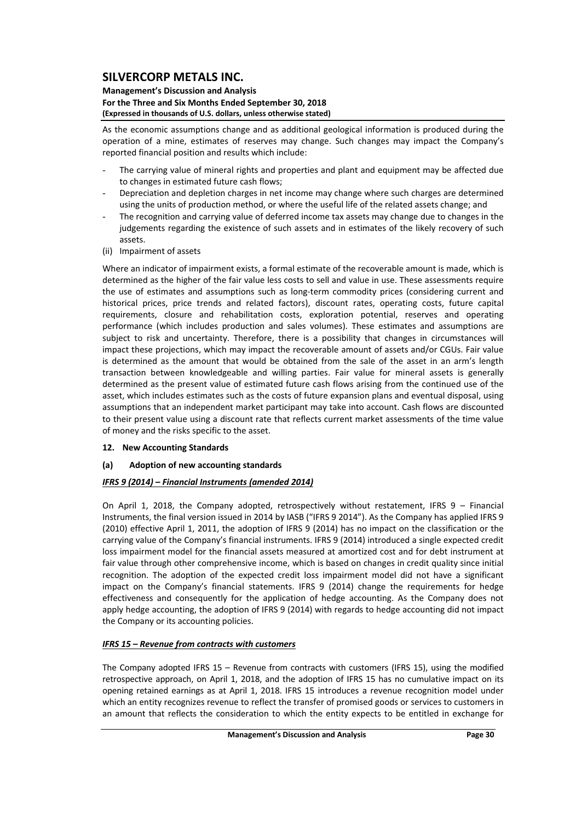#### **Management's Discussion and Analysis For the Three and Six Months Ended September 30, 2018 (Expressed in thousands of U.S. dollars, unless otherwise stated)**

As the economic assumptions change and as additional geological information is produced during the operation of a mine, estimates of reserves may change. Such changes may impact the Company's reported financial position and results which include:

- The carrying value of mineral rights and properties and plant and equipment may be affected due to changes in estimated future cash flows;
- Depreciation and depletion charges in net income may change where such charges are determined using the units of production method, or where the useful life of the related assets change; and
- The recognition and carrying value of deferred income tax assets may change due to changes in the judgements regarding the existence of such assets and in estimates of the likely recovery of such assets.
- (ii) Impairment of assets

Where an indicator of impairment exists, a formal estimate of the recoverable amount is made, which is determined as the higher of the fair value less costs to sell and value in use. These assessments require the use of estimates and assumptions such as long-term commodity prices (considering current and historical prices, price trends and related factors), discount rates, operating costs, future capital requirements, closure and rehabilitation costs, exploration potential, reserves and operating performance (which includes production and sales volumes). These estimates and assumptions are subject to risk and uncertainty. Therefore, there is a possibility that changes in circumstances will impact these projections, which may impact the recoverable amount of assets and/or CGUs. Fair value is determined as the amount that would be obtained from the sale of the asset in an arm's length transaction between knowledgeable and willing parties. Fair value for mineral assets is generally determined as the present value of estimated future cash flows arising from the continued use of the asset, which includes estimates such as the costs of future expansion plans and eventual disposal, using assumptions that an independent market participant may take into account. Cash flows are discounted to their present value using a discount rate that reflects current market assessments of the time value of money and the risks specific to the asset.

- **12. New Accounting Standards**
- **(a) Adoption of new accounting standards**

## *IFRS 9 (2014) – Financial Instruments (amended 2014)*

On April 1, 2018, the Company adopted, retrospectively without restatement, IFRS 9 – Financial Instruments, the final version issued in 2014 by IASB ("IFRS 9 2014"). As the Company has applied IFRS 9 (2010) effective April 1, 2011, the adoption of IFRS 9 (2014) has no impact on the classification or the carrying value of the Company's financial instruments. IFRS 9 (2014) introduced a single expected credit loss impairment model for the financial assets measured at amortized cost and for debt instrument at fair value through other comprehensive income, which is based on changes in credit quality since initial recognition. The adoption of the expected credit loss impairment model did not have a significant impact on the Company's financial statements. IFRS 9 (2014) change the requirements for hedge effectiveness and consequently for the application of hedge accounting. As the Company does not apply hedge accounting, the adoption of IFRS 9 (2014) with regards to hedge accounting did not impact the Company or its accounting policies.

## *IFRS 15 – Revenue from contracts with customers*

The Company adopted IFRS 15 – Revenue from contracts with customers (IFRS 15), using the modified retrospective approach, on April 1, 2018, and the adoption of IFRS 15 has no cumulative impact on its opening retained earnings as at April 1, 2018. IFRS 15 introduces a revenue recognition model under which an entity recognizes revenue to reflect the transfer of promised goods or services to customers in an amount that reflects the consideration to which the entity expects to be entitled in exchange for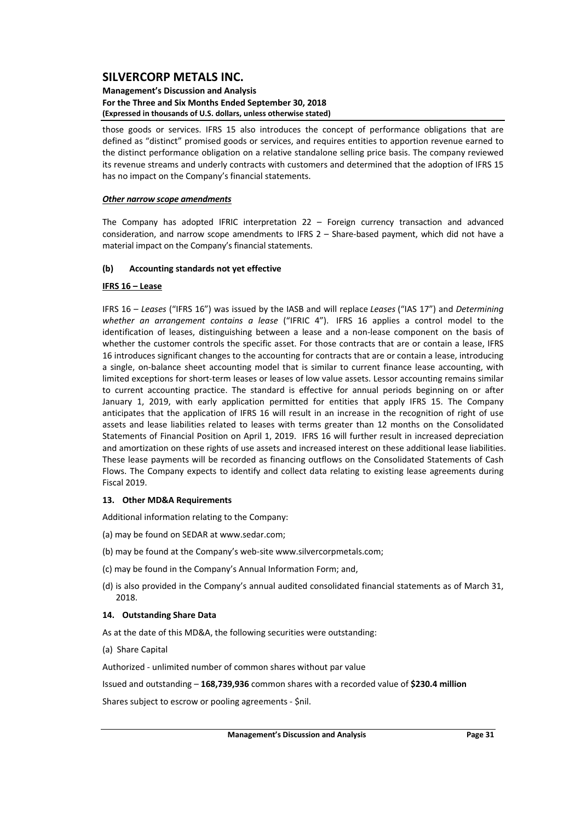#### **Management's Discussion and Analysis For the Three and Six Months Ended September 30, 2018 (Expressed in thousands of U.S. dollars, unless otherwise stated)**

those goods or services. IFRS 15 also introduces the concept of performance obligations that are defined as "distinct" promised goods or services, and requires entities to apportion revenue earned to the distinct performance obligation on a relative standalone selling price basis. The company reviewed its revenue streams and underly contracts with customers and determined that the adoption of IFRS 15 has no impact on the Company's financial statements.

#### *Other narrow scope amendments*

The Company has adopted IFRIC interpretation 22 – Foreign currency transaction and advanced consideration, and narrow scope amendments to IFRS 2 – Share-based payment, which did not have a material impact on the Company's financial statements.

## **(b) Accounting standards not yet effective**

## **IFRS 16 – Lease**

IFRS 16 – *Leases* ("IFRS 16") was issued by the IASB and will replace *Leases* ("IAS 17") and *Determining whether an arrangement contains a lease* ("IFRIC 4"). IFRS 16 applies a control model to the identification of leases, distinguishing between a lease and a non‐lease component on the basis of whether the customer controls the specific asset. For those contracts that are or contain a lease, IFRS 16 introduces significant changes to the accounting for contracts that are or contain a lease, introducing a single, on‐balance sheet accounting model that is similar to current finance lease accounting, with limited exceptions for short‐term leases or leases of low value assets. Lessor accounting remains similar to current accounting practice. The standard is effective for annual periods beginning on or after January 1, 2019, with early application permitted for entities that apply IFRS 15. The Company anticipates that the application of IFRS 16 will result in an increase in the recognition of right of use assets and lease liabilities related to leases with terms greater than 12 months on the Consolidated Statements of Financial Position on April 1, 2019. IFRS 16 will further result in increased depreciation and amortization on these rights of use assets and increased interest on these additional lease liabilities. These lease payments will be recorded as financing outflows on the Consolidated Statements of Cash Flows. The Company expects to identify and collect data relating to existing lease agreements during Fiscal 2019.

#### **13. Other MD&A Requirements**

Additional information relating to the Company:

- (a) may be found on SEDAR at www.sedar.com;
- (b) may be found at the Company's web‐site www.silvercorpmetals.com;
- (c) may be found in the Company's Annual Information Form; and,
- (d) is also provided in the Company's annual audited consolidated financial statements as of March 31, 2018.

#### **14. Outstanding Share Data**

As at the date of this MD&A, the following securities were outstanding:

(a) Share Capital

Authorized ‐ unlimited number of common shares without par value

Issued and outstanding – **168,739,936** common shares with a recorded value of **\$230.4 million**

Shares subject to escrow or pooling agreements ‐ \$nil.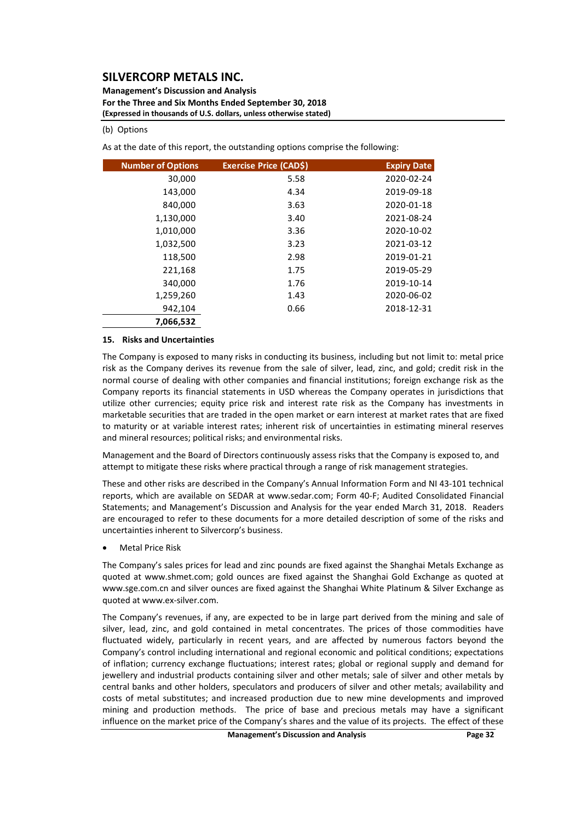**Management's Discussion and Analysis For the Three and Six Months Ended September 30, 2018 (Expressed in thousands of U.S. dollars, unless otherwise stated)**

#### (b) Options

As at the date of this report, the outstanding options comprise the following:

| <b>Number of Options</b> | <b>Exercise Price (CAD\$)</b> | <b>Expiry Date</b> |
|--------------------------|-------------------------------|--------------------|
| 30,000                   | 5.58                          | 2020-02-24         |
| 143,000                  | 4.34                          | 2019-09-18         |
| 840,000                  | 3.63                          | 2020-01-18         |
| 1,130,000                | 3.40                          | 2021-08-24         |
| 1,010,000                | 3.36                          | 2020-10-02         |
| 1,032,500                | 3.23                          | 2021-03-12         |
| 118,500                  | 2.98                          | 2019-01-21         |
| 221,168                  | 1.75                          | 2019-05-29         |
| 340,000                  | 1.76                          | 2019-10-14         |
| 1,259,260                | 1.43                          | 2020-06-02         |
| 942,104                  | 0.66                          | 2018-12-31         |
| 7,066,532                |                               |                    |

#### **15. Risks and Uncertainties**

The Company is exposed to many risks in conducting its business, including but not limit to: metal price risk as the Company derives its revenue from the sale of silver, lead, zinc, and gold; credit risk in the normal course of dealing with other companies and financial institutions; foreign exchange risk as the Company reports its financial statements in USD whereas the Company operates in jurisdictions that utilize other currencies; equity price risk and interest rate risk as the Company has investments in marketable securities that are traded in the open market or earn interest at market rates that are fixed to maturity or at variable interest rates; inherent risk of uncertainties in estimating mineral reserves and mineral resources; political risks; and environmental risks.

Management and the Board of Directors continuously assess risks that the Company is exposed to, and attempt to mitigate these risks where practical through a range of risk management strategies.

These and other risks are described in the Company's Annual Information Form and NI 43‐101 technical reports, which are available on SEDAR at www.sedar.com; Form 40‐F; Audited Consolidated Financial Statements; and Management's Discussion and Analysis for the year ended March 31, 2018. Readers are encouraged to refer to these documents for a more detailed description of some of the risks and uncertainties inherent to Silvercorp's business.

Metal Price Risk

The Company's sales prices for lead and zinc pounds are fixed against the Shanghai Metals Exchange as quoted at www.shmet.com; gold ounces are fixed against the Shanghai Gold Exchange as quoted at www.sge.com.cn and silver ounces are fixed against the Shanghai White Platinum & Silver Exchange as quoted at www.ex‐silver.com.

The Company's revenues, if any, are expected to be in large part derived from the mining and sale of silver, lead, zinc, and gold contained in metal concentrates. The prices of those commodities have fluctuated widely, particularly in recent years, and are affected by numerous factors beyond the Company's control including international and regional economic and political conditions; expectations of inflation; currency exchange fluctuations; interest rates; global or regional supply and demand for jewellery and industrial products containing silver and other metals; sale of silver and other metals by central banks and other holders, speculators and producers of silver and other metals; availability and costs of metal substitutes; and increased production due to new mine developments and improved mining and production methods. The price of base and precious metals may have a significant influence on the market price of the Company's shares and the value of its projects. The effect of these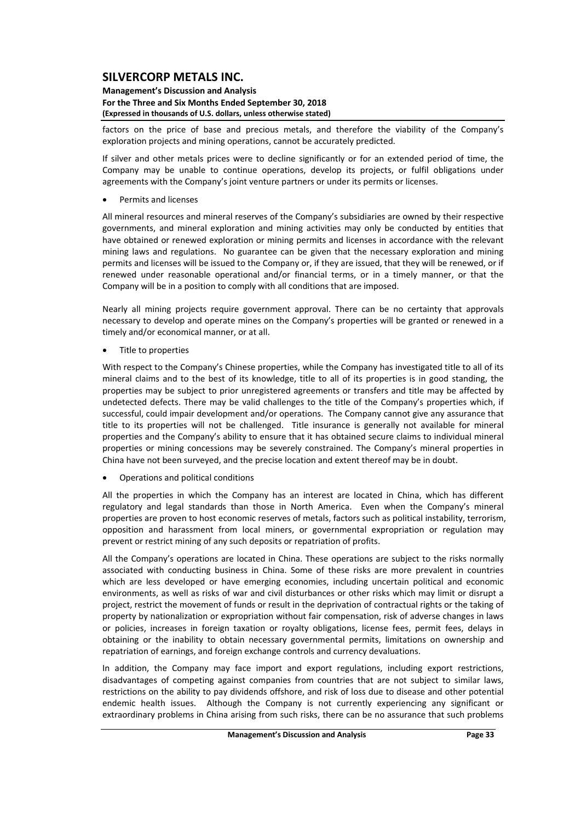**Management's Discussion and Analysis For the Three and Six Months Ended September 30, 2018 (Expressed in thousands of U.S. dollars, unless otherwise stated)**

factors on the price of base and precious metals, and therefore the viability of the Company's exploration projects and mining operations, cannot be accurately predicted.

If silver and other metals prices were to decline significantly or for an extended period of time, the Company may be unable to continue operations, develop its projects, or fulfil obligations under agreements with the Company's joint venture partners or under its permits or licenses.

Permits and licenses

All mineral resources and mineral reserves of the Company's subsidiaries are owned by their respective governments, and mineral exploration and mining activities may only be conducted by entities that have obtained or renewed exploration or mining permits and licenses in accordance with the relevant mining laws and regulations. No guarantee can be given that the necessary exploration and mining permits and licenses will be issued to the Company or, if they are issued, that they will be renewed, or if renewed under reasonable operational and/or financial terms, or in a timely manner, or that the Company will be in a position to comply with all conditions that are imposed.

Nearly all mining projects require government approval. There can be no certainty that approvals necessary to develop and operate mines on the Company's properties will be granted or renewed in a timely and/or economical manner, or at all.

Title to properties

With respect to the Company's Chinese properties, while the Company has investigated title to all of its mineral claims and to the best of its knowledge, title to all of its properties is in good standing, the properties may be subject to prior unregistered agreements or transfers and title may be affected by undetected defects. There may be valid challenges to the title of the Company's properties which, if successful, could impair development and/or operations. The Company cannot give any assurance that title to its properties will not be challenged. Title insurance is generally not available for mineral properties and the Company's ability to ensure that it has obtained secure claims to individual mineral properties or mining concessions may be severely constrained. The Company's mineral properties in China have not been surveyed, and the precise location and extent thereof may be in doubt.

Operations and political conditions

All the properties in which the Company has an interest are located in China, which has different regulatory and legal standards than those in North America. Even when the Company's mineral properties are proven to host economic reserves of metals, factors such as political instability, terrorism, opposition and harassment from local miners, or governmental expropriation or regulation may prevent or restrict mining of any such deposits or repatriation of profits.

All the Company's operations are located in China. These operations are subject to the risks normally associated with conducting business in China. Some of these risks are more prevalent in countries which are less developed or have emerging economies, including uncertain political and economic environments, as well as risks of war and civil disturbances or other risks which may limit or disrupt a project, restrict the movement of funds or result in the deprivation of contractual rights or the taking of property by nationalization or expropriation without fair compensation, risk of adverse changes in laws or policies, increases in foreign taxation or royalty obligations, license fees, permit fees, delays in obtaining or the inability to obtain necessary governmental permits, limitations on ownership and repatriation of earnings, and foreign exchange controls and currency devaluations.

In addition, the Company may face import and export regulations, including export restrictions, disadvantages of competing against companies from countries that are not subject to similar laws, restrictions on the ability to pay dividends offshore, and risk of loss due to disease and other potential endemic health issues. Although the Company is not currently experiencing any significant or extraordinary problems in China arising from such risks, there can be no assurance that such problems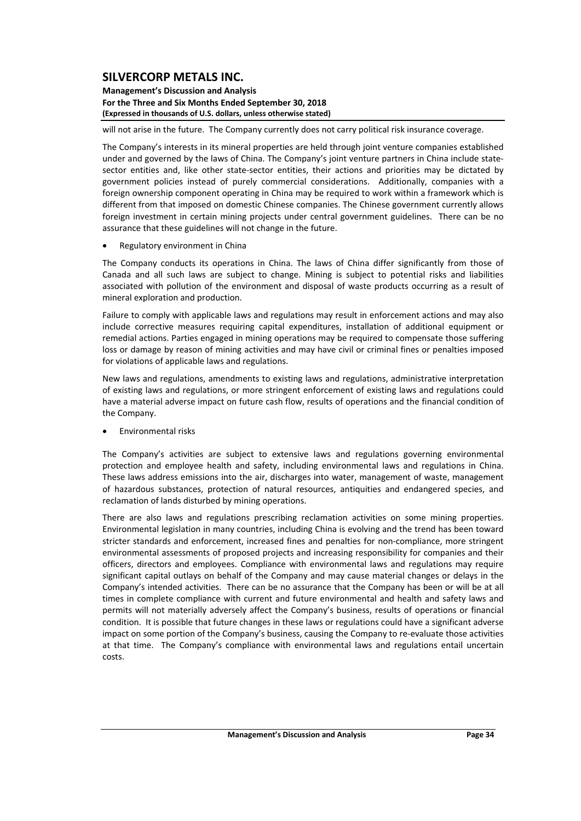**Management's Discussion and Analysis For the Three and Six Months Ended September 30, 2018 (Expressed in thousands of U.S. dollars, unless otherwise stated)**

will not arise in the future. The Company currently does not carry political risk insurance coverage.

The Company's interests in its mineral properties are held through joint venture companies established under and governed by the laws of China. The Company's joint venture partners in China include statesector entities and, like other state-sector entities, their actions and priorities may be dictated by government policies instead of purely commercial considerations. Additionally, companies with a foreign ownership component operating in China may be required to work within a framework which is different from that imposed on domestic Chinese companies. The Chinese government currently allows foreign investment in certain mining projects under central government guidelines. There can be no assurance that these guidelines will not change in the future.

Regulatory environment in China

The Company conducts its operations in China. The laws of China differ significantly from those of Canada and all such laws are subject to change. Mining is subject to potential risks and liabilities associated with pollution of the environment and disposal of waste products occurring as a result of mineral exploration and production.

Failure to comply with applicable laws and regulations may result in enforcement actions and may also include corrective measures requiring capital expenditures, installation of additional equipment or remedial actions. Parties engaged in mining operations may be required to compensate those suffering loss or damage by reason of mining activities and may have civil or criminal fines or penalties imposed for violations of applicable laws and regulations.

New laws and regulations, amendments to existing laws and regulations, administrative interpretation of existing laws and regulations, or more stringent enforcement of existing laws and regulations could have a material adverse impact on future cash flow, results of operations and the financial condition of the Company.

Environmental risks

The Company's activities are subject to extensive laws and regulations governing environmental protection and employee health and safety, including environmental laws and regulations in China. These laws address emissions into the air, discharges into water, management of waste, management of hazardous substances, protection of natural resources, antiquities and endangered species, and reclamation of lands disturbed by mining operations.

There are also laws and regulations prescribing reclamation activities on some mining properties. Environmental legislation in many countries, including China is evolving and the trend has been toward stricter standards and enforcement, increased fines and penalties for non‐compliance, more stringent environmental assessments of proposed projects and increasing responsibility for companies and their officers, directors and employees. Compliance with environmental laws and regulations may require significant capital outlays on behalf of the Company and may cause material changes or delays in the Company's intended activities. There can be no assurance that the Company has been or will be at all times in complete compliance with current and future environmental and health and safety laws and permits will not materially adversely affect the Company's business, results of operations or financial condition. It is possible that future changes in these laws or regulations could have a significant adverse impact on some portion of the Company's business, causing the Company to re-evaluate those activities at that time. The Company's compliance with environmental laws and regulations entail uncertain costs.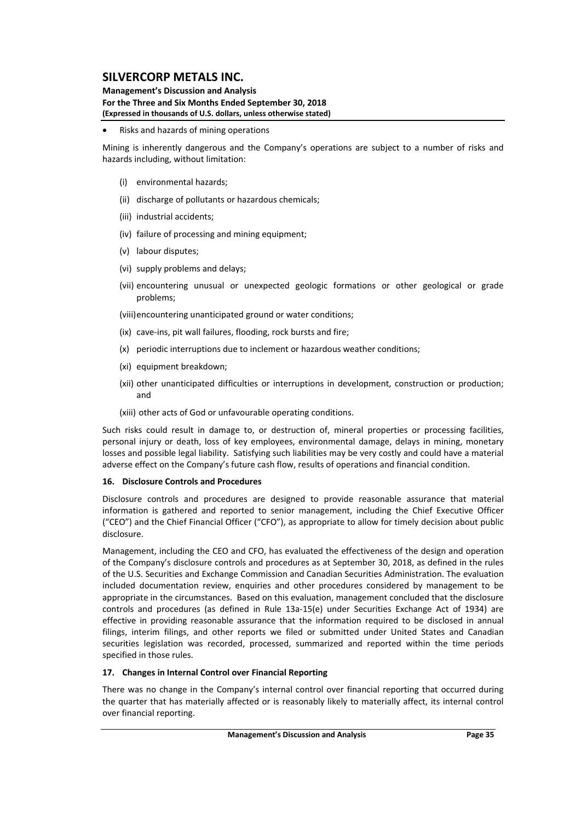#### **Management's Discussion and Analysis For the Three and Six Months Ended September 30, 2018 (Expressed in thousands of U.S. dollars, unless otherwise stated)**

Risks and hazards of mining operations

Mining is inherently dangerous and the Company's operations are subject to a number of risks and hazards including, without limitation:

- (i) environmental hazards;
- (ii) discharge of pollutants or hazardous chemicals;
- (iii) industrial accidents;
- (iv) failure of processing and mining equipment;
- (v) labour disputes;
- (vi) supply problems and delays;
- (vii) encountering unusual or unexpected geologic formations or other geological or grade problems;

(viii)encountering unanticipated ground or water conditions;

- (ix) cave‐ins, pit wall failures, flooding, rock bursts and fire;
- (x) periodic interruptions due to inclement or hazardous weather conditions;
- (xi) equipment breakdown;
- (xii) other unanticipated difficulties or interruptions in development, construction or production; and
- (xiii) other acts of God or unfavourable operating conditions.

Such risks could result in damage to, or destruction of, mineral properties or processing facilities, personal injury or death, loss of key employees, environmental damage, delays in mining, monetary losses and possible legal liability. Satisfying such liabilities may be very costly and could have a material adverse effect on the Company's future cash flow, results of operations and financial condition.

#### **16. Disclosure Controls and Procedures**

Disclosure controls and procedures are designed to provide reasonable assurance that material information is gathered and reported to senior management, including the Chief Executive Officer ("CEO") and the Chief Financial Officer ("CFO"), as appropriate to allow for timely decision about public disclosure.

Management, including the CEO and CFO, has evaluated the effectiveness of the design and operation of the Company's disclosure controls and procedures as at September 30, 2018, as defined in the rules of the U.S. Securities and Exchange Commission and Canadian Securities Administration. The evaluation included documentation review, enquiries and other procedures considered by management to be appropriate in the circumstances. Based on this evaluation, management concluded that the disclosure controls and procedures (as defined in Rule 13a‐15(e) under Securities Exchange Act of 1934) are effective in providing reasonable assurance that the information required to be disclosed in annual filings, interim filings, and other reports we filed or submitted under United States and Canadian securities legislation was recorded, processed, summarized and reported within the time periods specified in those rules.

## **17. Changes in Internal Control over Financial Reporting**

There was no change in the Company's internal control over financial reporting that occurred during the quarter that has materially affected or is reasonably likely to materially affect, its internal control over financial reporting.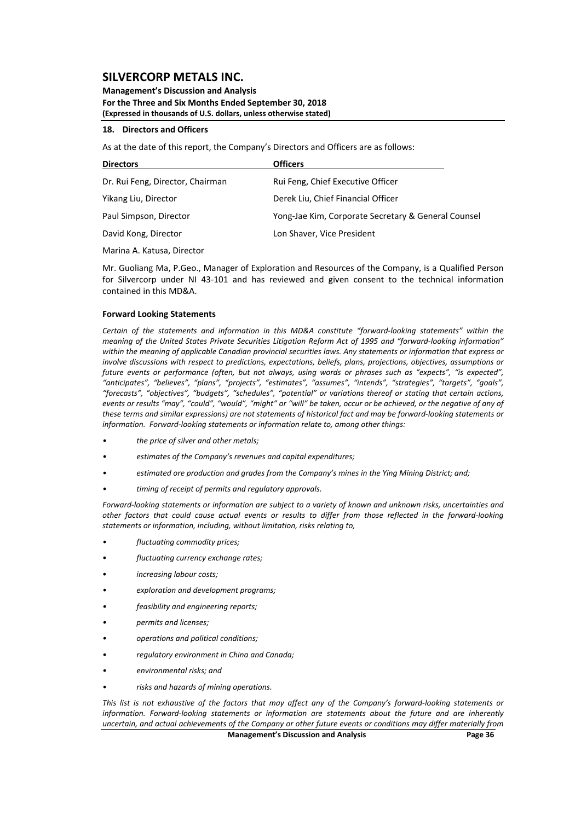**Management's Discussion and Analysis For the Three and Six Months Ended September 30, 2018 (Expressed in thousands of U.S. dollars, unless otherwise stated)**

#### **18. Directors and Officers**

As at the date of this report, the Company's Directors and Officers are as follows:

| <b>Directors</b>                 | <b>Officers</b>                                     |
|----------------------------------|-----------------------------------------------------|
| Dr. Rui Feng, Director, Chairman | Rui Feng, Chief Executive Officer                   |
| Yikang Liu, Director             | Derek Liu, Chief Financial Officer                  |
| Paul Simpson, Director           | Yong-Jae Kim, Corporate Secretary & General Counsel |
| David Kong, Director             | Lon Shaver, Vice President                          |

Marina A. Katusa, Director

Mr. Guoliang Ma, P.Geo., Manager of Exploration and Resources of the Company, is a Qualified Person for Silvercorp under NI 43-101 and has reviewed and given consent to the technical information contained in this MD&A.

#### **Forward Looking Statements**

*Certain of the statements and information in this MD&A constitute "forward‐looking statements" within the* meaning of the United States Private Securities Litigation Reform Act of 1995 and "forward-looking information" within the meaning of applicable Canadian provincial securities laws. Any statements or information that express or *involve discussions with respect to predictions, expectations, beliefs, plans, projections, objectives, assumptions or* future events or performance (often, but not always, using words or phrases such as "expects", "is expected", *"anticipates", "believes", "plans", "projects", "estimates", "assumes", "intends", "strategies", "targets", "goals", "forecasts", "objectives", "budgets", "schedules", "potential" or variations thereof or stating that certain actions,* events or results "may", "could", "would", "might" or "will" be taken, occur or be achieved, or the negative of any of these terms and similar expressions) are not statements of historical fact and may be forward-looking statements or *information. Forward‐looking statements or information relate to, among other things:*

- *• the price of silver and other metals;*
- *• estimates of the Company's revenues and capital expenditures;*
- *• estimated ore production and grades from the Company's mines in the Ying Mining District; and;*
- *• timing of receipt of permits and regulatory approvals.*

Forward-looking statements or information are subject to a variety of known and unknown risks, uncertainties and other factors that could cause actual events or results to differ from those reflected in the forward-looking *statements or information, including, without limitation, risks relating to,* 

- *• fluctuating commodity prices;*
- *fluctuating currency exchange rates;*
- *increasing labour costs;*
- *• exploration and development programs;*
- *• feasibility and engineering reports;*
- *• permits and licenses;*
- *• operations and political conditions;*
- *• regulatory environment in China and Canada;*
- *• environmental risks; and*
- *• risks and hazards of mining operations.*

This list is not exhaustive of the factors that may affect any of the Company's forward-looking statements or *information. Forward‐looking statements or information are statements about the future and are inherently* uncertain, and actual achievements of the Company or other future events or conditions may differ materially from